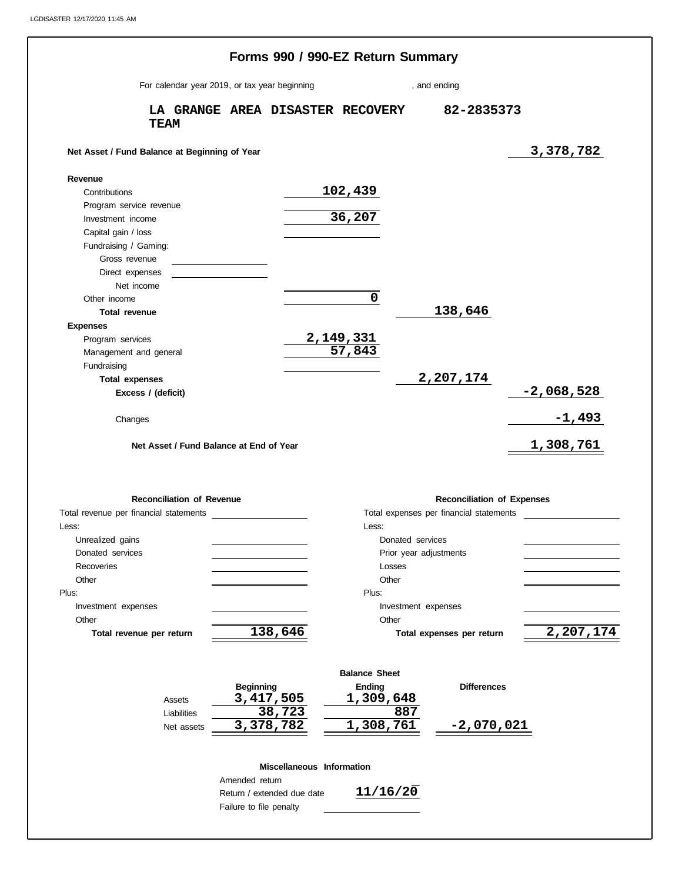|                                               | Forms 990 / 990-EZ Return Summary             |                            |                        |                                         |              |
|-----------------------------------------------|-----------------------------------------------|----------------------------|------------------------|-----------------------------------------|--------------|
|                                               | For calendar year 2019, or tax year beginning |                            | , and ending           |                                         |              |
| <b>TEAM</b>                                   | LA GRANGE AREA DISASTER RECOVERY              |                            |                        | 82-2835373                              |              |
| Net Asset / Fund Balance at Beginning of Year |                                               |                            |                        |                                         | 3,378,782    |
| Revenue                                       |                                               |                            |                        |                                         |              |
| Contributions                                 |                                               | <u>102,439</u>             |                        |                                         |              |
| Program service revenue                       |                                               |                            |                        |                                         |              |
| Investment income                             |                                               | 36,207                     |                        |                                         |              |
| Capital gain / loss                           |                                               |                            |                        |                                         |              |
| Fundraising / Gaming:                         |                                               |                            |                        |                                         |              |
| Gross revenue                                 |                                               |                            |                        |                                         |              |
| Direct expenses                               |                                               |                            |                        |                                         |              |
| Net income                                    |                                               |                            |                        |                                         |              |
| Other income                                  |                                               | $\mathbf 0$                |                        |                                         |              |
| Total revenue                                 |                                               |                            |                        | 138,646                                 |              |
| <b>Expenses</b>                               |                                               |                            |                        |                                         |              |
| Program services                              |                                               | 2,149,331<br>57,843        |                        |                                         |              |
| Management and general                        |                                               |                            |                        |                                         |              |
| Fundraising                                   |                                               |                            |                        |                                         |              |
| <b>Total expenses</b>                         |                                               |                            |                        | 2,207,174                               |              |
| Excess / (deficit)                            |                                               |                            |                        |                                         | $-2,068,528$ |
|                                               |                                               |                            |                        |                                         | $-1,493$     |
| Changes                                       |                                               |                            |                        |                                         |              |
| Net Asset / Fund Balance at End of Year       |                                               |                            |                        |                                         | 1,308,761    |
|                                               |                                               |                            |                        |                                         |              |
|                                               |                                               |                            |                        |                                         |              |
| <b>Reconciliation of Revenue</b>              |                                               |                            |                        | <b>Reconciliation of Expenses</b>       |              |
| Total revenue per financial statements        |                                               |                            |                        | Total expenses per financial statements |              |
| Less:                                         |                                               | Less:                      |                        |                                         |              |
| Unrealized gains                              |                                               |                            | Donated services       |                                         |              |
| Donated services                              |                                               |                            | Prior year adjustments |                                         |              |
| Recoveries                                    |                                               | Losses                     |                        |                                         |              |
| Other                                         |                                               | Other                      |                        |                                         |              |
| Plus:                                         |                                               | Plus:                      |                        |                                         |              |
| Investment expenses                           |                                               |                            | Investment expenses    |                                         |              |
| Other                                         |                                               | Other                      |                        |                                         |              |
| Total revenue per return                      | 138,646                                       |                            |                        | Total expenses per return               | 2,207,174    |
|                                               |                                               |                            |                        |                                         |              |
|                                               |                                               |                            |                        |                                         |              |
|                                               |                                               | <b>Balance Sheet</b>       |                        |                                         |              |
|                                               | <b>Beginning</b>                              | <b>Ending</b><br>1,309,648 |                        | <b>Differences</b>                      |              |
| Assets                                        | 3, 417, 505<br>38,723                         |                            | 887                    |                                         |              |
| Liabilities                                   | 3,378,782                                     | 1,308,761                  |                        | <u>-2,070,021</u>                       |              |
| Net assets                                    |                                               |                            |                        |                                         |              |
|                                               |                                               |                            |                        |                                         |              |
|                                               | Miscellaneous Information<br>Amended return   |                            |                        |                                         |              |
|                                               | Return / extended due date                    | 11/16/20                   |                        |                                         |              |
|                                               |                                               |                            |                        |                                         |              |

Failure to file penalty

 $\frac{1}{2}$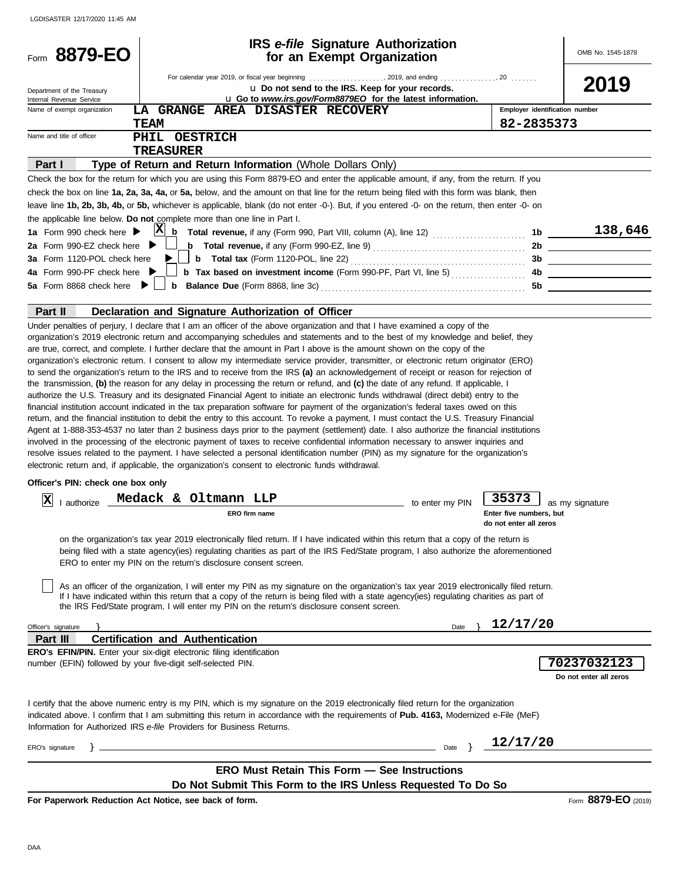| Form 8879-EO                                                 | IRS e-file Signature Authorization<br>for an Exempt Organization                                                                                                                                                                                                                                                                                                                                                                                                                                                                                                                                                                                                                                                                                                                                                                                                                                                                                                                                                                                                                                                                                                                                                                                                                                                                                                                                                                                                                                                                                                                                                                                                                                                                                                                                                                                                                                                                                                                                                                                                                                                                                                                                                                                                                                                                                                                                                                                                                                                                                                                         |                                                            | OMB No. 1545-1878                     |
|--------------------------------------------------------------|------------------------------------------------------------------------------------------------------------------------------------------------------------------------------------------------------------------------------------------------------------------------------------------------------------------------------------------------------------------------------------------------------------------------------------------------------------------------------------------------------------------------------------------------------------------------------------------------------------------------------------------------------------------------------------------------------------------------------------------------------------------------------------------------------------------------------------------------------------------------------------------------------------------------------------------------------------------------------------------------------------------------------------------------------------------------------------------------------------------------------------------------------------------------------------------------------------------------------------------------------------------------------------------------------------------------------------------------------------------------------------------------------------------------------------------------------------------------------------------------------------------------------------------------------------------------------------------------------------------------------------------------------------------------------------------------------------------------------------------------------------------------------------------------------------------------------------------------------------------------------------------------------------------------------------------------------------------------------------------------------------------------------------------------------------------------------------------------------------------------------------------------------------------------------------------------------------------------------------------------------------------------------------------------------------------------------------------------------------------------------------------------------------------------------------------------------------------------------------------------------------------------------------------------------------------------------------------|------------------------------------------------------------|---------------------------------------|
|                                                              |                                                                                                                                                                                                                                                                                                                                                                                                                                                                                                                                                                                                                                                                                                                                                                                                                                                                                                                                                                                                                                                                                                                                                                                                                                                                                                                                                                                                                                                                                                                                                                                                                                                                                                                                                                                                                                                                                                                                                                                                                                                                                                                                                                                                                                                                                                                                                                                                                                                                                                                                                                                          |                                                            |                                       |
| Department of the Treasury<br>Internal Revenue Service       | U Do not send to the IRS. Keep for your records.<br>L Go to www.irs.gov/Form8879EO for the latest information.                                                                                                                                                                                                                                                                                                                                                                                                                                                                                                                                                                                                                                                                                                                                                                                                                                                                                                                                                                                                                                                                                                                                                                                                                                                                                                                                                                                                                                                                                                                                                                                                                                                                                                                                                                                                                                                                                                                                                                                                                                                                                                                                                                                                                                                                                                                                                                                                                                                                           |                                                            | 2019                                  |
| Name of exempt organization                                  | LA GRANGE AREA DISASTER RECOVERY                                                                                                                                                                                                                                                                                                                                                                                                                                                                                                                                                                                                                                                                                                                                                                                                                                                                                                                                                                                                                                                                                                                                                                                                                                                                                                                                                                                                                                                                                                                                                                                                                                                                                                                                                                                                                                                                                                                                                                                                                                                                                                                                                                                                                                                                                                                                                                                                                                                                                                                                                         | Employer identification number                             |                                       |
|                                                              | <b>TEAM</b>                                                                                                                                                                                                                                                                                                                                                                                                                                                                                                                                                                                                                                                                                                                                                                                                                                                                                                                                                                                                                                                                                                                                                                                                                                                                                                                                                                                                                                                                                                                                                                                                                                                                                                                                                                                                                                                                                                                                                                                                                                                                                                                                                                                                                                                                                                                                                                                                                                                                                                                                                                              | 82-2835373                                                 |                                       |
| Name and title of officer                                    | PHIL OESTRICH                                                                                                                                                                                                                                                                                                                                                                                                                                                                                                                                                                                                                                                                                                                                                                                                                                                                                                                                                                                                                                                                                                                                                                                                                                                                                                                                                                                                                                                                                                                                                                                                                                                                                                                                                                                                                                                                                                                                                                                                                                                                                                                                                                                                                                                                                                                                                                                                                                                                                                                                                                            |                                                            |                                       |
| Part I                                                       | <b>TREASURER</b><br>Type of Return and Return Information (Whole Dollars Only)                                                                                                                                                                                                                                                                                                                                                                                                                                                                                                                                                                                                                                                                                                                                                                                                                                                                                                                                                                                                                                                                                                                                                                                                                                                                                                                                                                                                                                                                                                                                                                                                                                                                                                                                                                                                                                                                                                                                                                                                                                                                                                                                                                                                                                                                                                                                                                                                                                                                                                           |                                                            |                                       |
|                                                              | Check the box for the return for which you are using this Form 8879-EO and enter the applicable amount, if any, from the return. If you                                                                                                                                                                                                                                                                                                                                                                                                                                                                                                                                                                                                                                                                                                                                                                                                                                                                                                                                                                                                                                                                                                                                                                                                                                                                                                                                                                                                                                                                                                                                                                                                                                                                                                                                                                                                                                                                                                                                                                                                                                                                                                                                                                                                                                                                                                                                                                                                                                                  |                                                            |                                       |
|                                                              | check the box on line 1a, 2a, 3a, 4a, or 5a, below, and the amount on that line for the return being filed with this form was blank, then                                                                                                                                                                                                                                                                                                                                                                                                                                                                                                                                                                                                                                                                                                                                                                                                                                                                                                                                                                                                                                                                                                                                                                                                                                                                                                                                                                                                                                                                                                                                                                                                                                                                                                                                                                                                                                                                                                                                                                                                                                                                                                                                                                                                                                                                                                                                                                                                                                                |                                                            |                                       |
|                                                              | leave line 1b, 2b, 3b, 4b, or 5b, whichever is applicable, blank (do not enter -0-). But, if you entered -0- on the return, then enter -0- on                                                                                                                                                                                                                                                                                                                                                                                                                                                                                                                                                                                                                                                                                                                                                                                                                                                                                                                                                                                                                                                                                                                                                                                                                                                                                                                                                                                                                                                                                                                                                                                                                                                                                                                                                                                                                                                                                                                                                                                                                                                                                                                                                                                                                                                                                                                                                                                                                                            |                                                            |                                       |
|                                                              | the applicable line below. Do not complete more than one line in Part I.                                                                                                                                                                                                                                                                                                                                                                                                                                                                                                                                                                                                                                                                                                                                                                                                                                                                                                                                                                                                                                                                                                                                                                                                                                                                                                                                                                                                                                                                                                                                                                                                                                                                                                                                                                                                                                                                                                                                                                                                                                                                                                                                                                                                                                                                                                                                                                                                                                                                                                                 |                                                            |                                       |
| 1a Form 990 check here $\blacktriangleright$                 | $ {\bf X} $<br>b<br>Total revenue, if any (Form 990, Part VIII, column (A), line 12)  1b ________                                                                                                                                                                                                                                                                                                                                                                                                                                                                                                                                                                                                                                                                                                                                                                                                                                                                                                                                                                                                                                                                                                                                                                                                                                                                                                                                                                                                                                                                                                                                                                                                                                                                                                                                                                                                                                                                                                                                                                                                                                                                                                                                                                                                                                                                                                                                                                                                                                                                                        |                                                            | 138,646                               |
| 2a Form 990-EZ check here $\blacktriangleright$              | <b>b</b> Total revenue, if any (Form 990-EZ, line 9) $\ldots$ $\ldots$ $\ldots$ $\ldots$ $\ldots$ $\ldots$ $\ldots$ $\ldots$ $\ldots$ $\ldots$ $\ldots$                                                                                                                                                                                                                                                                                                                                                                                                                                                                                                                                                                                                                                                                                                                                                                                                                                                                                                                                                                                                                                                                                                                                                                                                                                                                                                                                                                                                                                                                                                                                                                                                                                                                                                                                                                                                                                                                                                                                                                                                                                                                                                                                                                                                                                                                                                                                                                                                                                  |                                                            |                                       |
| 3a Form 1120-POL check here                                  | <b>b</b> Total tax (Form 1120-POL, line 22) $\ldots$ $\ldots$ $\ldots$ $\ldots$ $\ldots$ $\ldots$ $\ldots$                                                                                                                                                                                                                                                                                                                                                                                                                                                                                                                                                                                                                                                                                                                                                                                                                                                                                                                                                                                                                                                                                                                                                                                                                                                                                                                                                                                                                                                                                                                                                                                                                                                                                                                                                                                                                                                                                                                                                                                                                                                                                                                                                                                                                                                                                                                                                                                                                                                                               |                                                            |                                       |
| 4a Form 990-PF check here ▶                                  |                                                                                                                                                                                                                                                                                                                                                                                                                                                                                                                                                                                                                                                                                                                                                                                                                                                                                                                                                                                                                                                                                                                                                                                                                                                                                                                                                                                                                                                                                                                                                                                                                                                                                                                                                                                                                                                                                                                                                                                                                                                                                                                                                                                                                                                                                                                                                                                                                                                                                                                                                                                          |                                                            |                                       |
| 5a Form 8868 check here                                      |                                                                                                                                                                                                                                                                                                                                                                                                                                                                                                                                                                                                                                                                                                                                                                                                                                                                                                                                                                                                                                                                                                                                                                                                                                                                                                                                                                                                                                                                                                                                                                                                                                                                                                                                                                                                                                                                                                                                                                                                                                                                                                                                                                                                                                                                                                                                                                                                                                                                                                                                                                                          |                                                            |                                       |
| Part II                                                      | Declaration and Signature Authorization of Officer                                                                                                                                                                                                                                                                                                                                                                                                                                                                                                                                                                                                                                                                                                                                                                                                                                                                                                                                                                                                                                                                                                                                                                                                                                                                                                                                                                                                                                                                                                                                                                                                                                                                                                                                                                                                                                                                                                                                                                                                                                                                                                                                                                                                                                                                                                                                                                                                                                                                                                                                       |                                                            |                                       |
| Officer's PIN: check one box only<br>ΙX<br>authorize         | Under penalties of perjury, I declare that I am an officer of the above organization and that I have examined a copy of the<br>organization's 2019 electronic return and accompanying schedules and statements and to the best of my knowledge and belief, they<br>are true, correct, and complete. I further declare that the amount in Part I above is the amount shown on the copy of the<br>organization's electronic return. I consent to allow my intermediate service provider, transmitter, or electronic return originator (ERO)<br>to send the organization's return to the IRS and to receive from the IRS (a) an acknowledgement of receipt or reason for rejection of<br>the transmission, (b) the reason for any delay in processing the return or refund, and (c) the date of any refund. If applicable, I<br>authorize the U.S. Treasury and its designated Financial Agent to initiate an electronic funds withdrawal (direct debit) entry to the<br>financial institution account indicated in the tax preparation software for payment of the organization's federal taxes owed on this<br>return, and the financial institution to debit the entry to this account. To revoke a payment, I must contact the U.S. Treasury Financial<br>Agent at 1-888-353-4537 no later than 2 business days prior to the payment (settlement) date. I also authorize the financial institutions<br>involved in the processing of the electronic payment of taxes to receive confidential information necessary to answer inquiries and<br>resolve issues related to the payment. I have selected a personal identification number (PIN) as my signature for the organization's<br>electronic return and, if applicable, the organization's consent to electronic funds withdrawal.<br>Medack & Oltmann LLP<br>to enter my PIN<br>ERO firm name<br>on the organization's tax year 2019 electronically filed return. If I have indicated within this return that a copy of the return is<br>being filed with a state agency(ies) regulating charities as part of the IRS Fed/State program, I also authorize the aforementioned<br>ERO to enter my PIN on the return's disclosure consent screen.<br>As an officer of the organization, I will enter my PIN as my signature on the organization's tax year 2019 electronically filed return.<br>If I have indicated within this return that a copy of the return is being filed with a state agency(ies) regulating charities as part of<br>the IRS Fed/State program, I will enter my PIN on the return's disclosure consent screen. | 35373<br>Enter five numbers, but<br>do not enter all zeros | as my signature                       |
| Officer's signature                                          | Date                                                                                                                                                                                                                                                                                                                                                                                                                                                                                                                                                                                                                                                                                                                                                                                                                                                                                                                                                                                                                                                                                                                                                                                                                                                                                                                                                                                                                                                                                                                                                                                                                                                                                                                                                                                                                                                                                                                                                                                                                                                                                                                                                                                                                                                                                                                                                                                                                                                                                                                                                                                     | 12/17/20                                                   |                                       |
| Part III                                                     | <b>Certification and Authentication</b><br><b>ERO's EFIN/PIN.</b> Enter your six-digit electronic filing identification                                                                                                                                                                                                                                                                                                                                                                                                                                                                                                                                                                                                                                                                                                                                                                                                                                                                                                                                                                                                                                                                                                                                                                                                                                                                                                                                                                                                                                                                                                                                                                                                                                                                                                                                                                                                                                                                                                                                                                                                                                                                                                                                                                                                                                                                                                                                                                                                                                                                  |                                                            |                                       |
| number (EFIN) followed by your five-digit self-selected PIN. |                                                                                                                                                                                                                                                                                                                                                                                                                                                                                                                                                                                                                                                                                                                                                                                                                                                                                                                                                                                                                                                                                                                                                                                                                                                                                                                                                                                                                                                                                                                                                                                                                                                                                                                                                                                                                                                                                                                                                                                                                                                                                                                                                                                                                                                                                                                                                                                                                                                                                                                                                                                          |                                                            | 70237032123<br>Do not enter all zeros |
|                                                              | I certify that the above numeric entry is my PIN, which is my signature on the 2019 electronically filed return for the organization<br>indicated above. I confirm that I am submitting this return in accordance with the requirements of Pub. 4163, Modernized e-File (MeF)<br>Information for Authorized IRS e-file Providers for Business Returns.                                                                                                                                                                                                                                                                                                                                                                                                                                                                                                                                                                                                                                                                                                                                                                                                                                                                                                                                                                                                                                                                                                                                                                                                                                                                                                                                                                                                                                                                                                                                                                                                                                                                                                                                                                                                                                                                                                                                                                                                                                                                                                                                                                                                                                   |                                                            |                                       |
| ERO's signature<br>ł.                                        | Date                                                                                                                                                                                                                                                                                                                                                                                                                                                                                                                                                                                                                                                                                                                                                                                                                                                                                                                                                                                                                                                                                                                                                                                                                                                                                                                                                                                                                                                                                                                                                                                                                                                                                                                                                                                                                                                                                                                                                                                                                                                                                                                                                                                                                                                                                                                                                                                                                                                                                                                                                                                     | 12/17/20                                                   |                                       |
|                                                              |                                                                                                                                                                                                                                                                                                                                                                                                                                                                                                                                                                                                                                                                                                                                                                                                                                                                                                                                                                                                                                                                                                                                                                                                                                                                                                                                                                                                                                                                                                                                                                                                                                                                                                                                                                                                                                                                                                                                                                                                                                                                                                                                                                                                                                                                                                                                                                                                                                                                                                                                                                                          |                                                            |                                       |
|                                                              | <b>ERO Must Retain This Form - See Instructions</b><br>Do Not Submit This Form to the IRS Unless Requested To Do So                                                                                                                                                                                                                                                                                                                                                                                                                                                                                                                                                                                                                                                                                                                                                                                                                                                                                                                                                                                                                                                                                                                                                                                                                                                                                                                                                                                                                                                                                                                                                                                                                                                                                                                                                                                                                                                                                                                                                                                                                                                                                                                                                                                                                                                                                                                                                                                                                                                                      |                                                            |                                       |

Form **8879-EO** (2019)

**For Paperwork Reduction Act Notice, see back of form.**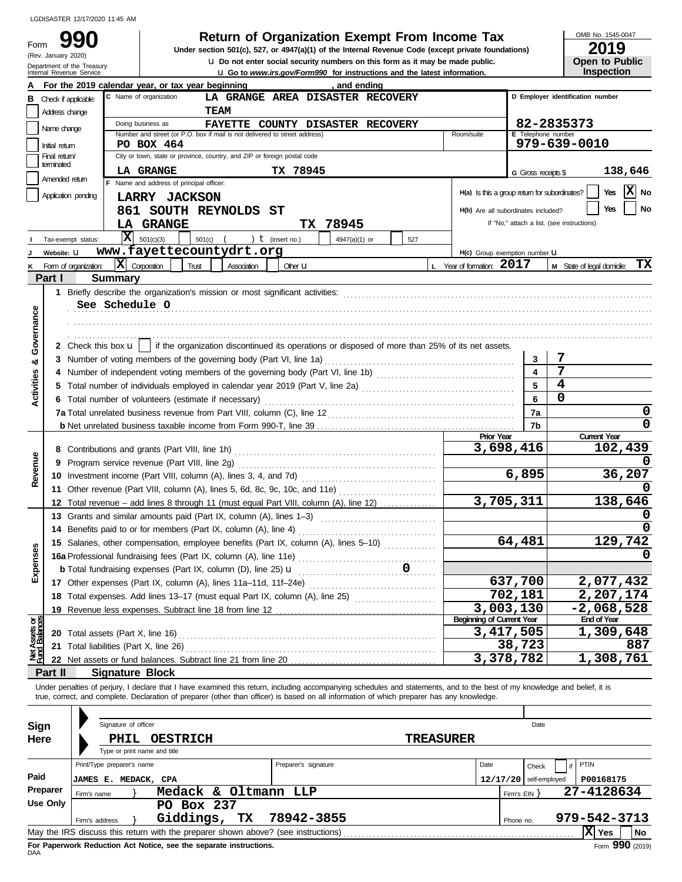### Department of the Treasury<br>Internal Revenue Service Form (Rev. January 2020)

# **990 Return of Organization Exempt From Income Tax**  $\frac{\text{OMB No. 1545-00}}{2019}$

**LIGO to** *www.irs.gov/Form990* **for instructions and the latest information. u** Do not enter social security numbers on this form as it may be made public. **Under section 501(c), 527, or 4947(a)(1) of the Internal Revenue Code (except private foundations)** OMB No. 1545-0047

| ---               |  |
|-------------------|--|
| Open to Public    |  |
| <b>Inspection</b> |  |
|                   |  |

|                                |                                | For the 2019 calendar year, or tax year beginning<br>, and ending                                                                                                                                                                                                                                                        |                           |                                               |                     |                                            |  |  |  |  |  |  |
|--------------------------------|--------------------------------|--------------------------------------------------------------------------------------------------------------------------------------------------------------------------------------------------------------------------------------------------------------------------------------------------------------------------|---------------------------|-----------------------------------------------|---------------------|--------------------------------------------|--|--|--|--|--|--|
| в                              | Check if applicable:           | C Name of organization<br>LA GRANGE AREA DISASTER RECOVERY                                                                                                                                                                                                                                                               |                           |                                               |                     | D Employer identification number           |  |  |  |  |  |  |
|                                | Address change                 | TEAM                                                                                                                                                                                                                                                                                                                     |                           |                                               |                     |                                            |  |  |  |  |  |  |
|                                | Name change                    | Doing business as<br><b>FAYETTE</b><br>COUNTY DISASTER RECOVERY                                                                                                                                                                                                                                                          |                           |                                               |                     | 82-2835373                                 |  |  |  |  |  |  |
|                                |                                | Number and street (or P.O. box if mail is not delivered to street address)<br>E Telephone number<br>Room/suite<br>979-639-0010<br>PO BOX 464                                                                                                                                                                             |                           |                                               |                     |                                            |  |  |  |  |  |  |
|                                | Initial return<br>Final retum  | City or town, state or province, country, and ZIP or foreign postal code                                                                                                                                                                                                                                                 |                           |                                               |                     |                                            |  |  |  |  |  |  |
| terminated                     |                                |                                                                                                                                                                                                                                                                                                                          |                           |                                               |                     |                                            |  |  |  |  |  |  |
|                                | Amended return                 | TX 78945<br><b>LA GRANGE</b><br>F Name and address of principal officer:                                                                                                                                                                                                                                                 |                           |                                               | G Gross receipts \$ | 138,646                                    |  |  |  |  |  |  |
|                                | Application pending            | LARRY JACKSON                                                                                                                                                                                                                                                                                                            |                           | H(a) Is this a group return for subordinates? |                     | $ X $ No<br>Yes                            |  |  |  |  |  |  |
|                                |                                |                                                                                                                                                                                                                                                                                                                          |                           |                                               |                     | No<br>Yes                                  |  |  |  |  |  |  |
|                                |                                | 861 SOUTH REYNOLDS ST                                                                                                                                                                                                                                                                                                    |                           | H(b) Are all subordinates included?           |                     | If "No," attach a list. (see instructions) |  |  |  |  |  |  |
|                                |                                | TX 78945<br><b>LA GRANGE</b>                                                                                                                                                                                                                                                                                             |                           |                                               |                     |                                            |  |  |  |  |  |  |
|                                | Tax-exempt status:             | $ \mathbf{x} $<br>501(c)(3)<br>501(c) $($ $)$ $\bf{t}$ (insert no.)<br>4947(a)(1) or<br>527                                                                                                                                                                                                                              |                           |                                               |                     |                                            |  |  |  |  |  |  |
|                                | Website: U                     | www.fayettecountydrt.org                                                                                                                                                                                                                                                                                                 |                           | H(c) Group exemption number U                 |                     |                                            |  |  |  |  |  |  |
|                                | Form of organization:          | $ \mathbf{X} $ Corporation<br>Trust<br>Association<br>Other <b>U</b>                                                                                                                                                                                                                                                     | L Year of formation: 2017 |                                               |                     | TХ<br>M State of legal domicile:           |  |  |  |  |  |  |
|                                | Part I                         | <b>Summary</b>                                                                                                                                                                                                                                                                                                           |                           |                                               |                     |                                            |  |  |  |  |  |  |
|                                |                                |                                                                                                                                                                                                                                                                                                                          |                           |                                               |                     |                                            |  |  |  |  |  |  |
|                                |                                | See Schedule O                                                                                                                                                                                                                                                                                                           |                           |                                               |                     |                                            |  |  |  |  |  |  |
|                                |                                |                                                                                                                                                                                                                                                                                                                          |                           |                                               |                     |                                            |  |  |  |  |  |  |
| Governance                     |                                |                                                                                                                                                                                                                                                                                                                          |                           |                                               |                     |                                            |  |  |  |  |  |  |
|                                |                                | 2 Check this box $\mathbf{u}$   if the organization discontinued its operations or disposed of more than 25% of its net assets.                                                                                                                                                                                          |                           |                                               |                     |                                            |  |  |  |  |  |  |
| ೲ                              |                                |                                                                                                                                                                                                                                                                                                                          |                           |                                               | 3                   | 7                                          |  |  |  |  |  |  |
|                                |                                |                                                                                                                                                                                                                                                                                                                          |                           |                                               |                     | 7                                          |  |  |  |  |  |  |
| Activities                     |                                |                                                                                                                                                                                                                                                                                                                          |                           |                                               | 5                   | 4                                          |  |  |  |  |  |  |
|                                |                                |                                                                                                                                                                                                                                                                                                                          |                           |                                               | 6                   | 0                                          |  |  |  |  |  |  |
|                                |                                |                                                                                                                                                                                                                                                                                                                          |                           |                                               | 7a                  | 0                                          |  |  |  |  |  |  |
|                                |                                |                                                                                                                                                                                                                                                                                                                          |                           |                                               | 7b                  | 0                                          |  |  |  |  |  |  |
|                                |                                |                                                                                                                                                                                                                                                                                                                          |                           | Prior Year                                    |                     | <b>Current Year</b>                        |  |  |  |  |  |  |
|                                |                                |                                                                                                                                                                                                                                                                                                                          |                           | 3,698,416                                     |                     | 102,439                                    |  |  |  |  |  |  |
| Revenue                        | 9                              |                                                                                                                                                                                                                                                                                                                          |                           |                                               |                     |                                            |  |  |  |  |  |  |
|                                |                                |                                                                                                                                                                                                                                                                                                                          |                           | 6,895                                         |                     | 36,207                                     |  |  |  |  |  |  |
|                                |                                |                                                                                                                                                                                                                                                                                                                          |                           |                                               |                     |                                            |  |  |  |  |  |  |
|                                |                                | 12 Total revenue – add lines 8 through 11 (must equal Part VIII, column (A), line 12)                                                                                                                                                                                                                                    |                           | 3,705,311                                     |                     | 138,646                                    |  |  |  |  |  |  |
|                                |                                | 13 Grants and similar amounts paid (Part IX, column (A), lines 1-3)                                                                                                                                                                                                                                                      |                           |                                               |                     |                                            |  |  |  |  |  |  |
|                                | 14                             | Benefits paid to or for members (Part IX, column (A), line 4)                                                                                                                                                                                                                                                            |                           |                                               |                     |                                            |  |  |  |  |  |  |
|                                |                                | 15 Salaries, other compensation, employee benefits (Part IX, column (A), lines 5-10)                                                                                                                                                                                                                                     |                           |                                               | 64,481              | 129,742                                    |  |  |  |  |  |  |
| Expenses                       |                                |                                                                                                                                                                                                                                                                                                                          |                           |                                               |                     |                                            |  |  |  |  |  |  |
|                                |                                | <b>b</b> Total fundraising expenses (Part IX, column (D), line 25) <b>u</b>                                                                                                                                                                                                                                              |                           |                                               |                     |                                            |  |  |  |  |  |  |
|                                |                                | 17 Other expenses (Part IX, column (A), lines 11a-11d, 11f-24e)                                                                                                                                                                                                                                                          |                           | 637,700                                       |                     | 2,077,432                                  |  |  |  |  |  |  |
|                                |                                | 18 Total expenses. Add lines 13-17 (must equal Part IX, column (A), line 25) [[[[[[[[[[[[[[[[[[[[[[[[[[[[[[[[                                                                                                                                                                                                            |                           | 702,181                                       |                     | 2,207,174                                  |  |  |  |  |  |  |
|                                |                                | 19 Revenue less expenses. Subtract line 18 from line 12                                                                                                                                                                                                                                                                  |                           | 3,003,130                                     |                     | $\overline{-2,068,528}$                    |  |  |  |  |  |  |
| Net Assets or<br>Fund Balances |                                |                                                                                                                                                                                                                                                                                                                          |                           | <b>Beginning of Current Year</b>              |                     | <b>End of Year</b>                         |  |  |  |  |  |  |
|                                |                                |                                                                                                                                                                                                                                                                                                                          |                           | 3,417,505                                     |                     | 1,309,648                                  |  |  |  |  |  |  |
|                                |                                |                                                                                                                                                                                                                                                                                                                          |                           |                                               | 38,723              | 887                                        |  |  |  |  |  |  |
|                                |                                |                                                                                                                                                                                                                                                                                                                          |                           | 3,378,782                                     |                     | 1,308,761                                  |  |  |  |  |  |  |
|                                | Part II                        | <b>Signature Block</b>                                                                                                                                                                                                                                                                                                   |                           |                                               |                     |                                            |  |  |  |  |  |  |
|                                |                                | Under penalties of perjury, I declare that I have examined this return, including accompanying schedules and statements, and to the best of my knowledge and belief, it is<br>true, correct, and complete. Declaration of preparer (other than officer) is based on all information of which preparer has any knowledge. |                           |                                               |                     |                                            |  |  |  |  |  |  |
|                                |                                |                                                                                                                                                                                                                                                                                                                          |                           |                                               |                     |                                            |  |  |  |  |  |  |
|                                |                                |                                                                                                                                                                                                                                                                                                                          |                           |                                               |                     |                                            |  |  |  |  |  |  |
| <b>Sign</b>                    |                                | Signature of officer                                                                                                                                                                                                                                                                                                     |                           |                                               | Date                |                                            |  |  |  |  |  |  |
| Here                           |                                | <b>PHIL</b><br><b>OESTRICH</b>                                                                                                                                                                                                                                                                                           | <b>TREASURER</b>          |                                               |                     |                                            |  |  |  |  |  |  |
|                                |                                | Type or print name and title                                                                                                                                                                                                                                                                                             |                           |                                               |                     |                                            |  |  |  |  |  |  |
|                                |                                | Print/Type preparer's name<br>Preparer's signature                                                                                                                                                                                                                                                                       |                           | Date                                          | Check               | PTIN<br>if                                 |  |  |  |  |  |  |
| Paid                           |                                | JAMES E. MEDACK, CPA                                                                                                                                                                                                                                                                                                     |                           | 12/17/20                                      | self-employed       | P00168175                                  |  |  |  |  |  |  |
|                                | <b>Preparer</b><br>Firm's name | Medack & Oltmann LLP                                                                                                                                                                                                                                                                                                     |                           |                                               | Firm's EIN }        | 27-4128634                                 |  |  |  |  |  |  |
|                                | <b>Use Only</b>                | PO Box 237                                                                                                                                                                                                                                                                                                               |                           |                                               |                     |                                            |  |  |  |  |  |  |
|                                | Firm's address                 | Giddings,<br>78942-3855<br>TХ                                                                                                                                                                                                                                                                                            |                           |                                               | Phone no.           | 979-542-3713                               |  |  |  |  |  |  |
|                                |                                | May the IRS discuss this return with the preparer shown above? (see instructions)                                                                                                                                                                                                                                        |                           |                                               |                     | $ \mathbf{X} $ Yes<br>No                   |  |  |  |  |  |  |

| Sign     |                            | Signature of officer |                                                                                   |                      |                  |          |                   | Date          |                 |                                     |
|----------|----------------------------|----------------------|-----------------------------------------------------------------------------------|----------------------|------------------|----------|-------------------|---------------|-----------------|-------------------------------------|
| Here     |                            | <b>PHIL</b>          | <b>OESTRICH</b>                                                                   |                      | <b>TREASURER</b> |          |                   |               |                 |                                     |
|          |                            |                      | Type or print name and title                                                      |                      |                  |          |                   |               |                 |                                     |
|          | Print/Type preparer's name |                      |                                                                                   | Preparer's signature |                  | Date     |                   | Check         | <b>PTIN</b>     |                                     |
| Paid     | JAMES E.                   |                      | MEDACK, CPA                                                                       |                      |                  | 12/17/20 |                   | self-employed | P00168175       |                                     |
| Preparer | Firm's name                |                      | Oltmann<br>Medack &                                                               | LLP                  |                  |          | Firm's $EIN$ $\}$ |               | 27-4128634      |                                     |
| Use Only |                            |                      | Box 237<br>PO.                                                                    |                      |                  |          |                   |               |                 |                                     |
|          | Firm's address             |                      | Giddings,<br>TX                                                                   | 78942-3855           |                  |          | Phone no.         |               | 979-542-3713    |                                     |
|          |                            |                      | May the IRS discuss this return with the preparer shown above? (see instructions) |                      |                  |          |                   |               | x<br><b>Yes</b> | No                                  |
|          |                            |                      | For Panerwork Reduction Act Notice, see the senarate instructions                 |                      |                  |          |                   |               |                 | $F_{\text{com}}$ QQ $\Omega$ (2010) |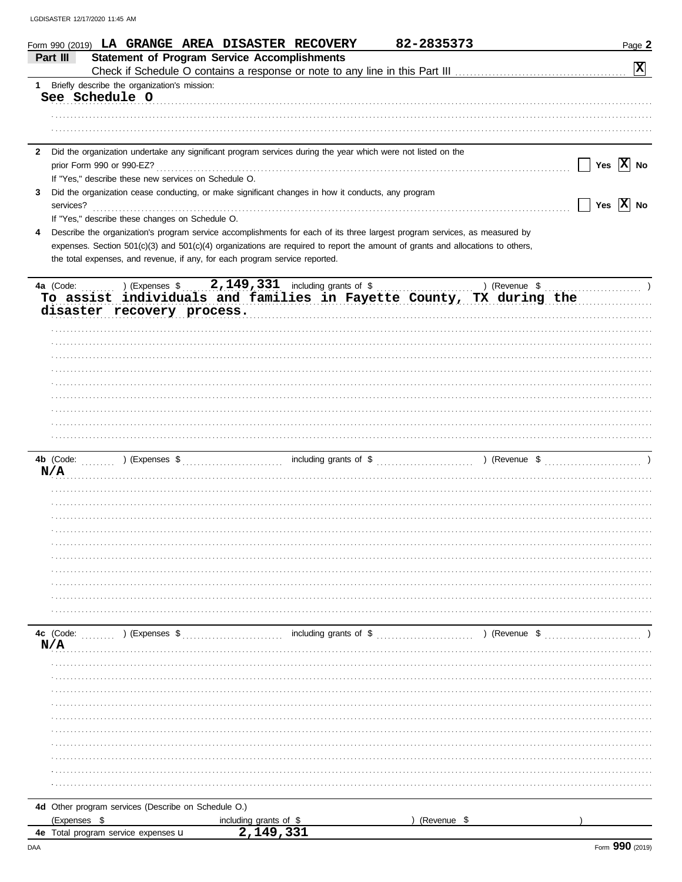|              | Form 990 (2019) LA GRANGE AREA DISASTER RECOVERY                                                                                                                   |                                        | 82-2835373  | Page 2                           |
|--------------|--------------------------------------------------------------------------------------------------------------------------------------------------------------------|----------------------------------------|-------------|----------------------------------|
|              | <b>Statement of Program Service Accomplishments</b><br>Part III                                                                                                    |                                        |             |                                  |
|              |                                                                                                                                                                    |                                        |             | $\mathbf{x}$                     |
|              | 1 Briefly describe the organization's mission:<br>See Schedule O                                                                                                   |                                        |             |                                  |
|              |                                                                                                                                                                    |                                        |             |                                  |
|              |                                                                                                                                                                    |                                        |             |                                  |
|              |                                                                                                                                                                    |                                        |             |                                  |
| $\mathbf{2}$ | Did the organization undertake any significant program services during the year which were not listed on the                                                       |                                        |             |                                  |
|              |                                                                                                                                                                    |                                        |             | $\vert$ $\vert$ Yes $\vert$ X No |
|              | If "Yes," describe these new services on Schedule O.                                                                                                               |                                        |             |                                  |
| 3            | Did the organization cease conducting, or make significant changes in how it conducts, any program                                                                 |                                        |             |                                  |
|              | services?                                                                                                                                                          |                                        |             | $\vert$   Yes $\vert$ X   No     |
|              | If "Yes," describe these changes on Schedule O.                                                                                                                    |                                        |             |                                  |
| 4            | Describe the organization's program service accomplishments for each of its three largest program services, as measured by                                         |                                        |             |                                  |
|              | expenses. Section 501(c)(3) and 501(c)(4) organizations are required to report the amount of grants and allocations to others,                                     |                                        |             |                                  |
|              | the total expenses, and revenue, if any, for each program service reported.                                                                                        |                                        |             |                                  |
|              |                                                                                                                                                                    |                                        |             |                                  |
|              | a (Code: ) (Expenses \$2,149,331 including grants of \$) (Revenue \$) (Revenue \$ To assist individuals and families in Fayette County, TX during the<br>4a (Code: |                                        |             |                                  |
|              | disaster recovery process.                                                                                                                                         |                                        |             |                                  |
|              |                                                                                                                                                                    |                                        |             |                                  |
|              |                                                                                                                                                                    |                                        |             |                                  |
|              |                                                                                                                                                                    |                                        |             |                                  |
|              |                                                                                                                                                                    |                                        |             |                                  |
|              |                                                                                                                                                                    |                                        |             |                                  |
|              |                                                                                                                                                                    |                                        |             |                                  |
|              |                                                                                                                                                                    |                                        |             |                                  |
|              |                                                                                                                                                                    |                                        |             |                                  |
|              |                                                                                                                                                                    |                                        |             |                                  |
|              |                                                                                                                                                                    |                                        |             |                                  |
|              |                                                                                                                                                                    |                                        |             |                                  |
|              | N/A                                                                                                                                                                |                                        |             |                                  |
|              |                                                                                                                                                                    |                                        |             |                                  |
|              |                                                                                                                                                                    |                                        |             |                                  |
|              |                                                                                                                                                                    |                                        |             |                                  |
|              |                                                                                                                                                                    |                                        |             |                                  |
|              |                                                                                                                                                                    |                                        |             |                                  |
|              |                                                                                                                                                                    |                                        |             |                                  |
|              |                                                                                                                                                                    |                                        |             |                                  |
|              |                                                                                                                                                                    |                                        |             |                                  |
|              |                                                                                                                                                                    |                                        |             |                                  |
|              |                                                                                                                                                                    |                                        |             |                                  |
|              | 4c (Code: (Code: ) (Expenses \$                                                                                                                                    |                                        |             |                                  |
|              | N/A                                                                                                                                                                |                                        |             |                                  |
|              |                                                                                                                                                                    |                                        |             |                                  |
|              |                                                                                                                                                                    |                                        |             |                                  |
|              |                                                                                                                                                                    |                                        |             |                                  |
|              |                                                                                                                                                                    |                                        |             |                                  |
|              |                                                                                                                                                                    |                                        |             |                                  |
|              |                                                                                                                                                                    |                                        |             |                                  |
|              |                                                                                                                                                                    |                                        |             |                                  |
|              |                                                                                                                                                                    |                                        |             |                                  |
|              |                                                                                                                                                                    |                                        |             |                                  |
|              |                                                                                                                                                                    |                                        |             |                                  |
|              | 4d Other program services (Describe on Schedule O.)                                                                                                                |                                        |             |                                  |
|              | (Expenses \$                                                                                                                                                       | including grants of $$$<br>2, 149, 331 | (Revenue \$ |                                  |
|              | 4e Total program service expenses <b>U</b>                                                                                                                         |                                        |             |                                  |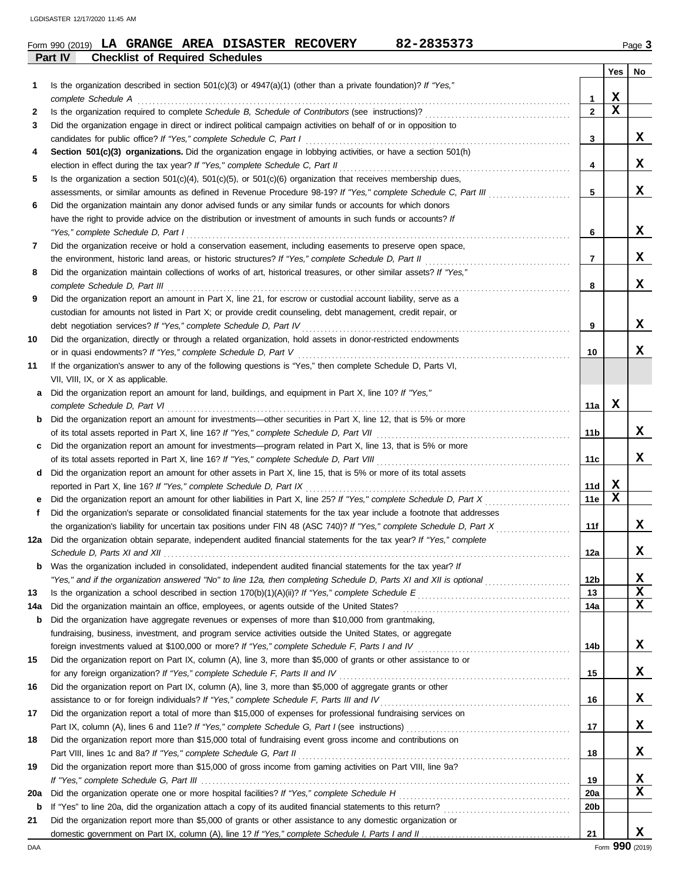| Form 990 (2019) | LA |                                        |  | <b>GRANGE AREA DISASTER RECOVERY</b> | 82-2835373 |  | Page: |
|-----------------|----|----------------------------------------|--|--------------------------------------|------------|--|-------|
| Part IV         |    | <b>Checklist of Required Schedules</b> |  |                                      |            |  |       |

|     |                                                                                                                                                                                                                                |                 | Yes | No |
|-----|--------------------------------------------------------------------------------------------------------------------------------------------------------------------------------------------------------------------------------|-----------------|-----|----|
| 1   | Is the organization described in section $501(c)(3)$ or $4947(a)(1)$ (other than a private foundation)? If "Yes,"                                                                                                              |                 |     |    |
|     | complete Schedule A                                                                                                                                                                                                            | 1               | x   |    |
| 2   |                                                                                                                                                                                                                                | $\overline{2}$  | X   |    |
| 3   | Did the organization engage in direct or indirect political campaign activities on behalf of or in opposition to                                                                                                               |                 |     |    |
|     |                                                                                                                                                                                                                                | 3               |     | x  |
| 4   | Section 501(c)(3) organizations. Did the organization engage in lobbying activities, or have a section 501(h)                                                                                                                  |                 |     |    |
|     | election in effect during the tax year? If "Yes," complete Schedule C, Part II                                                                                                                                                 | 4               |     | x  |
| 5   | Is the organization a section $501(c)(4)$ , $501(c)(5)$ , or $501(c)(6)$ organization that receives membership dues,                                                                                                           |                 |     |    |
|     | assessments, or similar amounts as defined in Revenue Procedure 98-19? If "Yes," complete Schedule C, Part III                                                                                                                 | 5               |     | x  |
| 6   | Did the organization maintain any donor advised funds or any similar funds or accounts for which donors                                                                                                                        |                 |     |    |
|     | have the right to provide advice on the distribution or investment of amounts in such funds or accounts? If                                                                                                                    |                 |     |    |
|     | "Yes," complete Schedule D, Part I                                                                                                                                                                                             | 6               |     | x  |
| 7   | Did the organization receive or hold a conservation easement, including easements to preserve open space,                                                                                                                      |                 |     |    |
|     | the environment, historic land areas, or historic structures? If "Yes," complete Schedule D, Part II                                                                                                                           | $\overline{7}$  |     | X. |
| 8   | Did the organization maintain collections of works of art, historical treasures, or other similar assets? If "Yes,"                                                                                                            |                 |     |    |
|     | complete Schedule D, Part III et al. (2008) and the complete Schedule D, Part III et al. (2009) and the complete Schedule D, Part III et al. (2009) and the complete Schedule D, Part III et al. (2009) and the complete Sched | 8               |     | X. |
| 9   | Did the organization report an amount in Part X, line 21, for escrow or custodial account liability, serve as a                                                                                                                |                 |     |    |
|     | custodian for amounts not listed in Part X; or provide credit counseling, debt management, credit repair, or                                                                                                                   |                 |     | x  |
|     |                                                                                                                                                                                                                                | 9               |     |    |
| 10  | Did the organization, directly or through a related organization, hold assets in donor-restricted endowments                                                                                                                   | 10              |     | X. |
| 11  |                                                                                                                                                                                                                                |                 |     |    |
|     | If the organization's answer to any of the following questions is "Yes," then complete Schedule D, Parts VI,<br>VII, VIII, IX, or X as applicable.                                                                             |                 |     |    |
|     | Did the organization report an amount for land, buildings, and equipment in Part X, line 10? If "Yes,"                                                                                                                         |                 |     |    |
| a   | complete Schedule D, Part VI                                                                                                                                                                                                   | 11a             | х   |    |
| b   | Did the organization report an amount for investments—other securities in Part X, line 12, that is 5% or more                                                                                                                  |                 |     |    |
|     |                                                                                                                                                                                                                                | 11b             |     | x  |
| c   | Did the organization report an amount for investments—program related in Part X, line 13, that is 5% or more                                                                                                                   |                 |     |    |
|     |                                                                                                                                                                                                                                | 11c             |     | X. |
| d   | Did the organization report an amount for other assets in Part X, line 15, that is 5% or more of its total assets                                                                                                              |                 |     |    |
|     |                                                                                                                                                                                                                                | 11d             | x   |    |
|     |                                                                                                                                                                                                                                | 11e             | x   |    |
| f   | Did the organization's separate or consolidated financial statements for the tax year include a footnote that addresses                                                                                                        |                 |     |    |
|     |                                                                                                                                                                                                                                | 11f             |     | X. |
| 12a | Did the organization obtain separate, independent audited financial statements for the tax year? If "Yes," complete                                                                                                            |                 |     |    |
|     |                                                                                                                                                                                                                                | 12a             |     | X. |
| b   | Was the organization included in consolidated, independent audited financial statements for the tax year? If                                                                                                                   |                 |     |    |
|     | "Yes," and if the organization answered "No" to line 12a, then completing Schedule D, Parts XI and XII is optional                                                                                                             | 12 <sub>b</sub> |     | X  |
| 13  |                                                                                                                                                                                                                                | 13              |     | x  |
| 14a |                                                                                                                                                                                                                                | 14a             |     | x  |
| b   | Did the organization have aggregate revenues or expenses of more than \$10,000 from grantmaking,                                                                                                                               |                 |     |    |
|     | fundraising, business, investment, and program service activities outside the United States, or aggregate                                                                                                                      |                 |     |    |
|     | foreign investments valued at \$100,000 or more? If "Yes," complete Schedule F, Parts I and IV [[[[[[[[[[[[[[[[                                                                                                                | 14b             |     | x  |
| 15  | Did the organization report on Part IX, column (A), line 3, more than \$5,000 of grants or other assistance to or                                                                                                              |                 |     |    |
|     | for any foreign organization? If "Yes," complete Schedule F, Parts II and IV                                                                                                                                                   | 15              |     | x  |
| 16  | Did the organization report on Part IX, column (A), line 3, more than \$5,000 of aggregate grants or other                                                                                                                     |                 |     |    |
|     |                                                                                                                                                                                                                                | 16              |     | x  |
| 17  | Did the organization report a total of more than \$15,000 of expenses for professional fundraising services on                                                                                                                 |                 |     |    |
|     |                                                                                                                                                                                                                                | 17              |     | x  |
| 18  | Did the organization report more than \$15,000 total of fundraising event gross income and contributions on                                                                                                                    |                 |     |    |
|     | Part VIII, lines 1c and 8a? If "Yes," complete Schedule G, Part II                                                                                                                                                             | 18              |     | x  |
| 19  | Did the organization report more than \$15,000 of gross income from gaming activities on Part VIII, line 9a?                                                                                                                   |                 |     |    |
|     |                                                                                                                                                                                                                                | 19              |     | x  |
| 20a | Did the organization operate one or more hospital facilities? If "Yes," complete Schedule H                                                                                                                                    | <b>20a</b>      |     | x  |
| b   |                                                                                                                                                                                                                                | 20 <sub>b</sub> |     |    |
| 21  | Did the organization report more than \$5,000 of grants or other assistance to any domestic organization or                                                                                                                    |                 |     |    |
|     |                                                                                                                                                                                                                                | 21              |     | x  |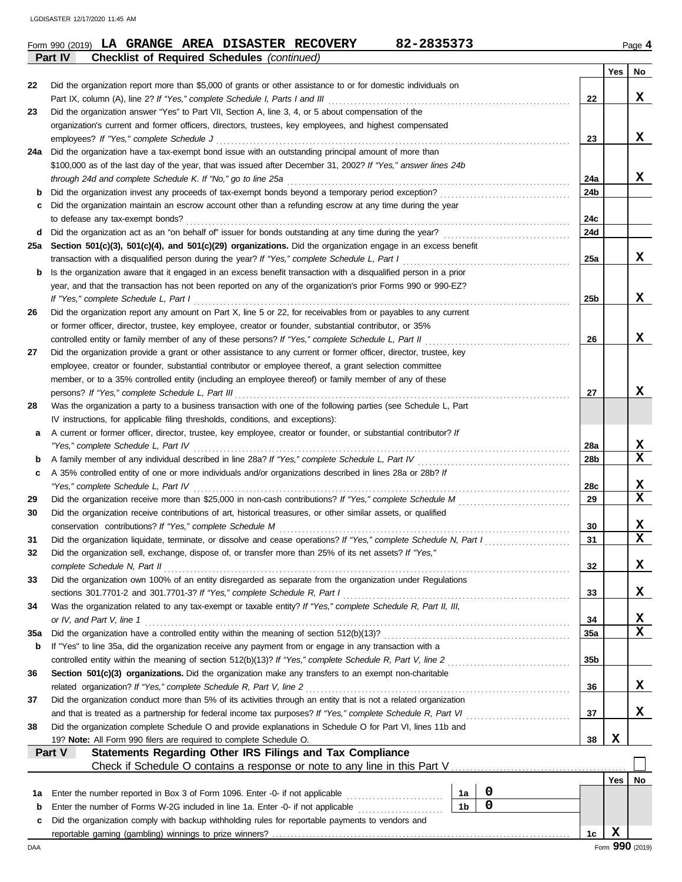|     | 82-2835373<br>Form 990 (2019) LA GRANGE AREA DISASTER RECOVERY<br><b>Checklist of Required Schedules (continued)</b><br>Part IV |            |     | Page 4      |
|-----|---------------------------------------------------------------------------------------------------------------------------------|------------|-----|-------------|
|     |                                                                                                                                 |            | Yes | No          |
| 22  | Did the organization report more than \$5,000 of grants or other assistance to or for domestic individuals on                   |            |     |             |
|     |                                                                                                                                 | 22         |     | X           |
| 23  | Did the organization answer "Yes" to Part VII, Section A, line 3, 4, or 5 about compensation of the                             |            |     |             |
|     | organization's current and former officers, directors, trustees, key employees, and highest compensated                         |            |     |             |
|     | employees? If "Yes," complete Schedule J                                                                                        | 23         |     | x           |
| 24a | Did the organization have a tax-exempt bond issue with an outstanding principal amount of more than                             |            |     |             |
|     | \$100,000 as of the last day of the year, that was issued after December 31, 2002? If "Yes," answer lines 24b                   |            |     |             |
|     | through 24d and complete Schedule K. If "No," go to line 25a                                                                    | 24a        |     | X           |
| b   | Did the organization invest any proceeds of tax-exempt bonds beyond a temporary period exception?                               | 24b        |     |             |
| c   | Did the organization maintain an escrow account other than a refunding escrow at any time during the year                       |            |     |             |
|     | to defease any tax-exempt bonds?                                                                                                | 24c        |     |             |
| d   |                                                                                                                                 | 24d        |     |             |
| 25a | Section 501(c)(3), 501(c)(4), and 501(c)(29) organizations. Did the organization engage in an excess benefit                    |            |     |             |
|     | transaction with a disqualified person during the year? If "Yes," complete Schedule L, Part I                                   | 25a        |     | X           |
| b   | Is the organization aware that it engaged in an excess benefit transaction with a disqualified person in a prior                |            |     |             |
|     | year, and that the transaction has not been reported on any of the organization's prior Forms 990 or 990-EZ?                    |            |     |             |
|     | If "Yes." complete Schedule L, Part I                                                                                           | 25b        |     | X           |
| 26  | Did the organization report any amount on Part X, line 5 or 22, for receivables from or payables to any current                 |            |     |             |
|     | or former officer, director, trustee, key employee, creator or founder, substantial contributor, or 35%                         |            |     |             |
|     | controlled entity or family member of any of these persons? If "Yes," complete Schedule L, Part II                              | 26         |     | X           |
| 27  | Did the organization provide a grant or other assistance to any current or former officer, director, trustee, key               |            |     |             |
|     | employee, creator or founder, substantial contributor or employee thereof, a grant selection committee                          |            |     |             |
|     | member, or to a 35% controlled entity (including an employee thereof) or family member of any of these                          |            |     |             |
|     | persons? If "Yes," complete Schedule L, Part III                                                                                | 27         |     | X           |
| 28  | Was the organization a party to a business transaction with one of the following parties (see Schedule L, Part                  |            |     |             |
|     | IV instructions, for applicable filing thresholds, conditions, and exceptions):                                                 |            |     |             |
| а   | A current or former officer, director, trustee, key employee, creator or founder, or substantial contributor? If                |            |     |             |
|     | "Yes," complete Schedule L, Part IV                                                                                             | 28a        |     | x           |
| b   | A family member of any individual described in line 28a? If "Yes," complete Schedule L, Part IV [[[[[[[[[[[[[[                  | 28b        |     | $\mathbf X$ |
| c   | A 35% controlled entity of one or more individuals and/or organizations described in lines 28a or 28b? If                       |            |     |             |
|     |                                                                                                                                 | 28c        |     | x           |
| 29  |                                                                                                                                 | 29         |     | $\mathbf x$ |
| 30  | Did the organization receive contributions of art, historical treasures, or other similar assets, or qualified                  |            |     |             |
|     | conservation contributions? If "Yes," complete Schedule M                                                                       | 30         |     | x           |
| 31  | Did the organization liquidate, terminate, or dissolve and cease operations? If "Yes," complete Schedule N, Part I              | 31         |     | x           |
| 32  | Did the organization sell, exchange, dispose of, or transfer more than 25% of its net assets? If "Yes,"                         |            |     |             |
|     | complete Schedule N, Part II                                                                                                    | 32         |     | x           |
| 33  | Did the organization own 100% of an entity disregarded as separate from the organization under Regulations                      |            |     |             |
|     | sections 301.7701-2 and 301.7701-3? If "Yes," complete Schedule R, Part I                                                       | 33         |     | x           |
| 34  | Was the organization related to any tax-exempt or taxable entity? If "Yes," complete Schedule R, Part II, III,                  |            |     |             |
|     | or IV, and Part V, line 1                                                                                                       | 34         |     | x           |
| 35a |                                                                                                                                 | <b>35a</b> |     | $\mathbf x$ |
| b   | If "Yes" to line 35a, did the organization receive any payment from or engage in any transaction with a                         |            |     |             |
|     |                                                                                                                                 | 35b        |     |             |
| 36  | Section 501(c)(3) organizations. Did the organization make any transfers to an exempt non-charitable                            |            |     |             |
|     | related organization? If "Yes," complete Schedule R, Part V, line 2                                                             | 36         |     | x           |
| 37  | Did the organization conduct more than 5% of its activities through an entity that is not a related organization                |            |     |             |
|     |                                                                                                                                 | 37         |     | x           |
| 38  | Did the organization complete Schedule O and provide explanations in Schedule O for Part VI, lines 11b and                      |            |     |             |
|     | 19? Note: All Form 990 filers are required to complete Schedule O.                                                              | 38         | X   |             |

|    |                                                                                                    |  |  | No |
|----|----------------------------------------------------------------------------------------------------|--|--|----|
| 1a | Enter the number reported in Box 3 of Form 1096. Enter -0- if not applicable                       |  |  |    |
|    | <b>b</b> Enter the number of Forms W-2G included in line 1a. Enter -0- if not applicable           |  |  |    |
|    | c Did the organization comply with backup withholding rules for reportable payments to vendors and |  |  |    |
|    | reportable gaming (gambling) winnings to prize winners?                                            |  |  |    |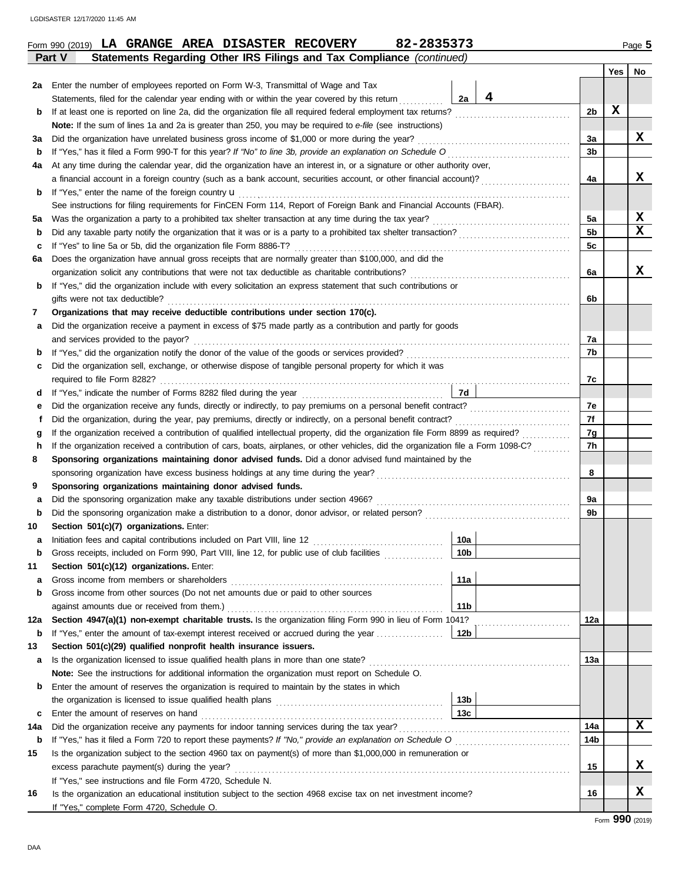| Statements Regarding Other IRS Filings and Tax Compliance (continued)<br>Part V<br>No<br>Yes  <br>2a Enter the number of employees reported on Form W-3, Transmittal of Wage and Tax<br>4<br>Statements, filed for the calendar year ending with or within the year covered by this return<br>2a<br>X<br>2 <sub>b</sub><br>If at least one is reported on line 2a, did the organization file all required federal employment tax returns?<br>b<br>Note: If the sum of lines 1a and 2a is greater than 250, you may be required to e-file (see instructions)<br>x<br>Did the organization have unrelated business gross income of \$1,000 or more during the year?<br>3a<br>За<br>3 <sub>b</sub><br>If "Yes," has it filed a Form 990-T for this year? If "No" to line 3b, provide an explanation on Schedule O<br>b<br>At any time during the calendar year, did the organization have an interest in, or a signature or other authority over,<br>4a<br>x<br>a financial account in a foreign country (such as a bank account, securities account, or other financial account)?<br>4a<br>If "Yes," enter the name of the foreign country <b>u</b><br>b<br>See instructions for filing requirements for FinCEN Form 114, Report of Foreign Bank and Financial Accounts (FBAR).<br>X<br>5a<br>5a<br>X<br>5 <sub>b</sub><br>Did any taxable party notify the organization that it was or is a party to a prohibited tax shelter transaction?<br>b<br>5c<br>If "Yes" to line 5a or 5b, did the organization file Form 8886-T?<br>c<br>Does the organization have annual gross receipts that are normally greater than \$100,000, and did the<br>6a<br>X<br>6a<br>If "Yes," did the organization include with every solicitation an express statement that such contributions or<br>b<br>gifts were not tax deductible?<br>6b<br>Organizations that may receive deductible contributions under section 170(c).<br>7<br>Did the organization receive a payment in excess of \$75 made partly as a contribution and partly for goods<br>а<br>and services provided to the payor?<br>7а<br>7b<br>b<br>Did the organization sell, exchange, or otherwise dispose of tangible personal property for which it was<br>с<br>7c<br>7d<br>d<br>7e<br>Did the organization receive any funds, directly or indirectly, to pay premiums on a personal benefit contract?<br>е<br>7f<br>Did the organization, during the year, pay premiums, directly or indirectly, on a personal benefit contract?<br>f<br>7g<br>If the organization received a contribution of qualified intellectual property, did the organization file Form 8899 as required?<br>g<br>If the organization received a contribution of cars, boats, airplanes, or other vehicles, did the organization file a Form 1098-C?<br>7h<br>h<br>Sponsoring organizations maintaining donor advised funds. Did a donor advised fund maintained by the<br>8<br>8<br>9<br>Sponsoring organizations maintaining donor advised funds.<br>Did the sponsoring organization make any taxable distributions under section 4966?<br>9а<br>а<br>Did the sponsoring organization make a distribution to a donor, donor advisor, or related person?<br>9b<br>b<br>Section 501(c)(7) organizations. Enter:<br>10<br> 10a <br>10 <sub>b</sub><br>Gross receipts, included on Form 990, Part VIII, line 12, for public use of club facilities<br>b<br>11<br>Section 501(c)(12) organizations. Enter:<br>11a<br>Gross income from members or shareholders<br>а<br>Gross income from other sources (Do not net amounts due or paid to other sources<br>b<br>11 <sub>b</sub><br>Section 4947(a)(1) non-exempt charitable trusts. Is the organization filing Form 990 in lieu of Form 1041?<br>12a<br>12a<br>12 <sub>b</sub><br>If "Yes," enter the amount of tax-exempt interest received or accrued during the year<br>b<br>Section 501(c)(29) qualified nonprofit health insurance issuers.<br>13<br>13a<br>a<br>Note: See the instructions for additional information the organization must report on Schedule O.<br>Enter the amount of reserves the organization is required to maintain by the states in which<br>b<br>13 <sub>b</sub><br>13 <sub>c</sub><br>Enter the amount of reserves on hand<br>c<br>X<br>14a<br>Did the organization receive any payments for indoor tanning services during the tax year?<br>14a<br>14b<br>If "Yes," has it filed a Form 720 to report these payments? If "No," provide an explanation on Schedule O<br>b |    | 82-2835373<br>Form 990 (2019) LA GRANGE AREA DISASTER RECOVERY                                                |  | Page 5 |
|------------------------------------------------------------------------------------------------------------------------------------------------------------------------------------------------------------------------------------------------------------------------------------------------------------------------------------------------------------------------------------------------------------------------------------------------------------------------------------------------------------------------------------------------------------------------------------------------------------------------------------------------------------------------------------------------------------------------------------------------------------------------------------------------------------------------------------------------------------------------------------------------------------------------------------------------------------------------------------------------------------------------------------------------------------------------------------------------------------------------------------------------------------------------------------------------------------------------------------------------------------------------------------------------------------------------------------------------------------------------------------------------------------------------------------------------------------------------------------------------------------------------------------------------------------------------------------------------------------------------------------------------------------------------------------------------------------------------------------------------------------------------------------------------------------------------------------------------------------------------------------------------------------------------------------------------------------------------------------------------------------------------------------------------------------------------------------------------------------------------------------------------------------------------------------------------------------------------------------------------------------------------------------------------------------------------------------------------------------------------------------------------------------------------------------------------------------------------------------------------------------------------------------------------------------------------------------------------------------------------------------------------------------------------------------------------------------------------------------------------------------------------------------------------------------------------------------------------------------------------------------------------------------------------------------------------------------------------------------------------------------------------------------------------------------------------------------------------------------------------------------------------------------------------------------------------------------------------------------------------------------------------------------------------------------------------------------------------------------------------------------------------------------------------------------------------------------------------------------------------------------------------------------------------------------------------------------------------------------------------------------------------------------------------------------------------------------------------------------------------------------------------------------------------------------------------------------------------------------------------------------------------------------------------------------------------------------------------------------------------------------------------------------------------------------------------------------------------------------------------------------------------------------------------------------------------------------------------------------------------------------------------------------------------------------------------------------------------------------------------------------------------------------------------------------------------------------------------------|----|---------------------------------------------------------------------------------------------------------------|--|--------|
|                                                                                                                                                                                                                                                                                                                                                                                                                                                                                                                                                                                                                                                                                                                                                                                                                                                                                                                                                                                                                                                                                                                                                                                                                                                                                                                                                                                                                                                                                                                                                                                                                                                                                                                                                                                                                                                                                                                                                                                                                                                                                                                                                                                                                                                                                                                                                                                                                                                                                                                                                                                                                                                                                                                                                                                                                                                                                                                                                                                                                                                                                                                                                                                                                                                                                                                                                                                                                                                                                                                                                                                                                                                                                                                                                                                                                                                                                                                                                                                                                                                                                                                                                                                                                                                                                                                                                                                                                                                                              |    |                                                                                                               |  |        |
|                                                                                                                                                                                                                                                                                                                                                                                                                                                                                                                                                                                                                                                                                                                                                                                                                                                                                                                                                                                                                                                                                                                                                                                                                                                                                                                                                                                                                                                                                                                                                                                                                                                                                                                                                                                                                                                                                                                                                                                                                                                                                                                                                                                                                                                                                                                                                                                                                                                                                                                                                                                                                                                                                                                                                                                                                                                                                                                                                                                                                                                                                                                                                                                                                                                                                                                                                                                                                                                                                                                                                                                                                                                                                                                                                                                                                                                                                                                                                                                                                                                                                                                                                                                                                                                                                                                                                                                                                                                                              |    |                                                                                                               |  |        |
|                                                                                                                                                                                                                                                                                                                                                                                                                                                                                                                                                                                                                                                                                                                                                                                                                                                                                                                                                                                                                                                                                                                                                                                                                                                                                                                                                                                                                                                                                                                                                                                                                                                                                                                                                                                                                                                                                                                                                                                                                                                                                                                                                                                                                                                                                                                                                                                                                                                                                                                                                                                                                                                                                                                                                                                                                                                                                                                                                                                                                                                                                                                                                                                                                                                                                                                                                                                                                                                                                                                                                                                                                                                                                                                                                                                                                                                                                                                                                                                                                                                                                                                                                                                                                                                                                                                                                                                                                                                                              |    |                                                                                                               |  |        |
|                                                                                                                                                                                                                                                                                                                                                                                                                                                                                                                                                                                                                                                                                                                                                                                                                                                                                                                                                                                                                                                                                                                                                                                                                                                                                                                                                                                                                                                                                                                                                                                                                                                                                                                                                                                                                                                                                                                                                                                                                                                                                                                                                                                                                                                                                                                                                                                                                                                                                                                                                                                                                                                                                                                                                                                                                                                                                                                                                                                                                                                                                                                                                                                                                                                                                                                                                                                                                                                                                                                                                                                                                                                                                                                                                                                                                                                                                                                                                                                                                                                                                                                                                                                                                                                                                                                                                                                                                                                                              |    |                                                                                                               |  |        |
|                                                                                                                                                                                                                                                                                                                                                                                                                                                                                                                                                                                                                                                                                                                                                                                                                                                                                                                                                                                                                                                                                                                                                                                                                                                                                                                                                                                                                                                                                                                                                                                                                                                                                                                                                                                                                                                                                                                                                                                                                                                                                                                                                                                                                                                                                                                                                                                                                                                                                                                                                                                                                                                                                                                                                                                                                                                                                                                                                                                                                                                                                                                                                                                                                                                                                                                                                                                                                                                                                                                                                                                                                                                                                                                                                                                                                                                                                                                                                                                                                                                                                                                                                                                                                                                                                                                                                                                                                                                                              |    |                                                                                                               |  |        |
|                                                                                                                                                                                                                                                                                                                                                                                                                                                                                                                                                                                                                                                                                                                                                                                                                                                                                                                                                                                                                                                                                                                                                                                                                                                                                                                                                                                                                                                                                                                                                                                                                                                                                                                                                                                                                                                                                                                                                                                                                                                                                                                                                                                                                                                                                                                                                                                                                                                                                                                                                                                                                                                                                                                                                                                                                                                                                                                                                                                                                                                                                                                                                                                                                                                                                                                                                                                                                                                                                                                                                                                                                                                                                                                                                                                                                                                                                                                                                                                                                                                                                                                                                                                                                                                                                                                                                                                                                                                                              |    |                                                                                                               |  |        |
|                                                                                                                                                                                                                                                                                                                                                                                                                                                                                                                                                                                                                                                                                                                                                                                                                                                                                                                                                                                                                                                                                                                                                                                                                                                                                                                                                                                                                                                                                                                                                                                                                                                                                                                                                                                                                                                                                                                                                                                                                                                                                                                                                                                                                                                                                                                                                                                                                                                                                                                                                                                                                                                                                                                                                                                                                                                                                                                                                                                                                                                                                                                                                                                                                                                                                                                                                                                                                                                                                                                                                                                                                                                                                                                                                                                                                                                                                                                                                                                                                                                                                                                                                                                                                                                                                                                                                                                                                                                                              |    |                                                                                                               |  |        |
|                                                                                                                                                                                                                                                                                                                                                                                                                                                                                                                                                                                                                                                                                                                                                                                                                                                                                                                                                                                                                                                                                                                                                                                                                                                                                                                                                                                                                                                                                                                                                                                                                                                                                                                                                                                                                                                                                                                                                                                                                                                                                                                                                                                                                                                                                                                                                                                                                                                                                                                                                                                                                                                                                                                                                                                                                                                                                                                                                                                                                                                                                                                                                                                                                                                                                                                                                                                                                                                                                                                                                                                                                                                                                                                                                                                                                                                                                                                                                                                                                                                                                                                                                                                                                                                                                                                                                                                                                                                                              |    |                                                                                                               |  |        |
|                                                                                                                                                                                                                                                                                                                                                                                                                                                                                                                                                                                                                                                                                                                                                                                                                                                                                                                                                                                                                                                                                                                                                                                                                                                                                                                                                                                                                                                                                                                                                                                                                                                                                                                                                                                                                                                                                                                                                                                                                                                                                                                                                                                                                                                                                                                                                                                                                                                                                                                                                                                                                                                                                                                                                                                                                                                                                                                                                                                                                                                                                                                                                                                                                                                                                                                                                                                                                                                                                                                                                                                                                                                                                                                                                                                                                                                                                                                                                                                                                                                                                                                                                                                                                                                                                                                                                                                                                                                                              |    |                                                                                                               |  |        |
|                                                                                                                                                                                                                                                                                                                                                                                                                                                                                                                                                                                                                                                                                                                                                                                                                                                                                                                                                                                                                                                                                                                                                                                                                                                                                                                                                                                                                                                                                                                                                                                                                                                                                                                                                                                                                                                                                                                                                                                                                                                                                                                                                                                                                                                                                                                                                                                                                                                                                                                                                                                                                                                                                                                                                                                                                                                                                                                                                                                                                                                                                                                                                                                                                                                                                                                                                                                                                                                                                                                                                                                                                                                                                                                                                                                                                                                                                                                                                                                                                                                                                                                                                                                                                                                                                                                                                                                                                                                                              |    |                                                                                                               |  |        |
|                                                                                                                                                                                                                                                                                                                                                                                                                                                                                                                                                                                                                                                                                                                                                                                                                                                                                                                                                                                                                                                                                                                                                                                                                                                                                                                                                                                                                                                                                                                                                                                                                                                                                                                                                                                                                                                                                                                                                                                                                                                                                                                                                                                                                                                                                                                                                                                                                                                                                                                                                                                                                                                                                                                                                                                                                                                                                                                                                                                                                                                                                                                                                                                                                                                                                                                                                                                                                                                                                                                                                                                                                                                                                                                                                                                                                                                                                                                                                                                                                                                                                                                                                                                                                                                                                                                                                                                                                                                                              |    |                                                                                                               |  |        |
|                                                                                                                                                                                                                                                                                                                                                                                                                                                                                                                                                                                                                                                                                                                                                                                                                                                                                                                                                                                                                                                                                                                                                                                                                                                                                                                                                                                                                                                                                                                                                                                                                                                                                                                                                                                                                                                                                                                                                                                                                                                                                                                                                                                                                                                                                                                                                                                                                                                                                                                                                                                                                                                                                                                                                                                                                                                                                                                                                                                                                                                                                                                                                                                                                                                                                                                                                                                                                                                                                                                                                                                                                                                                                                                                                                                                                                                                                                                                                                                                                                                                                                                                                                                                                                                                                                                                                                                                                                                                              |    |                                                                                                               |  |        |
|                                                                                                                                                                                                                                                                                                                                                                                                                                                                                                                                                                                                                                                                                                                                                                                                                                                                                                                                                                                                                                                                                                                                                                                                                                                                                                                                                                                                                                                                                                                                                                                                                                                                                                                                                                                                                                                                                                                                                                                                                                                                                                                                                                                                                                                                                                                                                                                                                                                                                                                                                                                                                                                                                                                                                                                                                                                                                                                                                                                                                                                                                                                                                                                                                                                                                                                                                                                                                                                                                                                                                                                                                                                                                                                                                                                                                                                                                                                                                                                                                                                                                                                                                                                                                                                                                                                                                                                                                                                                              |    |                                                                                                               |  |        |
|                                                                                                                                                                                                                                                                                                                                                                                                                                                                                                                                                                                                                                                                                                                                                                                                                                                                                                                                                                                                                                                                                                                                                                                                                                                                                                                                                                                                                                                                                                                                                                                                                                                                                                                                                                                                                                                                                                                                                                                                                                                                                                                                                                                                                                                                                                                                                                                                                                                                                                                                                                                                                                                                                                                                                                                                                                                                                                                                                                                                                                                                                                                                                                                                                                                                                                                                                                                                                                                                                                                                                                                                                                                                                                                                                                                                                                                                                                                                                                                                                                                                                                                                                                                                                                                                                                                                                                                                                                                                              |    |                                                                                                               |  |        |
|                                                                                                                                                                                                                                                                                                                                                                                                                                                                                                                                                                                                                                                                                                                                                                                                                                                                                                                                                                                                                                                                                                                                                                                                                                                                                                                                                                                                                                                                                                                                                                                                                                                                                                                                                                                                                                                                                                                                                                                                                                                                                                                                                                                                                                                                                                                                                                                                                                                                                                                                                                                                                                                                                                                                                                                                                                                                                                                                                                                                                                                                                                                                                                                                                                                                                                                                                                                                                                                                                                                                                                                                                                                                                                                                                                                                                                                                                                                                                                                                                                                                                                                                                                                                                                                                                                                                                                                                                                                                              |    |                                                                                                               |  |        |
|                                                                                                                                                                                                                                                                                                                                                                                                                                                                                                                                                                                                                                                                                                                                                                                                                                                                                                                                                                                                                                                                                                                                                                                                                                                                                                                                                                                                                                                                                                                                                                                                                                                                                                                                                                                                                                                                                                                                                                                                                                                                                                                                                                                                                                                                                                                                                                                                                                                                                                                                                                                                                                                                                                                                                                                                                                                                                                                                                                                                                                                                                                                                                                                                                                                                                                                                                                                                                                                                                                                                                                                                                                                                                                                                                                                                                                                                                                                                                                                                                                                                                                                                                                                                                                                                                                                                                                                                                                                                              |    |                                                                                                               |  |        |
|                                                                                                                                                                                                                                                                                                                                                                                                                                                                                                                                                                                                                                                                                                                                                                                                                                                                                                                                                                                                                                                                                                                                                                                                                                                                                                                                                                                                                                                                                                                                                                                                                                                                                                                                                                                                                                                                                                                                                                                                                                                                                                                                                                                                                                                                                                                                                                                                                                                                                                                                                                                                                                                                                                                                                                                                                                                                                                                                                                                                                                                                                                                                                                                                                                                                                                                                                                                                                                                                                                                                                                                                                                                                                                                                                                                                                                                                                                                                                                                                                                                                                                                                                                                                                                                                                                                                                                                                                                                                              |    |                                                                                                               |  |        |
|                                                                                                                                                                                                                                                                                                                                                                                                                                                                                                                                                                                                                                                                                                                                                                                                                                                                                                                                                                                                                                                                                                                                                                                                                                                                                                                                                                                                                                                                                                                                                                                                                                                                                                                                                                                                                                                                                                                                                                                                                                                                                                                                                                                                                                                                                                                                                                                                                                                                                                                                                                                                                                                                                                                                                                                                                                                                                                                                                                                                                                                                                                                                                                                                                                                                                                                                                                                                                                                                                                                                                                                                                                                                                                                                                                                                                                                                                                                                                                                                                                                                                                                                                                                                                                                                                                                                                                                                                                                                              |    |                                                                                                               |  |        |
|                                                                                                                                                                                                                                                                                                                                                                                                                                                                                                                                                                                                                                                                                                                                                                                                                                                                                                                                                                                                                                                                                                                                                                                                                                                                                                                                                                                                                                                                                                                                                                                                                                                                                                                                                                                                                                                                                                                                                                                                                                                                                                                                                                                                                                                                                                                                                                                                                                                                                                                                                                                                                                                                                                                                                                                                                                                                                                                                                                                                                                                                                                                                                                                                                                                                                                                                                                                                                                                                                                                                                                                                                                                                                                                                                                                                                                                                                                                                                                                                                                                                                                                                                                                                                                                                                                                                                                                                                                                                              |    |                                                                                                               |  |        |
|                                                                                                                                                                                                                                                                                                                                                                                                                                                                                                                                                                                                                                                                                                                                                                                                                                                                                                                                                                                                                                                                                                                                                                                                                                                                                                                                                                                                                                                                                                                                                                                                                                                                                                                                                                                                                                                                                                                                                                                                                                                                                                                                                                                                                                                                                                                                                                                                                                                                                                                                                                                                                                                                                                                                                                                                                                                                                                                                                                                                                                                                                                                                                                                                                                                                                                                                                                                                                                                                                                                                                                                                                                                                                                                                                                                                                                                                                                                                                                                                                                                                                                                                                                                                                                                                                                                                                                                                                                                                              |    |                                                                                                               |  |        |
|                                                                                                                                                                                                                                                                                                                                                                                                                                                                                                                                                                                                                                                                                                                                                                                                                                                                                                                                                                                                                                                                                                                                                                                                                                                                                                                                                                                                                                                                                                                                                                                                                                                                                                                                                                                                                                                                                                                                                                                                                                                                                                                                                                                                                                                                                                                                                                                                                                                                                                                                                                                                                                                                                                                                                                                                                                                                                                                                                                                                                                                                                                                                                                                                                                                                                                                                                                                                                                                                                                                                                                                                                                                                                                                                                                                                                                                                                                                                                                                                                                                                                                                                                                                                                                                                                                                                                                                                                                                                              |    |                                                                                                               |  |        |
|                                                                                                                                                                                                                                                                                                                                                                                                                                                                                                                                                                                                                                                                                                                                                                                                                                                                                                                                                                                                                                                                                                                                                                                                                                                                                                                                                                                                                                                                                                                                                                                                                                                                                                                                                                                                                                                                                                                                                                                                                                                                                                                                                                                                                                                                                                                                                                                                                                                                                                                                                                                                                                                                                                                                                                                                                                                                                                                                                                                                                                                                                                                                                                                                                                                                                                                                                                                                                                                                                                                                                                                                                                                                                                                                                                                                                                                                                                                                                                                                                                                                                                                                                                                                                                                                                                                                                                                                                                                                              |    |                                                                                                               |  |        |
|                                                                                                                                                                                                                                                                                                                                                                                                                                                                                                                                                                                                                                                                                                                                                                                                                                                                                                                                                                                                                                                                                                                                                                                                                                                                                                                                                                                                                                                                                                                                                                                                                                                                                                                                                                                                                                                                                                                                                                                                                                                                                                                                                                                                                                                                                                                                                                                                                                                                                                                                                                                                                                                                                                                                                                                                                                                                                                                                                                                                                                                                                                                                                                                                                                                                                                                                                                                                                                                                                                                                                                                                                                                                                                                                                                                                                                                                                                                                                                                                                                                                                                                                                                                                                                                                                                                                                                                                                                                                              |    |                                                                                                               |  |        |
|                                                                                                                                                                                                                                                                                                                                                                                                                                                                                                                                                                                                                                                                                                                                                                                                                                                                                                                                                                                                                                                                                                                                                                                                                                                                                                                                                                                                                                                                                                                                                                                                                                                                                                                                                                                                                                                                                                                                                                                                                                                                                                                                                                                                                                                                                                                                                                                                                                                                                                                                                                                                                                                                                                                                                                                                                                                                                                                                                                                                                                                                                                                                                                                                                                                                                                                                                                                                                                                                                                                                                                                                                                                                                                                                                                                                                                                                                                                                                                                                                                                                                                                                                                                                                                                                                                                                                                                                                                                                              |    |                                                                                                               |  |        |
|                                                                                                                                                                                                                                                                                                                                                                                                                                                                                                                                                                                                                                                                                                                                                                                                                                                                                                                                                                                                                                                                                                                                                                                                                                                                                                                                                                                                                                                                                                                                                                                                                                                                                                                                                                                                                                                                                                                                                                                                                                                                                                                                                                                                                                                                                                                                                                                                                                                                                                                                                                                                                                                                                                                                                                                                                                                                                                                                                                                                                                                                                                                                                                                                                                                                                                                                                                                                                                                                                                                                                                                                                                                                                                                                                                                                                                                                                                                                                                                                                                                                                                                                                                                                                                                                                                                                                                                                                                                                              |    |                                                                                                               |  |        |
|                                                                                                                                                                                                                                                                                                                                                                                                                                                                                                                                                                                                                                                                                                                                                                                                                                                                                                                                                                                                                                                                                                                                                                                                                                                                                                                                                                                                                                                                                                                                                                                                                                                                                                                                                                                                                                                                                                                                                                                                                                                                                                                                                                                                                                                                                                                                                                                                                                                                                                                                                                                                                                                                                                                                                                                                                                                                                                                                                                                                                                                                                                                                                                                                                                                                                                                                                                                                                                                                                                                                                                                                                                                                                                                                                                                                                                                                                                                                                                                                                                                                                                                                                                                                                                                                                                                                                                                                                                                                              |    |                                                                                                               |  |        |
|                                                                                                                                                                                                                                                                                                                                                                                                                                                                                                                                                                                                                                                                                                                                                                                                                                                                                                                                                                                                                                                                                                                                                                                                                                                                                                                                                                                                                                                                                                                                                                                                                                                                                                                                                                                                                                                                                                                                                                                                                                                                                                                                                                                                                                                                                                                                                                                                                                                                                                                                                                                                                                                                                                                                                                                                                                                                                                                                                                                                                                                                                                                                                                                                                                                                                                                                                                                                                                                                                                                                                                                                                                                                                                                                                                                                                                                                                                                                                                                                                                                                                                                                                                                                                                                                                                                                                                                                                                                                              |    |                                                                                                               |  |        |
|                                                                                                                                                                                                                                                                                                                                                                                                                                                                                                                                                                                                                                                                                                                                                                                                                                                                                                                                                                                                                                                                                                                                                                                                                                                                                                                                                                                                                                                                                                                                                                                                                                                                                                                                                                                                                                                                                                                                                                                                                                                                                                                                                                                                                                                                                                                                                                                                                                                                                                                                                                                                                                                                                                                                                                                                                                                                                                                                                                                                                                                                                                                                                                                                                                                                                                                                                                                                                                                                                                                                                                                                                                                                                                                                                                                                                                                                                                                                                                                                                                                                                                                                                                                                                                                                                                                                                                                                                                                                              |    |                                                                                                               |  |        |
|                                                                                                                                                                                                                                                                                                                                                                                                                                                                                                                                                                                                                                                                                                                                                                                                                                                                                                                                                                                                                                                                                                                                                                                                                                                                                                                                                                                                                                                                                                                                                                                                                                                                                                                                                                                                                                                                                                                                                                                                                                                                                                                                                                                                                                                                                                                                                                                                                                                                                                                                                                                                                                                                                                                                                                                                                                                                                                                                                                                                                                                                                                                                                                                                                                                                                                                                                                                                                                                                                                                                                                                                                                                                                                                                                                                                                                                                                                                                                                                                                                                                                                                                                                                                                                                                                                                                                                                                                                                                              |    |                                                                                                               |  |        |
|                                                                                                                                                                                                                                                                                                                                                                                                                                                                                                                                                                                                                                                                                                                                                                                                                                                                                                                                                                                                                                                                                                                                                                                                                                                                                                                                                                                                                                                                                                                                                                                                                                                                                                                                                                                                                                                                                                                                                                                                                                                                                                                                                                                                                                                                                                                                                                                                                                                                                                                                                                                                                                                                                                                                                                                                                                                                                                                                                                                                                                                                                                                                                                                                                                                                                                                                                                                                                                                                                                                                                                                                                                                                                                                                                                                                                                                                                                                                                                                                                                                                                                                                                                                                                                                                                                                                                                                                                                                                              |    |                                                                                                               |  |        |
|                                                                                                                                                                                                                                                                                                                                                                                                                                                                                                                                                                                                                                                                                                                                                                                                                                                                                                                                                                                                                                                                                                                                                                                                                                                                                                                                                                                                                                                                                                                                                                                                                                                                                                                                                                                                                                                                                                                                                                                                                                                                                                                                                                                                                                                                                                                                                                                                                                                                                                                                                                                                                                                                                                                                                                                                                                                                                                                                                                                                                                                                                                                                                                                                                                                                                                                                                                                                                                                                                                                                                                                                                                                                                                                                                                                                                                                                                                                                                                                                                                                                                                                                                                                                                                                                                                                                                                                                                                                                              |    |                                                                                                               |  |        |
|                                                                                                                                                                                                                                                                                                                                                                                                                                                                                                                                                                                                                                                                                                                                                                                                                                                                                                                                                                                                                                                                                                                                                                                                                                                                                                                                                                                                                                                                                                                                                                                                                                                                                                                                                                                                                                                                                                                                                                                                                                                                                                                                                                                                                                                                                                                                                                                                                                                                                                                                                                                                                                                                                                                                                                                                                                                                                                                                                                                                                                                                                                                                                                                                                                                                                                                                                                                                                                                                                                                                                                                                                                                                                                                                                                                                                                                                                                                                                                                                                                                                                                                                                                                                                                                                                                                                                                                                                                                                              |    |                                                                                                               |  |        |
|                                                                                                                                                                                                                                                                                                                                                                                                                                                                                                                                                                                                                                                                                                                                                                                                                                                                                                                                                                                                                                                                                                                                                                                                                                                                                                                                                                                                                                                                                                                                                                                                                                                                                                                                                                                                                                                                                                                                                                                                                                                                                                                                                                                                                                                                                                                                                                                                                                                                                                                                                                                                                                                                                                                                                                                                                                                                                                                                                                                                                                                                                                                                                                                                                                                                                                                                                                                                                                                                                                                                                                                                                                                                                                                                                                                                                                                                                                                                                                                                                                                                                                                                                                                                                                                                                                                                                                                                                                                                              |    |                                                                                                               |  |        |
|                                                                                                                                                                                                                                                                                                                                                                                                                                                                                                                                                                                                                                                                                                                                                                                                                                                                                                                                                                                                                                                                                                                                                                                                                                                                                                                                                                                                                                                                                                                                                                                                                                                                                                                                                                                                                                                                                                                                                                                                                                                                                                                                                                                                                                                                                                                                                                                                                                                                                                                                                                                                                                                                                                                                                                                                                                                                                                                                                                                                                                                                                                                                                                                                                                                                                                                                                                                                                                                                                                                                                                                                                                                                                                                                                                                                                                                                                                                                                                                                                                                                                                                                                                                                                                                                                                                                                                                                                                                                              |    |                                                                                                               |  |        |
|                                                                                                                                                                                                                                                                                                                                                                                                                                                                                                                                                                                                                                                                                                                                                                                                                                                                                                                                                                                                                                                                                                                                                                                                                                                                                                                                                                                                                                                                                                                                                                                                                                                                                                                                                                                                                                                                                                                                                                                                                                                                                                                                                                                                                                                                                                                                                                                                                                                                                                                                                                                                                                                                                                                                                                                                                                                                                                                                                                                                                                                                                                                                                                                                                                                                                                                                                                                                                                                                                                                                                                                                                                                                                                                                                                                                                                                                                                                                                                                                                                                                                                                                                                                                                                                                                                                                                                                                                                                                              |    |                                                                                                               |  |        |
|                                                                                                                                                                                                                                                                                                                                                                                                                                                                                                                                                                                                                                                                                                                                                                                                                                                                                                                                                                                                                                                                                                                                                                                                                                                                                                                                                                                                                                                                                                                                                                                                                                                                                                                                                                                                                                                                                                                                                                                                                                                                                                                                                                                                                                                                                                                                                                                                                                                                                                                                                                                                                                                                                                                                                                                                                                                                                                                                                                                                                                                                                                                                                                                                                                                                                                                                                                                                                                                                                                                                                                                                                                                                                                                                                                                                                                                                                                                                                                                                                                                                                                                                                                                                                                                                                                                                                                                                                                                                              |    |                                                                                                               |  |        |
|                                                                                                                                                                                                                                                                                                                                                                                                                                                                                                                                                                                                                                                                                                                                                                                                                                                                                                                                                                                                                                                                                                                                                                                                                                                                                                                                                                                                                                                                                                                                                                                                                                                                                                                                                                                                                                                                                                                                                                                                                                                                                                                                                                                                                                                                                                                                                                                                                                                                                                                                                                                                                                                                                                                                                                                                                                                                                                                                                                                                                                                                                                                                                                                                                                                                                                                                                                                                                                                                                                                                                                                                                                                                                                                                                                                                                                                                                                                                                                                                                                                                                                                                                                                                                                                                                                                                                                                                                                                                              |    |                                                                                                               |  |        |
|                                                                                                                                                                                                                                                                                                                                                                                                                                                                                                                                                                                                                                                                                                                                                                                                                                                                                                                                                                                                                                                                                                                                                                                                                                                                                                                                                                                                                                                                                                                                                                                                                                                                                                                                                                                                                                                                                                                                                                                                                                                                                                                                                                                                                                                                                                                                                                                                                                                                                                                                                                                                                                                                                                                                                                                                                                                                                                                                                                                                                                                                                                                                                                                                                                                                                                                                                                                                                                                                                                                                                                                                                                                                                                                                                                                                                                                                                                                                                                                                                                                                                                                                                                                                                                                                                                                                                                                                                                                                              |    |                                                                                                               |  |        |
|                                                                                                                                                                                                                                                                                                                                                                                                                                                                                                                                                                                                                                                                                                                                                                                                                                                                                                                                                                                                                                                                                                                                                                                                                                                                                                                                                                                                                                                                                                                                                                                                                                                                                                                                                                                                                                                                                                                                                                                                                                                                                                                                                                                                                                                                                                                                                                                                                                                                                                                                                                                                                                                                                                                                                                                                                                                                                                                                                                                                                                                                                                                                                                                                                                                                                                                                                                                                                                                                                                                                                                                                                                                                                                                                                                                                                                                                                                                                                                                                                                                                                                                                                                                                                                                                                                                                                                                                                                                                              |    |                                                                                                               |  |        |
|                                                                                                                                                                                                                                                                                                                                                                                                                                                                                                                                                                                                                                                                                                                                                                                                                                                                                                                                                                                                                                                                                                                                                                                                                                                                                                                                                                                                                                                                                                                                                                                                                                                                                                                                                                                                                                                                                                                                                                                                                                                                                                                                                                                                                                                                                                                                                                                                                                                                                                                                                                                                                                                                                                                                                                                                                                                                                                                                                                                                                                                                                                                                                                                                                                                                                                                                                                                                                                                                                                                                                                                                                                                                                                                                                                                                                                                                                                                                                                                                                                                                                                                                                                                                                                                                                                                                                                                                                                                                              |    |                                                                                                               |  |        |
|                                                                                                                                                                                                                                                                                                                                                                                                                                                                                                                                                                                                                                                                                                                                                                                                                                                                                                                                                                                                                                                                                                                                                                                                                                                                                                                                                                                                                                                                                                                                                                                                                                                                                                                                                                                                                                                                                                                                                                                                                                                                                                                                                                                                                                                                                                                                                                                                                                                                                                                                                                                                                                                                                                                                                                                                                                                                                                                                                                                                                                                                                                                                                                                                                                                                                                                                                                                                                                                                                                                                                                                                                                                                                                                                                                                                                                                                                                                                                                                                                                                                                                                                                                                                                                                                                                                                                                                                                                                                              |    |                                                                                                               |  |        |
|                                                                                                                                                                                                                                                                                                                                                                                                                                                                                                                                                                                                                                                                                                                                                                                                                                                                                                                                                                                                                                                                                                                                                                                                                                                                                                                                                                                                                                                                                                                                                                                                                                                                                                                                                                                                                                                                                                                                                                                                                                                                                                                                                                                                                                                                                                                                                                                                                                                                                                                                                                                                                                                                                                                                                                                                                                                                                                                                                                                                                                                                                                                                                                                                                                                                                                                                                                                                                                                                                                                                                                                                                                                                                                                                                                                                                                                                                                                                                                                                                                                                                                                                                                                                                                                                                                                                                                                                                                                                              |    |                                                                                                               |  |        |
|                                                                                                                                                                                                                                                                                                                                                                                                                                                                                                                                                                                                                                                                                                                                                                                                                                                                                                                                                                                                                                                                                                                                                                                                                                                                                                                                                                                                                                                                                                                                                                                                                                                                                                                                                                                                                                                                                                                                                                                                                                                                                                                                                                                                                                                                                                                                                                                                                                                                                                                                                                                                                                                                                                                                                                                                                                                                                                                                                                                                                                                                                                                                                                                                                                                                                                                                                                                                                                                                                                                                                                                                                                                                                                                                                                                                                                                                                                                                                                                                                                                                                                                                                                                                                                                                                                                                                                                                                                                                              |    |                                                                                                               |  |        |
|                                                                                                                                                                                                                                                                                                                                                                                                                                                                                                                                                                                                                                                                                                                                                                                                                                                                                                                                                                                                                                                                                                                                                                                                                                                                                                                                                                                                                                                                                                                                                                                                                                                                                                                                                                                                                                                                                                                                                                                                                                                                                                                                                                                                                                                                                                                                                                                                                                                                                                                                                                                                                                                                                                                                                                                                                                                                                                                                                                                                                                                                                                                                                                                                                                                                                                                                                                                                                                                                                                                                                                                                                                                                                                                                                                                                                                                                                                                                                                                                                                                                                                                                                                                                                                                                                                                                                                                                                                                                              |    |                                                                                                               |  |        |
|                                                                                                                                                                                                                                                                                                                                                                                                                                                                                                                                                                                                                                                                                                                                                                                                                                                                                                                                                                                                                                                                                                                                                                                                                                                                                                                                                                                                                                                                                                                                                                                                                                                                                                                                                                                                                                                                                                                                                                                                                                                                                                                                                                                                                                                                                                                                                                                                                                                                                                                                                                                                                                                                                                                                                                                                                                                                                                                                                                                                                                                                                                                                                                                                                                                                                                                                                                                                                                                                                                                                                                                                                                                                                                                                                                                                                                                                                                                                                                                                                                                                                                                                                                                                                                                                                                                                                                                                                                                                              |    |                                                                                                               |  |        |
|                                                                                                                                                                                                                                                                                                                                                                                                                                                                                                                                                                                                                                                                                                                                                                                                                                                                                                                                                                                                                                                                                                                                                                                                                                                                                                                                                                                                                                                                                                                                                                                                                                                                                                                                                                                                                                                                                                                                                                                                                                                                                                                                                                                                                                                                                                                                                                                                                                                                                                                                                                                                                                                                                                                                                                                                                                                                                                                                                                                                                                                                                                                                                                                                                                                                                                                                                                                                                                                                                                                                                                                                                                                                                                                                                                                                                                                                                                                                                                                                                                                                                                                                                                                                                                                                                                                                                                                                                                                                              |    |                                                                                                               |  |        |
|                                                                                                                                                                                                                                                                                                                                                                                                                                                                                                                                                                                                                                                                                                                                                                                                                                                                                                                                                                                                                                                                                                                                                                                                                                                                                                                                                                                                                                                                                                                                                                                                                                                                                                                                                                                                                                                                                                                                                                                                                                                                                                                                                                                                                                                                                                                                                                                                                                                                                                                                                                                                                                                                                                                                                                                                                                                                                                                                                                                                                                                                                                                                                                                                                                                                                                                                                                                                                                                                                                                                                                                                                                                                                                                                                                                                                                                                                                                                                                                                                                                                                                                                                                                                                                                                                                                                                                                                                                                                              |    |                                                                                                               |  |        |
|                                                                                                                                                                                                                                                                                                                                                                                                                                                                                                                                                                                                                                                                                                                                                                                                                                                                                                                                                                                                                                                                                                                                                                                                                                                                                                                                                                                                                                                                                                                                                                                                                                                                                                                                                                                                                                                                                                                                                                                                                                                                                                                                                                                                                                                                                                                                                                                                                                                                                                                                                                                                                                                                                                                                                                                                                                                                                                                                                                                                                                                                                                                                                                                                                                                                                                                                                                                                                                                                                                                                                                                                                                                                                                                                                                                                                                                                                                                                                                                                                                                                                                                                                                                                                                                                                                                                                                                                                                                                              |    |                                                                                                               |  |        |
|                                                                                                                                                                                                                                                                                                                                                                                                                                                                                                                                                                                                                                                                                                                                                                                                                                                                                                                                                                                                                                                                                                                                                                                                                                                                                                                                                                                                                                                                                                                                                                                                                                                                                                                                                                                                                                                                                                                                                                                                                                                                                                                                                                                                                                                                                                                                                                                                                                                                                                                                                                                                                                                                                                                                                                                                                                                                                                                                                                                                                                                                                                                                                                                                                                                                                                                                                                                                                                                                                                                                                                                                                                                                                                                                                                                                                                                                                                                                                                                                                                                                                                                                                                                                                                                                                                                                                                                                                                                                              |    |                                                                                                               |  |        |
|                                                                                                                                                                                                                                                                                                                                                                                                                                                                                                                                                                                                                                                                                                                                                                                                                                                                                                                                                                                                                                                                                                                                                                                                                                                                                                                                                                                                                                                                                                                                                                                                                                                                                                                                                                                                                                                                                                                                                                                                                                                                                                                                                                                                                                                                                                                                                                                                                                                                                                                                                                                                                                                                                                                                                                                                                                                                                                                                                                                                                                                                                                                                                                                                                                                                                                                                                                                                                                                                                                                                                                                                                                                                                                                                                                                                                                                                                                                                                                                                                                                                                                                                                                                                                                                                                                                                                                                                                                                                              |    |                                                                                                               |  |        |
|                                                                                                                                                                                                                                                                                                                                                                                                                                                                                                                                                                                                                                                                                                                                                                                                                                                                                                                                                                                                                                                                                                                                                                                                                                                                                                                                                                                                                                                                                                                                                                                                                                                                                                                                                                                                                                                                                                                                                                                                                                                                                                                                                                                                                                                                                                                                                                                                                                                                                                                                                                                                                                                                                                                                                                                                                                                                                                                                                                                                                                                                                                                                                                                                                                                                                                                                                                                                                                                                                                                                                                                                                                                                                                                                                                                                                                                                                                                                                                                                                                                                                                                                                                                                                                                                                                                                                                                                                                                                              | 15 | Is the organization subject to the section 4960 tax on payment(s) of more than \$1,000,000 in remuneration or |  |        |

excess parachute payment(s) during the year? . . . . . . . . . . . . . . . . . . . . . . . . . . . . . . . . . . . . . . . . . . . . . . . . . . . . . . . . . . . . . . . . . . . . . . . . . . . . . . . . . . . . . . . . . .

**X**

**X**

**15**

**16**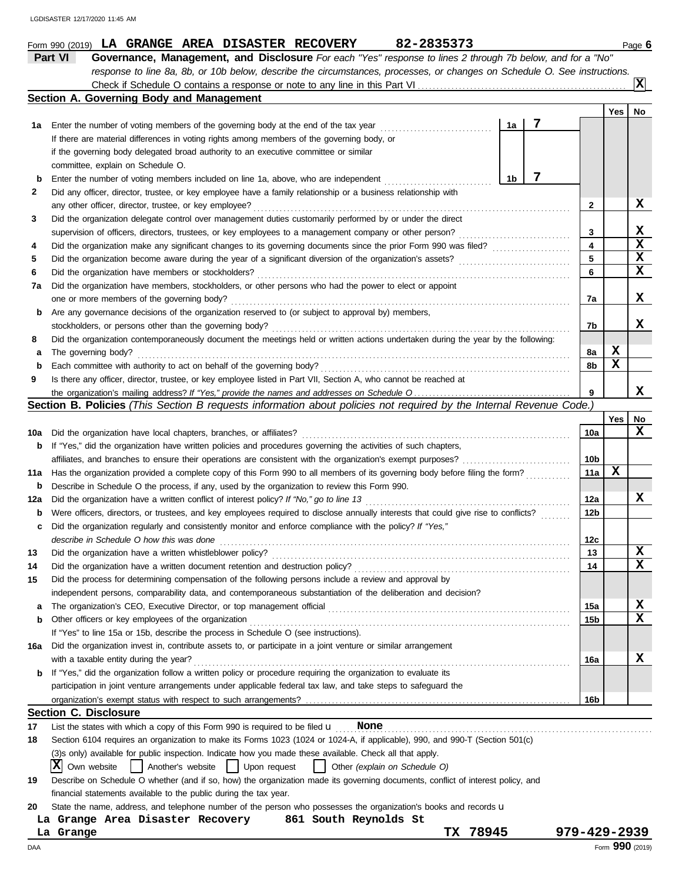|        | Part VI<br>Governance, Management, and Disclosure For each "Yes" response to lines 2 through 7b below, and for a "No"               |                 |             |                  |
|--------|-------------------------------------------------------------------------------------------------------------------------------------|-----------------|-------------|------------------|
|        | response to line 8a, 8b, or 10b below, describe the circumstances, processes, or changes on Schedule O. See instructions.           |                 |             | x                |
|        | Section A. Governing Body and Management                                                                                            |                 |             |                  |
|        |                                                                                                                                     |                 | Yes         | No               |
| 1a     | Enter the number of voting members of the governing body at the end of the tax year<br>1a                                           |                 |             |                  |
|        | If there are material differences in voting rights among members of the governing body, or                                          |                 |             |                  |
|        | if the governing body delegated broad authority to an executive committee or similar                                                |                 |             |                  |
|        | committee, explain on Schedule O.                                                                                                   |                 |             |                  |
| b      | 7<br>1b<br>Enter the number of voting members included on line 1a, above, who are independent                                       |                 |             |                  |
| 2      | Did any officer, director, trustee, or key employee have a family relationship or a business relationship with                      |                 |             |                  |
|        | any other officer, director, trustee, or key employee?                                                                              | $\mathbf{2}$    |             | X.               |
| 3      | Did the organization delegate control over management duties customarily performed by or under the direct                           |                 |             | x                |
|        | supervision of officers, directors, trustees, or key employees to a management company or other person?                             | 3<br>4          |             | $\mathbf x$      |
| 4<br>5 |                                                                                                                                     | 5               |             | $\mathbf x$      |
| 6      | Did the organization have members or stockholders?                                                                                  | 6               |             | $\mathbf x$      |
| 7a     | Did the organization have members, stockholders, or other persons who had the power to elect or appoint                             |                 |             |                  |
|        | one or more members of the governing body?                                                                                          | 7a              |             | X.               |
| b      | Are any governance decisions of the organization reserved to (or subject to approval by) members,                                   |                 |             |                  |
|        | stockholders, or persons other than the governing body?                                                                             | 7b              |             | x                |
| 8      | Did the organization contemporaneously document the meetings held or written actions undertaken during the year by the following:   |                 |             |                  |
| а      | The governing body?                                                                                                                 | 8a              | x           |                  |
| b      | Each committee with authority to act on behalf of the governing body?                                                               | 8b              | $\mathbf x$ |                  |
| 9      | Is there any officer, director, trustee, or key employee listed in Part VII, Section A, who cannot be reached at                    |                 |             |                  |
|        |                                                                                                                                     | 9               |             | x                |
|        | Section B. Policies (This Section B requests information about policies not required by the Internal Revenue Code.)                 |                 |             |                  |
|        |                                                                                                                                     |                 | Yes         | No               |
| 10a    | Did the organization have local chapters, branches, or affiliates?                                                                  | <b>10a</b>      |             | x                |
| b      | If "Yes," did the organization have written policies and procedures governing the activities of such chapters,                      |                 |             |                  |
|        |                                                                                                                                     | 10 <sub>b</sub> |             |                  |
| 11a    | Has the organization provided a complete copy of this Form 990 to all members of its governing body before filing the form?         | 11a             | х           |                  |
| b      | Describe in Schedule O the process, if any, used by the organization to review this Form 990.                                       |                 |             |                  |
| 12a    | Did the organization have a written conflict of interest policy? If "No," go to line 13                                             | 12a             |             | X.               |
| b      | Were officers, directors, or trustees, and key employees required to disclose annually interests that could give rise to conflicts? | 12b             |             |                  |
| c      | Did the organization regularly and consistently monitor and enforce compliance with the policy? If "Yes,"                           |                 |             |                  |
|        | describe in Schedule O how this was done                                                                                            | 12c             |             |                  |
|        | Did the organization have a written whistleblower policy?                                                                           | 13              |             | X<br>$\mathbf x$ |
| 14     | Did the organization have a written document retention and destruction policy?                                                      | 14              |             |                  |
| 15     | Did the process for determining compensation of the following persons include a review and approval by                              |                 |             |                  |
|        | independent persons, comparability data, and contemporaneous substantiation of the deliberation and decision?                       |                 |             | X                |
| a      | Other officers or key employees of the organization                                                                                 | 15a             |             | X                |
| b      | If "Yes" to line 15a or 15b, describe the process in Schedule O (see instructions).                                                 | 15b             |             |                  |
| 16a    | Did the organization invest in, contribute assets to, or participate in a joint venture or similar arrangement                      |                 |             |                  |
|        | with a taxable entity during the year?                                                                                              | 16a             |             | x                |
| b      | If "Yes," did the organization follow a written policy or procedure requiring the organization to evaluate its                      |                 |             |                  |
|        | participation in joint venture arrangements under applicable federal tax law, and take steps to safeguard the                       |                 |             |                  |
|        |                                                                                                                                     | 16b             |             |                  |
|        | <b>Section C. Disclosure</b>                                                                                                        |                 |             |                  |
| 17     | List the states with which a copy of this Form 990 is required to be filed $\mathbf u$ None                                         |                 |             |                  |
| 18     | Section 6104 requires an organization to make its Forms 1023 (1024 or 1024-A, if applicable), 990, and 990-T (Section 501(c)        |                 |             |                  |
|        | (3) sonly) available for public inspection. Indicate how you made these available. Check all that apply.                            |                 |             |                  |
|        | IХI<br>Own website<br>Another's website<br>  Upon request<br>Other (explain on Schedule O)                                          |                 |             |                  |
| 19     | Describe on Schedule O whether (and if so, how) the organization made its governing documents, conflict of interest policy, and     |                 |             |                  |
|        | financial statements available to the public during the tax year.                                                                   |                 |             |                  |
| 20     | State the name, address, and telephone number of the person who possesses the organization's books and records u                    |                 |             |                  |
|        | 861 South Reynolds St<br>La Grange Area Disaster Recovery                                                                           |                 |             |                  |
|        | 78945<br>TX .<br>La Grange                                                                                                          | 979-429-2939    |             |                  |
| DAA    |                                                                                                                                     |                 |             | Form 990 (2019)  |

**Form 990 (2019) LA GRANGE AREA DISASTER RECOVERY 82-2835373** Page 6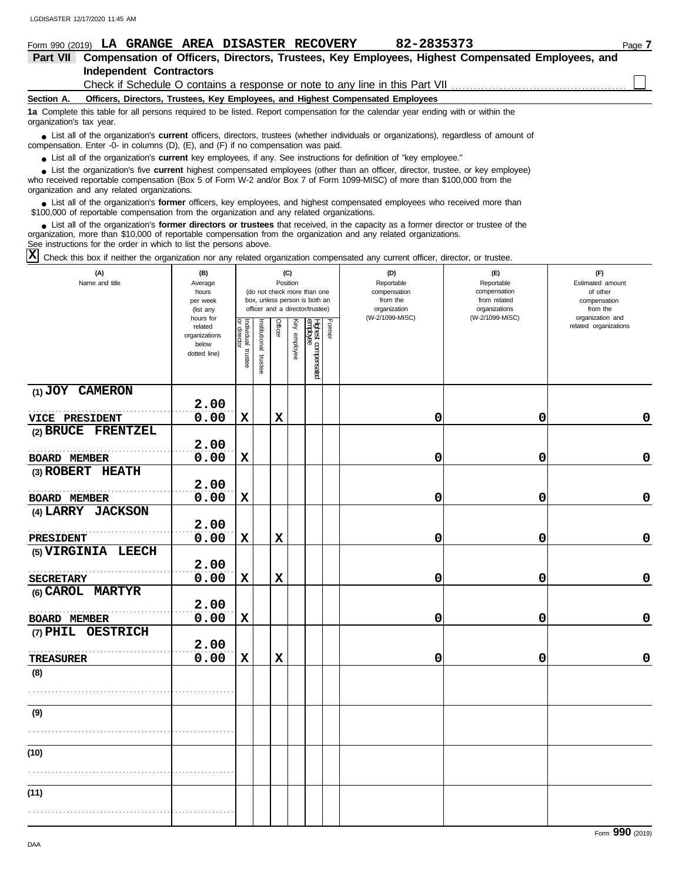|                          |                                | Form 990 (2019) LA GRANGE AREA DISASTER RECOVERY                                  | 82-2835373                                                                                                                                  |                                                                                                  | Page 7 |
|--------------------------|--------------------------------|-----------------------------------------------------------------------------------|---------------------------------------------------------------------------------------------------------------------------------------------|--------------------------------------------------------------------------------------------------|--------|
| Part VII                 |                                |                                                                                   |                                                                                                                                             | Compensation of Officers, Directors, Trustees, Key Employees, Highest Compensated Employees, and |        |
|                          | <b>Independent Contractors</b> |                                                                                   |                                                                                                                                             |                                                                                                  |        |
|                          |                                |                                                                                   |                                                                                                                                             |                                                                                                  |        |
| Section A.               |                                |                                                                                   | Officers, Directors, Trustees, Key Employees, and Highest Compensated Employees                                                             |                                                                                                  |        |
| organization's tax year. |                                |                                                                                   | 1a Complete this table for all persons required to be listed. Report compensation for the calendar year ending with or within the           |                                                                                                  |        |
|                          |                                | compensation. Enter -0- in columns (D), (E), and (F) if no compensation was paid. | List all of the organization's <b>current</b> officers, directors, trustees (whether individuals or organizations), regardless of amount of |                                                                                                  |        |

● List all of the organization's **current** key employees, if any. See instructions for definition of "key employee."

who received reportable compensation (Box 5 of Form W-2 and/or Box 7 of Form 1099-MISC) of more than \$100,000 from the organization and any related organizations. ■ List the organization's five **current** highest compensated employees (other than an officer, director, trustee, or key employee)<br> **•** Presived reportable compensation (Box 5 of Form W-2 and/or Box 7 of Form 1099-MISC) o

■ List all of the organization's **former** officers, key employees, and highest compensated employees who received more than<br>00,000 of reportable compensation from the organization and any related organizations \$100,000 of reportable compensation from the organization and any related organizations.

■ List all of the organization's **former directors or trustees** that received, in the capacity as a former director or trustee of the principle componention from the organization and any related organizations organization, more than \$10,000 of reportable compensation from the organization and any related organizations. See instructions for the order in which to list the persons above.

Check this box if neither the organization nor any related organization compensated any current officer, director, or trustee. **X**

| (A)<br>Name and title | (B)<br>Average<br>hours<br>per week<br>(list any               | (C)<br>Position<br>(do not check more than one<br>box, unless person is both an<br>officer and a director/trustee) |                       |             |              |                                 |        | (D)<br>Reportable<br>compensation<br>from the<br>organization | (E)<br>Reportable<br>compensation<br>from related<br>organizations<br>(W-2/1099-MISC) | (F)<br>Estimated amount<br>of other<br>compensation<br>from the<br>organization and |
|-----------------------|----------------------------------------------------------------|--------------------------------------------------------------------------------------------------------------------|-----------------------|-------------|--------------|---------------------------------|--------|---------------------------------------------------------------|---------------------------------------------------------------------------------------|-------------------------------------------------------------------------------------|
|                       | hours for<br>related<br>organizations<br>below<br>dotted line) | Individual trustee<br>or director                                                                                  | Institutional trustee | Officer     | Key employee | Highest compensated<br>employee | Former | (W-2/1099-MISC)                                               |                                                                                       | related organizations                                                               |
| (1) JOY CAMERON       | 2.00                                                           |                                                                                                                    |                       |             |              |                                 |        |                                                               |                                                                                       |                                                                                     |
| VICE PRESIDENT        | 0.00                                                           | X                                                                                                                  |                       | $\mathbf x$ |              |                                 |        | 0                                                             | 0                                                                                     | 0                                                                                   |
| (2) BRUCE FRENTZEL    |                                                                |                                                                                                                    |                       |             |              |                                 |        |                                                               |                                                                                       |                                                                                     |
|                       | 2.00                                                           |                                                                                                                    |                       |             |              |                                 |        |                                                               |                                                                                       |                                                                                     |
| <b>BOARD MEMBER</b>   | 0.00                                                           | $\mathbf x$                                                                                                        |                       |             |              |                                 |        | 0                                                             | 0                                                                                     | $\mathbf 0$                                                                         |
| (3) ROBERT HEATH      |                                                                |                                                                                                                    |                       |             |              |                                 |        |                                                               |                                                                                       |                                                                                     |
| <b>BOARD MEMBER</b>   | 2.00<br>0.00                                                   | $\mathbf x$                                                                                                        |                       |             |              |                                 |        | 0                                                             | 0                                                                                     | 0                                                                                   |
| (4) LARRY JACKSON     |                                                                |                                                                                                                    |                       |             |              |                                 |        |                                                               |                                                                                       |                                                                                     |
|                       | 2.00                                                           |                                                                                                                    |                       |             |              |                                 |        |                                                               |                                                                                       |                                                                                     |
| PRESIDENT             | 0.00                                                           | $\mathbf x$                                                                                                        |                       | $\mathbf x$ |              |                                 |        | 0                                                             | 0                                                                                     | 0                                                                                   |
| (5) VIRGINIA LEECH    | 2.00                                                           |                                                                                                                    |                       |             |              |                                 |        |                                                               |                                                                                       |                                                                                     |
| <b>SECRETARY</b>      | 0.00                                                           | $\mathbf x$                                                                                                        |                       | $\mathbf x$ |              |                                 |        | 0                                                             | 0                                                                                     | $\mathbf 0$                                                                         |
| (6) CAROL MARTYR      | 2.00                                                           |                                                                                                                    |                       |             |              |                                 |        |                                                               |                                                                                       |                                                                                     |
| <b>BOARD MEMBER</b>   | 0.00                                                           | $\mathbf x$                                                                                                        |                       |             |              |                                 |        | 0                                                             | 0                                                                                     | $\pmb{0}$                                                                           |
| (7) PHIL OESTRICH     | 2.00                                                           |                                                                                                                    |                       |             |              |                                 |        |                                                               |                                                                                       |                                                                                     |
| <b>TREASURER</b>      | 0.00                                                           | $\mathbf x$                                                                                                        |                       | $\mathbf x$ |              |                                 |        | 0                                                             | 0                                                                                     | 0                                                                                   |
| (8)                   |                                                                |                                                                                                                    |                       |             |              |                                 |        |                                                               |                                                                                       |                                                                                     |
|                       |                                                                |                                                                                                                    |                       |             |              |                                 |        |                                                               |                                                                                       |                                                                                     |
| (9)                   |                                                                |                                                                                                                    |                       |             |              |                                 |        |                                                               |                                                                                       |                                                                                     |
|                       |                                                                |                                                                                                                    |                       |             |              |                                 |        |                                                               |                                                                                       |                                                                                     |
| (10)                  |                                                                |                                                                                                                    |                       |             |              |                                 |        |                                                               |                                                                                       |                                                                                     |
|                       |                                                                |                                                                                                                    |                       |             |              |                                 |        |                                                               |                                                                                       |                                                                                     |
| (11)                  |                                                                |                                                                                                                    |                       |             |              |                                 |        |                                                               |                                                                                       |                                                                                     |
|                       |                                                                |                                                                                                                    |                       |             |              |                                 |        |                                                               |                                                                                       |                                                                                     |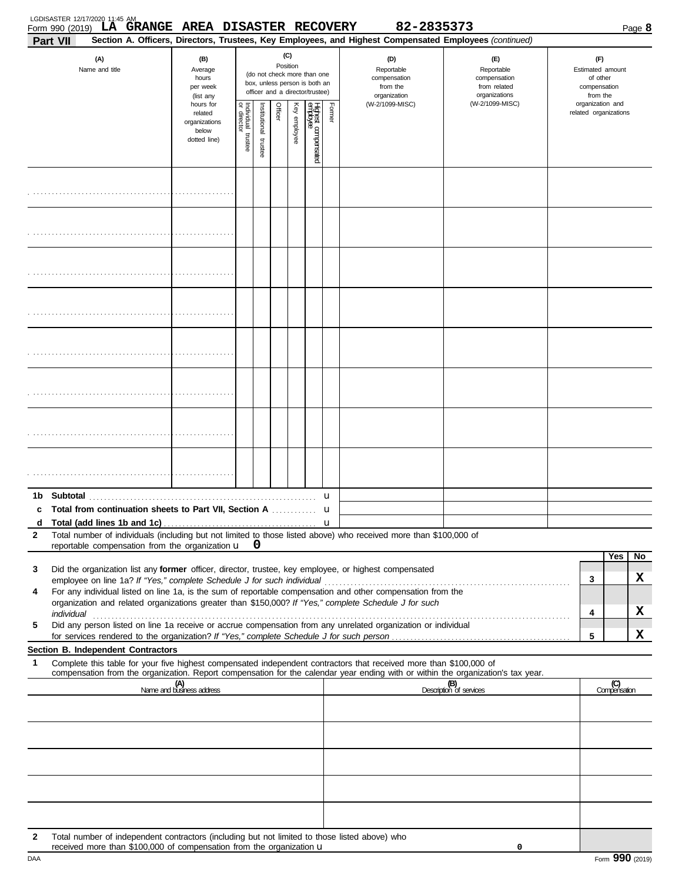| Part VII      | LGDISASTER 12/17/2020 11:45 AM<br>Form 990 (2019) LA GRANGE AREA DISASTER RECOVERY                                                                                    |                                                                             |                       |                         |         |                 |                                                                                                 |        | 82-2835373<br>Section A. Officers, Directors, Trustees, Key Employees, and Highest Compensated Employees (continued)                                                                                                                                   |                                                                    |  |                                                                 |                       | Page 8 |
|---------------|-----------------------------------------------------------------------------------------------------------------------------------------------------------------------|-----------------------------------------------------------------------------|-----------------------|-------------------------|---------|-----------------|-------------------------------------------------------------------------------------------------|--------|--------------------------------------------------------------------------------------------------------------------------------------------------------------------------------------------------------------------------------------------------------|--------------------------------------------------------------------|--|-----------------------------------------------------------------|-----------------------|--------|
|               | (A)<br>Name and title                                                                                                                                                 | (B)<br>Average<br>hours<br>per week                                         |                       |                         |         | (C)<br>Position | (do not check more than one<br>box, unless person is both an<br>officer and a director/trustee) |        | (D)<br>Reportable<br>compensation<br>from the<br>organization                                                                                                                                                                                          | (E)<br>Reportable<br>compensation<br>from related<br>organizations |  | (F)<br>Estimated amount<br>of other<br>compensation<br>from the |                       |        |
|               |                                                                                                                                                                       | (list any<br>hours for<br>related<br>organizations<br>below<br>dotted line) | Individual<br>trustee | nstitutional<br>trustee | Officer | Key employee    | Highest compensated<br>employee                                                                 | Former | (W-2/1099-MISC)                                                                                                                                                                                                                                        | (W-2/1099-MISC)                                                    |  | organization and                                                | related organizations |        |
|               |                                                                                                                                                                       |                                                                             |                       |                         |         |                 |                                                                                                 |        |                                                                                                                                                                                                                                                        |                                                                    |  |                                                                 |                       |        |
|               |                                                                                                                                                                       |                                                                             |                       |                         |         |                 |                                                                                                 |        |                                                                                                                                                                                                                                                        |                                                                    |  |                                                                 |                       |        |
|               |                                                                                                                                                                       |                                                                             |                       |                         |         |                 |                                                                                                 |        |                                                                                                                                                                                                                                                        |                                                                    |  |                                                                 |                       |        |
|               |                                                                                                                                                                       |                                                                             |                       |                         |         |                 |                                                                                                 |        |                                                                                                                                                                                                                                                        |                                                                    |  |                                                                 |                       |        |
|               |                                                                                                                                                                       |                                                                             |                       |                         |         |                 |                                                                                                 |        |                                                                                                                                                                                                                                                        |                                                                    |  |                                                                 |                       |        |
|               |                                                                                                                                                                       |                                                                             |                       |                         |         |                 |                                                                                                 |        |                                                                                                                                                                                                                                                        |                                                                    |  |                                                                 |                       |        |
|               |                                                                                                                                                                       |                                                                             |                       |                         |         |                 |                                                                                                 |        |                                                                                                                                                                                                                                                        |                                                                    |  |                                                                 |                       |        |
|               |                                                                                                                                                                       |                                                                             |                       |                         |         |                 |                                                                                                 |        |                                                                                                                                                                                                                                                        |                                                                    |  |                                                                 |                       |        |
| 1b.<br>c<br>d | Total from continuation sheets to Part VII, Section A                                                                                                                 |                                                                             |                       |                         |         |                 |                                                                                                 | u<br>u |                                                                                                                                                                                                                                                        |                                                                    |  |                                                                 |                       |        |
| 2             | reportable compensation from the organization $\mathbf{u} \quad \mathbf{0}$                                                                                           |                                                                             |                       |                         |         |                 |                                                                                                 |        | Total number of individuals (including but not limited to those listed above) who received more than \$100,000 of                                                                                                                                      |                                                                    |  |                                                                 |                       |        |
| 3             |                                                                                                                                                                       |                                                                             |                       |                         |         |                 |                                                                                                 |        | Did the organization list any former officer, director, trustee, key employee, or highest compensated                                                                                                                                                  |                                                                    |  |                                                                 | Yes                   | No     |
| 4             |                                                                                                                                                                       |                                                                             |                       |                         |         |                 |                                                                                                 |        | For any individual listed on line 1a, is the sum of reportable compensation and other compensation from the<br>organization and related organizations greater than \$150,000? If "Yes," complete Schedule J for such                                   |                                                                    |  | 3                                                               |                       | x      |
| 5             |                                                                                                                                                                       |                                                                             |                       |                         |         |                 |                                                                                                 |        | Did any person listed on line 1a receive or accrue compensation from any unrelated organization or individual                                                                                                                                          |                                                                    |  | 4                                                               |                       | x      |
|               | Section B. Independent Contractors                                                                                                                                    |                                                                             |                       |                         |         |                 |                                                                                                 |        |                                                                                                                                                                                                                                                        |                                                                    |  | 5                                                               |                       | X      |
| 1             |                                                                                                                                                                       |                                                                             |                       |                         |         |                 |                                                                                                 |        | Complete this table for your five highest compensated independent contractors that received more than \$100,000 of<br>compensation from the organization. Report compensation for the calendar year ending with or within the organization's tax year. |                                                                    |  |                                                                 |                       |        |
|               |                                                                                                                                                                       | (A)<br>Name and business address                                            |                       |                         |         |                 |                                                                                                 |        |                                                                                                                                                                                                                                                        | (B)<br>Description of services                                     |  |                                                                 | (C)<br>Compensation   |        |
|               |                                                                                                                                                                       |                                                                             |                       |                         |         |                 |                                                                                                 |        |                                                                                                                                                                                                                                                        |                                                                    |  |                                                                 |                       |        |
|               |                                                                                                                                                                       |                                                                             |                       |                         |         |                 |                                                                                                 |        |                                                                                                                                                                                                                                                        |                                                                    |  |                                                                 |                       |        |
|               |                                                                                                                                                                       |                                                                             |                       |                         |         |                 |                                                                                                 |        |                                                                                                                                                                                                                                                        |                                                                    |  |                                                                 |                       |        |
|               |                                                                                                                                                                       |                                                                             |                       |                         |         |                 |                                                                                                 |        |                                                                                                                                                                                                                                                        |                                                                    |  |                                                                 |                       |        |
|               |                                                                                                                                                                       |                                                                             |                       |                         |         |                 |                                                                                                 |        |                                                                                                                                                                                                                                                        |                                                                    |  |                                                                 |                       |        |
| 2             | Total number of independent contractors (including but not limited to those listed above) who<br>received more than \$100,000 of compensation from the organization U |                                                                             |                       |                         |         |                 |                                                                                                 |        |                                                                                                                                                                                                                                                        | 0                                                                  |  |                                                                 |                       |        |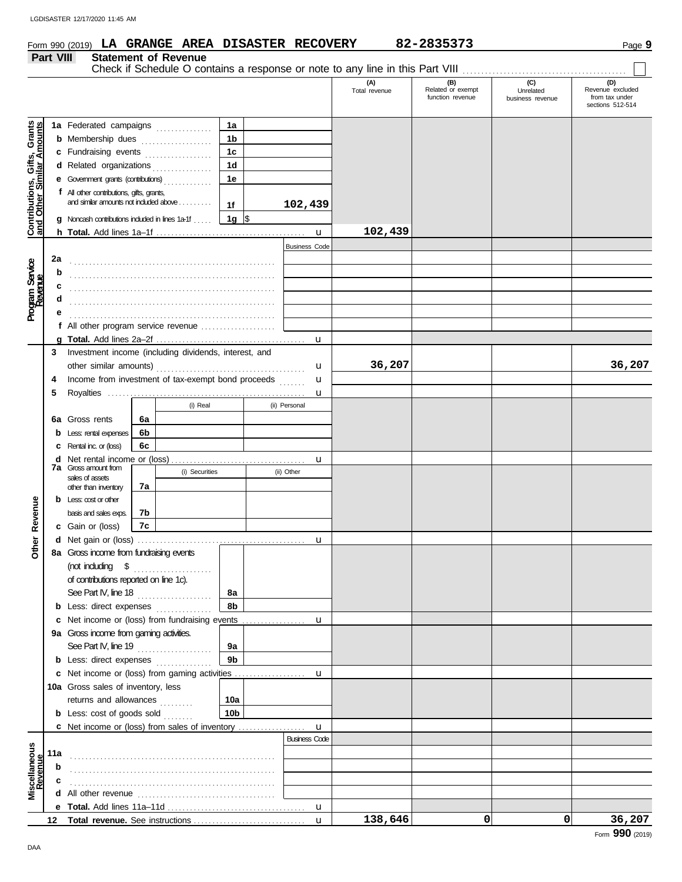Form 990 (2019) **LA GRANGE AREA DISASTER RECOVERY 82-2835373** Page **9** 

|                                        | Part VIII |                                                                                                                                                      |    | <b>Statement of Revenue</b> |                                                                |                         |                      |                                              |                                      |                                                               |
|----------------------------------------|-----------|------------------------------------------------------------------------------------------------------------------------------------------------------|----|-----------------------------|----------------------------------------------------------------|-------------------------|----------------------|----------------------------------------------|--------------------------------------|---------------------------------------------------------------|
|                                        |           |                                                                                                                                                      |    |                             |                                                                |                         | (A)<br>Total revenue | (B)<br>Related or exempt<br>function revenue | (C)<br>Unrelated<br>business revenue | (D)<br>Revenue excluded<br>from tax under<br>sections 512-514 |
| Grants<br>mounts<br>Gifts,<br>nilar Ar |           | 1a Federated campaigns<br><b>b</b> Membership dues<br>c Fundraising events<br>d Related organizations<br><b>e</b> Government grants (contributions)  |    |                             | 1a<br>1 <sub>b</sub><br>1 <sub>c</sub><br>1 <sub>d</sub><br>1e |                         |                      |                                              |                                      |                                                               |
| Contributions,<br>and Other Sim        |           | f All other contributions, gifts, grants,<br>and similar amounts not induded above<br>$\boldsymbol{g}$ Noncash contributions included in lines 1a-1f |    |                             | 1f<br>$1g$ $\sqrt{ }$                                          | 102,439<br>$\mathbf{u}$ | 102,439              |                                              |                                      |                                                               |
|                                        |           |                                                                                                                                                      |    |                             |                                                                | <b>Business Code</b>    |                      |                                              |                                      |                                                               |
|                                        | 2a        |                                                                                                                                                      |    |                             |                                                                |                         |                      |                                              |                                      |                                                               |
| Program Service<br>Revenue             | b         |                                                                                                                                                      |    |                             |                                                                |                         |                      |                                              |                                      |                                                               |
|                                        | c         |                                                                                                                                                      |    |                             |                                                                |                         |                      |                                              |                                      |                                                               |
|                                        | d         |                                                                                                                                                      |    |                             |                                                                |                         |                      |                                              |                                      |                                                               |
|                                        |           |                                                                                                                                                      |    |                             |                                                                |                         |                      |                                              |                                      |                                                               |
|                                        |           | f All other program service revenue                                                                                                                  |    |                             |                                                                |                         |                      |                                              |                                      |                                                               |
|                                        |           |                                                                                                                                                      |    |                             |                                                                | u                       |                      |                                              |                                      |                                                               |
|                                        | 3<br>4    | Investment income (including dividends, interest, and<br>Income from investment of tax-exempt bond proceeds                                          |    |                             |                                                                | u<br>u                  | 36,207               |                                              |                                      | 36,207                                                        |
|                                        | 5         |                                                                                                                                                      |    |                             |                                                                | u                       |                      |                                              |                                      |                                                               |
|                                        |           |                                                                                                                                                      |    | (i) Real                    |                                                                | (ii) Personal           |                      |                                              |                                      |                                                               |
|                                        |           | 6a Gross rents                                                                                                                                       | 6a |                             |                                                                |                         |                      |                                              |                                      |                                                               |
|                                        |           |                                                                                                                                                      | 6b |                             |                                                                |                         |                      |                                              |                                      |                                                               |
|                                        |           | <b>b</b> Less: rental expenses                                                                                                                       |    |                             |                                                                |                         |                      |                                              |                                      |                                                               |
|                                        |           | C Rental inc. or (loss)                                                                                                                              | 6с |                             |                                                                |                         |                      |                                              |                                      |                                                               |
|                                        |           | <b>7a</b> Gross amount from<br>sales of assets<br>other than inventory                                                                               | 7а | (i) Securities              |                                                                | u<br>(ii) Other         |                      |                                              |                                      |                                                               |
|                                        |           | <b>b</b> Less: $\cos$ or other                                                                                                                       |    |                             |                                                                |                         |                      |                                              |                                      |                                                               |
| Revenue                                |           | basis and sales exps.                                                                                                                                | 7b |                             |                                                                |                         |                      |                                              |                                      |                                                               |
|                                        |           | <b>c</b> Gain or (loss)                                                                                                                              | 7c |                             |                                                                |                         |                      |                                              |                                      |                                                               |
| ther                                   |           |                                                                                                                                                      |    |                             |                                                                | u                       |                      |                                              |                                      |                                                               |
|                                        |           | 8a Gross income from fundraising events                                                                                                              |    |                             |                                                                |                         |                      |                                              |                                      |                                                               |
|                                        |           | (not including $\$$<br>of contributions reported on line 1c).<br>See Part IV, line 18                                                                |    |                             | 8а                                                             |                         |                      |                                              |                                      |                                                               |
|                                        |           | <b>b</b> Less: direct expenses <i>minimum</i>                                                                                                        |    |                             | 8b                                                             |                         |                      |                                              |                                      |                                                               |
|                                        |           | c Net income or (loss) from fundraising events                                                                                                       |    |                             |                                                                | u                       |                      |                                              |                                      |                                                               |
|                                        |           | 9a Gross income from gaming activities.                                                                                                              |    |                             |                                                                |                         |                      |                                              |                                      |                                                               |
|                                        |           | See Part IV, line 19                                                                                                                                 |    |                             | 9а                                                             |                         |                      |                                              |                                      |                                                               |
|                                        |           | <b>b</b> Less: direct expenses                                                                                                                       |    |                             | 9 <sub>b</sub>                                                 |                         |                      |                                              |                                      |                                                               |
|                                        |           |                                                                                                                                                      |    |                             |                                                                | u                       |                      |                                              |                                      |                                                               |
|                                        |           | 10a Gross sales of inventory, less                                                                                                                   |    |                             |                                                                |                         |                      |                                              |                                      |                                                               |
|                                        |           | returns and allowances                                                                                                                               |    |                             | 10a                                                            |                         |                      |                                              |                                      |                                                               |
|                                        |           | <b>b</b> Less: cost of goods sold                                                                                                                    |    |                             | 10 <sub>b</sub>                                                |                         |                      |                                              |                                      |                                                               |
|                                        |           | <b>c</b> Net income or (loss) from sales of inventory                                                                                                |    |                             |                                                                | $\mathbf{u}$            |                      |                                              |                                      |                                                               |
| Miscellaneous<br>Revenue               | 11a       |                                                                                                                                                      |    |                             |                                                                | <b>Business Code</b>    |                      |                                              |                                      |                                                               |
|                                        | b         |                                                                                                                                                      |    |                             |                                                                |                         |                      |                                              |                                      |                                                               |
|                                        |           |                                                                                                                                                      |    |                             |                                                                |                         |                      |                                              |                                      |                                                               |
|                                        | d         |                                                                                                                                                      |    |                             |                                                                |                         |                      |                                              |                                      |                                                               |
|                                        |           |                                                                                                                                                      |    |                             |                                                                | u                       | 138,646              | $\mathbf{0}$                                 | $\Omega$                             | 36,207                                                        |
|                                        |           |                                                                                                                                                      |    |                             |                                                                | $\mathbf{u}$            |                      |                                              |                                      |                                                               |

**LA GRANGE AREA DISASTER RECOVERY 82-2835373**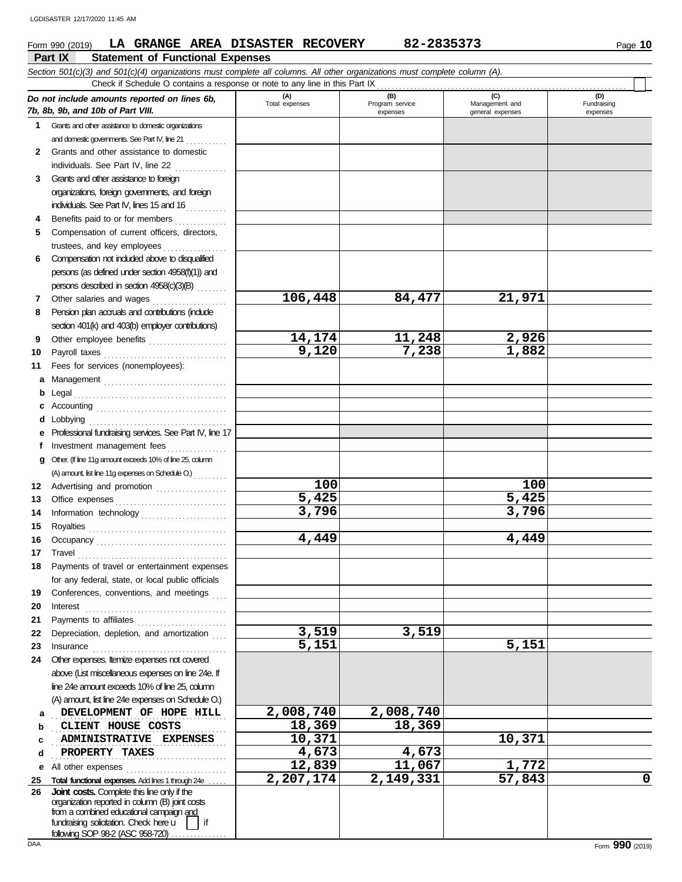### **Form 990 (2019) LA GRANGE AREA DISASTER RECOVERY 82-2835373** Page 10

#### **Part IX Statement of Functional Expenses** *Section 501(c)(3) and 501(c)(4) organizations must complete all columns. All other organizations must complete column (A). Do not include amounts reported on lines 6b, 7b, 8b, 9b, and 10b of Part VIII.* **1 2 3 4 5 6 7 8 9 10 11 a** Management . . . . . . . . . . . . . . . . . . . . . . . . . . . . . . . . . **b** Legal . . . . . . . . . . . . . . . . . . . . . . . . . . . . . . . . . . . . . . . . . **c** Accounting . . . . . . . . . . . . . . . . . . . . . . . . . . . . . . . . . . . **d** Lobbying . . . . . . . . . . . . . . . . . . . . . . . . . . . . . . . . . . . . . **e** Professional fundraising services. See Part IV, line 17 **f g** Other. (If line 11g amount exceeds 10% of line 25, column **12** Advertising and promotion .................. **13 14 15 16 17 18 19 20 21 22** Depreciation, depletion, and amortization . . . . **23 24** Other expenses. Itemize expenses not covered **a** DEVELOPMENT OF HOPE HILL **2,008,740 2,008,740 b c d e** All other expenses ............................ **25 Total functional expenses.** Add lines 1 through 24e . . . . . **26** Grants and other assistance to domestic organizations and domestic governments. See Part IV, line 21 . . . . . . . . . . . Grants and other assistance to domestic individuals. See Part IV, line 22 . . . . . . . . . . . . . Grants and other assistance to foreign organizations, foreign governments, and foreign individuals. See Part IV, lines 15 and 16 . . . . . . . . . . . Benefits paid to or for members . . . . . . . . . . . . . Compensation of current officers, directors, trustees, and key employees ................. Compensation not included above to disqualified persons (as defined under section 4958(f)(1)) and persons described in section 4958(c)(3)(B) . . . . . . . . Other salaries and wages . . . . . . . . . . . . . . . . . . . . Pension plan accruals and contributions (include section 401(k) and 403(b) employer contributions) Other employee benefits ...................... Payroll taxes . . . . . . . . . . . . . . . . . . . . . . . . . . . . . . . . . Fees for services (nonemployees): Investment management fees ................ Office expenses . . . . . . . . . . . . . . . . . . . . . . . . . . . . . . Information technology . . . . . . . . . . . . . . . . . . . . . . . Royalties . . . . . . . . . . . . . . . . . . . . . . . . . . . . . . . . . . . . . Occupancy . . . . . . . . . . . . . . . . . . . . . . . . . . . . . . . . . . . Travel . . . . . . . . . . . . . . . . . . . . . . . . . . . . . . . . . . . . . . . . Payments of travel or entertainment expenses for any federal, state, or local public officials Conferences, conventions, and meetings Interest . . . . . . . . . . . . . . . . . . . . . . . . . . . . . . . . . . . . . . Payments to affiliates . . . . . . . . . . . . . . . . . . . . . . . . Insurance . . . . . . . . . . . . . . . . . . . . . . . . . . . . . . . . . . . . above (List miscellaneous expenses on line 24e. If line 24e amount exceeds 10% of line 25, column (A) amount, list line 24e expenses on Schedule O.) fundraising solicitation. Check here  $\Box$  if organization reported in column (B) joint costs from a combined educational campaign and **(A) (B) (C) (D)** Nanagement and expenses and general expenses Fundraising expenses **CLIENT HOUSE COSTS 18,369 18,369 ADMINISTRATIVE EXPENSES** 10,371 10,371 **PROPERTY TAXES 4,673 4,673** Check if Schedule O contains a response or note to any line in this Part IX **Joint costs.** Complete this line only if the (A) amount, list line 11g expenses on Schedule O.)  $\ldots \ldots$ **106,448 84,477 21,971 14,174 11,248 2,926 9,120 7,238 1,882 100 100 5,425 5,425 3,796 3,796 4,449 4,449 3,519 3,519 5,151 5,151 12,839 11,067 1,772 2,207,174 2,149,331 57,843 0**

following SOP 98-2 (ASC 958-720) ...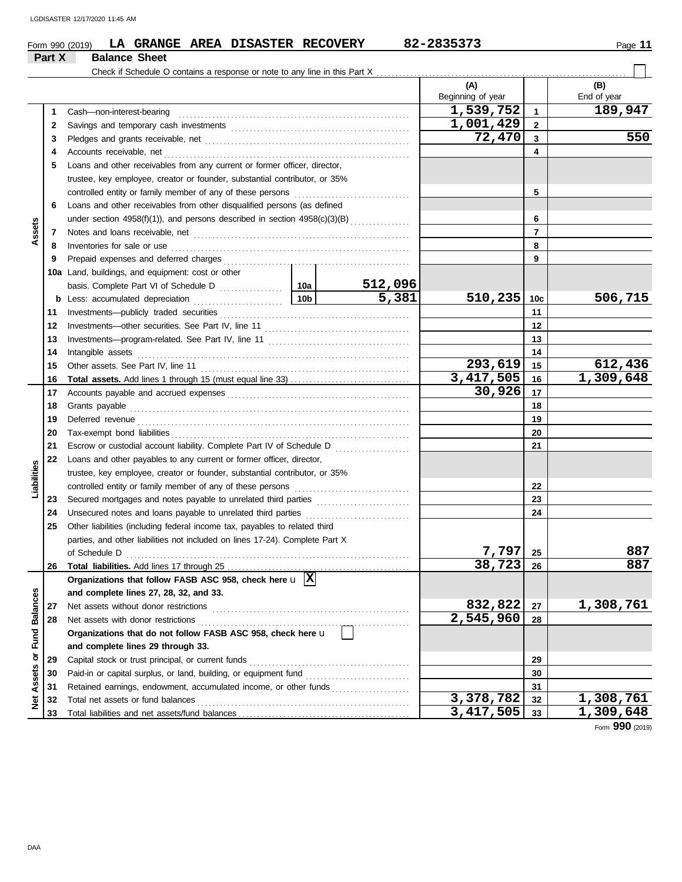|                 |        | LA GRANGE AREA DISASTER RECOVERY<br>Form 990 (2019)                                                                                                        |  |         | 82-2835373        |                | Page 11            |
|-----------------|--------|------------------------------------------------------------------------------------------------------------------------------------------------------------|--|---------|-------------------|----------------|--------------------|
|                 | Part X | <b>Balance Sheet</b>                                                                                                                                       |  |         |                   |                |                    |
|                 |        |                                                                                                                                                            |  |         | (A)               |                |                    |
|                 |        |                                                                                                                                                            |  |         | Beginning of year |                | (B)<br>End of year |
|                 | 1      | Cash-non-interest-bearing                                                                                                                                  |  |         | 1,539,752         | $\mathbf{1}$   | 189,947            |
|                 | 2      |                                                                                                                                                            |  |         | 1,001,429         | $\mathbf{2}$   |                    |
|                 | 3      |                                                                                                                                                            |  |         | 72,470            | 3              | 550                |
|                 | 4      |                                                                                                                                                            |  |         |                   | 4              |                    |
|                 | 5      | Loans and other receivables from any current or former officer, director,                                                                                  |  |         |                   |                |                    |
|                 |        | trustee, key employee, creator or founder, substantial contributor, or 35%                                                                                 |  |         |                   |                |                    |
|                 |        |                                                                                                                                                            |  |         |                   | 5              |                    |
|                 | 6      | Loans and other receivables from other disqualified persons (as defined                                                                                    |  |         |                   |                |                    |
|                 |        | under section 4958(f)(1)), and persons described in section 4958(c)(3)(B)                                                                                  |  |         |                   | 6              |                    |
| Assets          | 7      |                                                                                                                                                            |  |         |                   | $\overline{7}$ |                    |
|                 | 8      | Inventories for sale or use <i>manufacture contained a series</i> or sale or use manufacture and a series of the series                                    |  |         |                   | 8              |                    |
|                 | 9      |                                                                                                                                                            |  |         |                   | 9              |                    |
|                 |        | 10a Land, buildings, and equipment: cost or other                                                                                                          |  |         |                   |                |                    |
|                 |        |                                                                                                                                                            |  | 512,096 |                   |                |                    |
|                 |        |                                                                                                                                                            |  | 5,381   | 510,235           | 10c            | 506,715            |
|                 | 11     |                                                                                                                                                            |  |         |                   | 11             |                    |
|                 | 12     |                                                                                                                                                            |  |         |                   | 12             |                    |
|                 | 13     |                                                                                                                                                            |  |         |                   | 13             |                    |
|                 | 14     |                                                                                                                                                            |  |         |                   | 14             |                    |
|                 | 15     |                                                                                                                                                            |  |         | 293,619           | 15             | 612,436            |
|                 | 16     |                                                                                                                                                            |  |         | 3, 417, 505       | 16             | 1,309,648          |
|                 | 17     |                                                                                                                                                            |  |         | 30,926            | 17             |                    |
|                 | 18     |                                                                                                                                                            |  |         | 18                |                |                    |
|                 | 19     |                                                                                                                                                            |  |         | 19                |                |                    |
|                 | 20     |                                                                                                                                                            |  |         |                   | 20             |                    |
|                 | 21     | Escrow or custodial account liability. Complete Part IV of Schedule D                                                                                      |  |         |                   | 21             |                    |
|                 | 22     | Loans and other payables to any current or former officer, director,                                                                                       |  |         |                   |                |                    |
| Liabilities     |        | trustee, key employee, creator or founder, substantial contributor, or 35%                                                                                 |  |         |                   |                |                    |
|                 |        |                                                                                                                                                            |  |         |                   | 22             |                    |
|                 | 23     |                                                                                                                                                            |  |         |                   | 23             |                    |
|                 | 24     |                                                                                                                                                            |  |         |                   | 24             |                    |
|                 | 25     | Other liabilities (including federal income tax, payables to related third<br>parties, and other liabilities not included on lines 17-24). Complete Part X |  |         |                   |                |                    |
|                 |        |                                                                                                                                                            |  |         | 7,797             | 25             | 887                |
|                 | 26     | of Schedule D                                                                                                                                              |  |         | 38,723            | 26             | 887                |
|                 |        | Organizations that follow FASB ASC 958, check here $\Box$                                                                                                  |  |         |                   |                |                    |
|                 |        | and complete lines 27, 28, 32, and 33.                                                                                                                     |  |         |                   |                |                    |
|                 | 27     |                                                                                                                                                            |  |         | 832,822           | 27             | 1,308,761          |
| <b>Balances</b> | 28     |                                                                                                                                                            |  |         | 2,545,960         | 28             |                    |
|                 |        | Organizations that do not follow FASB ASC 958, check here u                                                                                                |  |         |                   |                |                    |
| Fund            |        | and complete lines 29 through 33.                                                                                                                          |  |         |                   |                |                    |
| ŏ               | 29     |                                                                                                                                                            |  |         | 29                |                |                    |
|                 | 30     | Paid-in or capital surplus, or land, building, or equipment fund                                                                                           |  |         |                   | 30             |                    |
| Assets          | 31     | Retained earnings, endowment, accumulated income, or other funds                                                                                           |  |         |                   | 31             |                    |
| ě               | 32     |                                                                                                                                                            |  |         | 3,378,782         | 32             | 1,308,761          |
|                 |        |                                                                                                                                                            |  |         |                   |                |                    |

Form **990** (2019)

**33**

**3,417,505 1,309,648**

**33**

Total liabilities and net assets/fund balances ...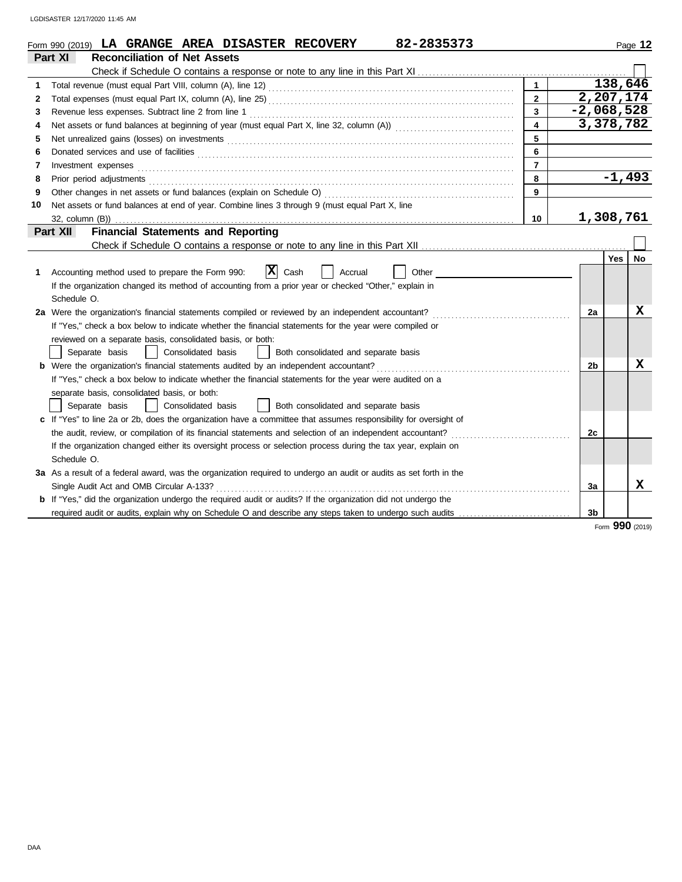|              | 82-2835373<br>Form 990 (2019) LA GRANGE AREA DISASTER RECOVERY                                                                                                                                                                |                         |                |            | Page 12 |
|--------------|-------------------------------------------------------------------------------------------------------------------------------------------------------------------------------------------------------------------------------|-------------------------|----------------|------------|---------|
|              | Part XI<br><b>Reconciliation of Net Assets</b>                                                                                                                                                                                |                         |                |            |         |
|              |                                                                                                                                                                                                                               |                         |                |            |         |
| 1            |                                                                                                                                                                                                                               | $\blacksquare$          |                | 138,646    |         |
| $\mathbf{2}$ |                                                                                                                                                                                                                               | $\overline{2}$          |                | 2,207,174  |         |
| 3            |                                                                                                                                                                                                                               | $\overline{3}$          | $-2,068,528$   |            |         |
| 4            |                                                                                                                                                                                                                               | $\overline{\mathbf{4}}$ |                | 3,378,782  |         |
| 5            |                                                                                                                                                                                                                               | 5                       |                |            |         |
| 6            | Donated services and use of facilities <b>constants and interview of the service of facilities</b>                                                                                                                            | 6                       |                |            |         |
| 7            | Investment expenses <b>constant expenses</b>                                                                                                                                                                                  | $\overline{7}$          |                |            |         |
| 8            | Prior period adjustments [11] production and contact the contact of the contact of the contact of the contact of the contact of the contact of the contact of the contact of the contact of the contact of the contact of the | 8                       |                | $-1,493$   |         |
| 9            |                                                                                                                                                                                                                               | 9                       |                |            |         |
| 10           | Net assets or fund balances at end of year. Combine lines 3 through 9 (must equal Part X, line                                                                                                                                |                         |                |            |         |
|              |                                                                                                                                                                                                                               | 10                      |                | 1,308,761  |         |
|              | <b>Financial Statements and Reporting</b><br>Part XII                                                                                                                                                                         |                         |                |            |         |
|              |                                                                                                                                                                                                                               |                         |                |            |         |
|              |                                                                                                                                                                                                                               |                         |                | <b>Yes</b> | No      |
| 1.           | $ \mathbf{x} $<br>Cash<br>Other<br>Accounting method used to prepare the Form 990:<br>Accrual                                                                                                                                 |                         |                |            |         |
|              | If the organization changed its method of accounting from a prior year or checked "Other," explain in                                                                                                                         |                         |                |            |         |
|              | Schedule O.                                                                                                                                                                                                                   |                         |                |            |         |
|              | 2a Were the organization's financial statements compiled or reviewed by an independent accountant?                                                                                                                            |                         | 2a             |            | x       |
|              | If "Yes," check a box below to indicate whether the financial statements for the year were compiled or                                                                                                                        |                         |                |            |         |
|              | reviewed on a separate basis, consolidated basis, or both:                                                                                                                                                                    |                         |                |            |         |
|              | Separate basis<br>Consolidated basis<br>Both consolidated and separate basis                                                                                                                                                  |                         |                |            |         |
|              | <b>b</b> Were the organization's financial statements audited by an independent accountant?                                                                                                                                   |                         | 2 <sub>b</sub> |            | x       |
|              | If "Yes," check a box below to indicate whether the financial statements for the year were audited on a                                                                                                                       |                         |                |            |         |
|              | separate basis, consolidated basis, or both:                                                                                                                                                                                  |                         |                |            |         |
|              | Separate basis<br>Consolidated basis<br>  Both consolidated and separate basis                                                                                                                                                |                         |                |            |         |
|              | c If "Yes" to line 2a or 2b, does the organization have a committee that assumes responsibility for oversight of                                                                                                              |                         |                |            |         |
|              | the audit, review, or compilation of its financial statements and selection of an independent accountant?                                                                                                                     |                         | 2c             |            |         |
|              | If the organization changed either its oversight process or selection process during the tax year, explain on                                                                                                                 |                         |                |            |         |
|              | Schedule O.                                                                                                                                                                                                                   |                         |                |            |         |
|              | 3a As a result of a federal award, was the organization required to undergo an audit or audits as set forth in the                                                                                                            |                         |                |            |         |
|              |                                                                                                                                                                                                                               |                         | 3a             |            | x       |
|              | <b>b</b> If "Yes," did the organization undergo the required audit or audits? If the organization did not undergo the                                                                                                         |                         |                |            |         |
|              | required audit or audits, explain why on Schedule O and describe any steps taken to undergo such audits                                                                                                                       |                         | 3 <sub>b</sub> |            |         |
|              |                                                                                                                                                                                                                               |                         |                | $\sim$     |         |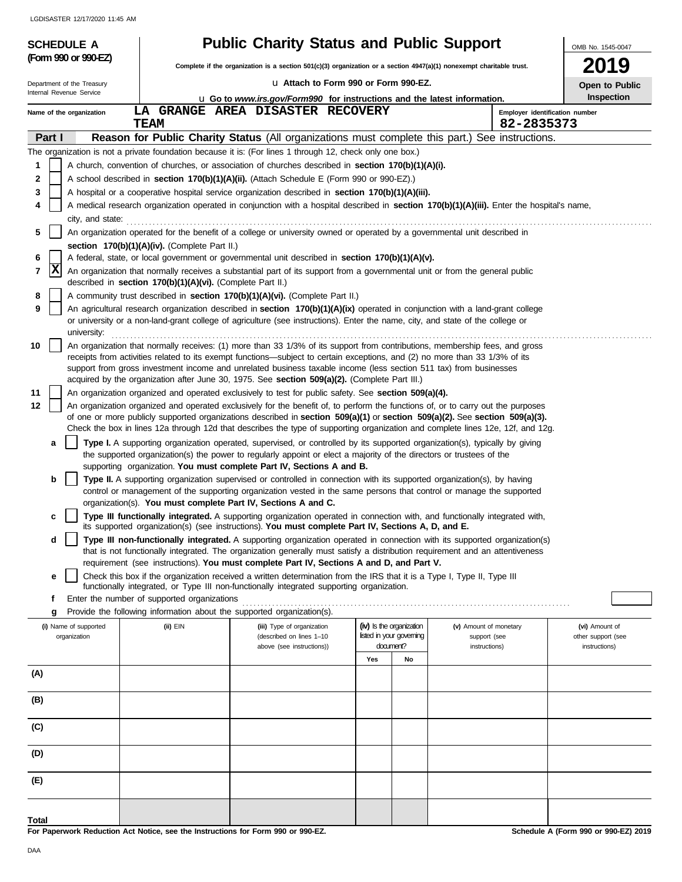| (Form 990 or 990-EZ)       |                                                            | Complete if the organization is a section 501(c)(3) organization or a section 4947(a)(1) nonexempt charitable trust.                                                                                                                                                                                                                                                                                       | <b>Public Charity Status and Public Support</b> |    |                                | OMB No. 1545-0047<br>2019    |
|----------------------------|------------------------------------------------------------|------------------------------------------------------------------------------------------------------------------------------------------------------------------------------------------------------------------------------------------------------------------------------------------------------------------------------------------------------------------------------------------------------------|-------------------------------------------------|----|--------------------------------|------------------------------|
| Department of the Treasury |                                                            | U Attach to Form 990 or Form 990-EZ.                                                                                                                                                                                                                                                                                                                                                                       |                                                 |    |                                |                              |
| Internal Revenue Service   |                                                            | <b>Let</b> Go to <i>www.irs.gov/Form990</i> for instructions and the latest information.                                                                                                                                                                                                                                                                                                                   |                                                 |    |                                | Open to Public<br>Inspection |
| Name of the organization   |                                                            | LA GRANGE AREA DISASTER RECOVERY                                                                                                                                                                                                                                                                                                                                                                           |                                                 |    | Employer identification number |                              |
|                            | <b>TEAM</b>                                                |                                                                                                                                                                                                                                                                                                                                                                                                            |                                                 |    | 82-2835373                     |                              |
| Part I                     |                                                            | <b>Reason for Public Charity Status</b> (All organizations must complete this part.) See instructions.                                                                                                                                                                                                                                                                                                     |                                                 |    |                                |                              |
|                            |                                                            | The organization is not a private foundation because it is: (For lines 1 through 12, check only one box.)                                                                                                                                                                                                                                                                                                  |                                                 |    |                                |                              |
| 1                          |                                                            | A church, convention of churches, or association of churches described in <b>section 170(b)(1)(A)(i).</b>                                                                                                                                                                                                                                                                                                  |                                                 |    |                                |                              |
| 2                          |                                                            | A school described in <b>section 170(b)(1)(A)(ii).</b> (Attach Schedule E (Form 990 or 990-EZ).)                                                                                                                                                                                                                                                                                                           |                                                 |    |                                |                              |
| 3                          |                                                            | A hospital or a cooperative hospital service organization described in section 170(b)(1)(A)(iii).                                                                                                                                                                                                                                                                                                          |                                                 |    |                                |                              |
| 4                          |                                                            | A medical research organization operated in conjunction with a hospital described in section 170(b)(1)(A)(iii). Enter the hospital's name,<br>city, and state: <b>contract and state</b> contract and state and state and state and state and state and state and state and state and state and state and state and state and state and state and state and state and state and s                          |                                                 |    |                                |                              |
| 5                          |                                                            | An organization operated for the benefit of a college or university owned or operated by a governmental unit described in                                                                                                                                                                                                                                                                                  |                                                 |    |                                |                              |
|                            | section 170(b)(1)(A)(iv). (Complete Part II.)              |                                                                                                                                                                                                                                                                                                                                                                                                            |                                                 |    |                                |                              |
| 6                          |                                                            | A federal, state, or local government or governmental unit described in section 170(b)(1)(A)(v).                                                                                                                                                                                                                                                                                                           |                                                 |    |                                |                              |
| x<br>$\overline{7}$        | described in section 170(b)(1)(A)(vi). (Complete Part II.) | An organization that normally receives a substantial part of its support from a governmental unit or from the general public                                                                                                                                                                                                                                                                               |                                                 |    |                                |                              |
| 8                          |                                                            | A community trust described in section 170(b)(1)(A)(vi). (Complete Part II.)                                                                                                                                                                                                                                                                                                                               |                                                 |    |                                |                              |
| 9<br>university:           |                                                            | An agricultural research organization described in section 170(b)(1)(A)(ix) operated in conjunction with a land-grant college<br>or university or a non-land-grant college of agriculture (see instructions). Enter the name, city, and state of the college or                                                                                                                                            |                                                 |    |                                |                              |
| 10                         |                                                            | An organization that normally receives: (1) more than 33 1/3% of its support from contributions, membership fees, and gross                                                                                                                                                                                                                                                                                |                                                 |    |                                |                              |
|                            |                                                            | receipts from activities related to its exempt functions—subject to certain exceptions, and (2) no more than 33 1/3% of its                                                                                                                                                                                                                                                                                |                                                 |    |                                |                              |
|                            |                                                            | support from gross investment income and unrelated business taxable income (less section 511 tax) from businesses<br>acquired by the organization after June 30, 1975. See section 509(a)(2). (Complete Part III.)                                                                                                                                                                                         |                                                 |    |                                |                              |
| 11                         |                                                            | An organization organized and operated exclusively to test for public safety. See section 509(a)(4).                                                                                                                                                                                                                                                                                                       |                                                 |    |                                |                              |
| 12                         |                                                            | An organization organized and operated exclusively for the benefit of, to perform the functions of, or to carry out the purposes<br>of one or more publicly supported organizations described in section $509(a)(1)$ or section $509(a)(2)$ . See section $509(a)(3)$ .<br>Check the box in lines 12a through 12d that describes the type of supporting organization and complete lines 12e, 12f, and 12g. |                                                 |    |                                |                              |
| a                          |                                                            | Type I. A supporting organization operated, supervised, or controlled by its supported organization(s), typically by giving                                                                                                                                                                                                                                                                                |                                                 |    |                                |                              |
|                            |                                                            | the supported organization(s) the power to regularly appoint or elect a majority of the directors or trustees of the                                                                                                                                                                                                                                                                                       |                                                 |    |                                |                              |
|                            |                                                            | supporting organization. You must complete Part IV, Sections A and B.                                                                                                                                                                                                                                                                                                                                      |                                                 |    |                                |                              |
| b                          |                                                            | Type II. A supporting organization supervised or controlled in connection with its supported organization(s), by having<br>control or management of the supporting organization vested in the same persons that control or manage the supported                                                                                                                                                            |                                                 |    |                                |                              |
|                            |                                                            | organization(s). You must complete Part IV, Sections A and C.                                                                                                                                                                                                                                                                                                                                              |                                                 |    |                                |                              |
|                            |                                                            | Type III functionally integrated. A supporting organization operated in connection with, and functionally integrated with,<br>its supported organization(s) (see instructions). You must complete Part IV, Sections A, D, and E.                                                                                                                                                                           |                                                 |    |                                |                              |
| d                          |                                                            | Type III non-functionally integrated. A supporting organization operated in connection with its supported organization(s)                                                                                                                                                                                                                                                                                  |                                                 |    |                                |                              |
|                            |                                                            | that is not functionally integrated. The organization generally must satisfy a distribution requirement and an attentiveness                                                                                                                                                                                                                                                                               |                                                 |    |                                |                              |
|                            |                                                            | requirement (see instructions). You must complete Part IV, Sections A and D, and Part V.                                                                                                                                                                                                                                                                                                                   |                                                 |    |                                |                              |
| е                          |                                                            | Check this box if the organization received a written determination from the IRS that it is a Type I, Type II, Type III                                                                                                                                                                                                                                                                                    |                                                 |    |                                |                              |
| f                          | Enter the number of supported organizations                | functionally integrated, or Type III non-functionally integrated supporting organization.                                                                                                                                                                                                                                                                                                                  |                                                 |    |                                |                              |
| g                          |                                                            | Provide the following information about the supported organization(s).                                                                                                                                                                                                                                                                                                                                     |                                                 |    |                                |                              |
| (i) Name of supported      | $(ii)$ EIN                                                 | (iii) Type of organization                                                                                                                                                                                                                                                                                                                                                                                 | (iv) Is the organization                        |    | (v) Amount of monetary         | (vi) Amount of               |
| organization               |                                                            | (described on lines 1-10                                                                                                                                                                                                                                                                                                                                                                                   | listed in your governing                        |    | support (see                   | other support (see           |
|                            |                                                            | above (see instructions))                                                                                                                                                                                                                                                                                                                                                                                  | document?                                       |    | instructions)                  | instructions)                |
|                            |                                                            |                                                                                                                                                                                                                                                                                                                                                                                                            | Yes                                             | No |                                |                              |
| (A)                        |                                                            |                                                                                                                                                                                                                                                                                                                                                                                                            |                                                 |    |                                |                              |
|                            |                                                            |                                                                                                                                                                                                                                                                                                                                                                                                            |                                                 |    |                                |                              |
|                            |                                                            |                                                                                                                                                                                                                                                                                                                                                                                                            |                                                 |    |                                |                              |
| (B)                        |                                                            |                                                                                                                                                                                                                                                                                                                                                                                                            |                                                 |    |                                |                              |
|                            |                                                            |                                                                                                                                                                                                                                                                                                                                                                                                            |                                                 |    |                                |                              |
| (C)                        |                                                            |                                                                                                                                                                                                                                                                                                                                                                                                            |                                                 |    |                                |                              |
|                            |                                                            |                                                                                                                                                                                                                                                                                                                                                                                                            |                                                 |    |                                |                              |
| (D)                        |                                                            |                                                                                                                                                                                                                                                                                                                                                                                                            |                                                 |    |                                |                              |
| (E)                        |                                                            |                                                                                                                                                                                                                                                                                                                                                                                                            |                                                 |    |                                |                              |

**For Paperwork Reduction Act Notice, see the Instructions for Form 990 or 990-EZ. Total**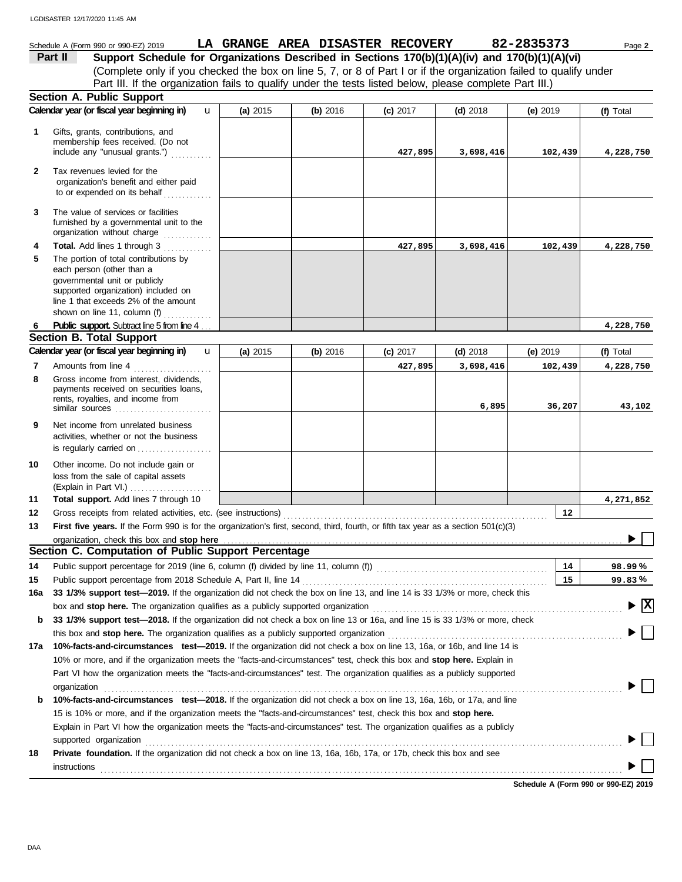#### Schedule A (Form 990 or 990-EZ) 2019 **LA GRANGE AREA DISASTER RECOVERY** 82-2835373 Page 2 **Part II Support Schedule for Organizations Described in Sections 170(b)(1)(A)(iv) and 170(b)(1)(A)(vi)** (Complete only if you checked the box on line 5, 7, or 8 of Part I or if the organization failed to qualify under Part III. If the organization fails to qualify under the tests listed below, please complete Part III.) **Section A. Public Support Calendar year (or fiscal year beginning in) <b>u** (a) 2015 (b) 2016 (c) 2017 (d) 2018 (e) 2019 (f) Total u **(a)** 2015 **(b)** 2016 **(c)** 2017 **(d)** 2018 **(e)** 2019 **1** Gifts, grants, contributions, and membership fees received. (Do not **427,895 3,698,416 102,439 4,228,750** include any "unusual grants.") . . . . . . . . . . . **2** Tax revenues levied for the organization's benefit and either paid to or expended on its behalf ............. **3** The value of services or facilities furnished by a governmental unit to the organization without charge .............. **Total.** Add lines 1 through 3 . . . . . . . . . . . . **4 427,895 3,698,416 102,439 4,228,750 5** The portion of total contributions by each person (other than a governmental unit or publicly supported organization) included on line 1 that exceeds 2% of the amount shown on line 11, column  $(f)$   $\ldots$   $\ldots$  . . . . . . Public support. Subtract line 5 from line 4. **4,228,750 6 Section B. Total Support Calendar year (or fiscal year beginning in) <b>(iii)** 2015 | (b) 2016 | (c) 2017 | (d) 2018 | (e) 2019 | (f) Total u **(b)** 2016 **(c)** 2017 **(d)** 2018 **(e)** 2019 **(a)** 2015 Amounts from line 4 . . . . . . . . . . . . . . . . . . . . . **7 427,895 3,698,416 102,439 4,228,750** Gross income from interest, dividends, **8** payments received on securities loans, rents, royalties, and income from **6,895 36,207 43,102** similar sources . . . . . . . . . . . . . . . . . . . . . . . . . . **9** Net income from unrelated business activities, whether or not the business is regularly carried on . . . . . . . . . . . . . . . . . . . . **10** Other income. Do not include gain or loss from the sale of capital assets (Explain in Part VI.) . . . . . . . . . . . . . . . . . . . . . . **11 Total support.** Add lines 7 through 10 **4,271,852 12 12** Gross receipts from related activities, etc. (see instructions) . . . . . . . . . . . . . . . . . . . . . . . . . . . . . . . . . . . . . . . . . . . . . . . . . . . . . . . . . . . . . . . . . . . . . . . **13 First five years.** If the Form 990 is for the organization's first, second, third, fourth, or fifth tax year as a section 501(c)(3) organization, check this box and stop here ▶ **Section C. Computation of Public Support Percentage 14 14** Public support percentage for 2019 (line 6, column (f) divided by line 11, column (f)) . . . . . . . . . . . . . . . . . . . . . . . . . . . . . . . . . . . . . . . . . . . . . . **% 98.99 15** Public support percentage from 2018 Schedule A, Part II, line 14 . . . . . . . . . . . . . . . . . . . . . . . . . . . . . . . . . . . . . . . . . . . . . . . . . . . . . . . . . . . . . . . . . . **15 % 99.83 16a 33 1/3% support test—2019.** If the organization did not check the box on line 13, and line 14 is 33 1/3% or more, check this box and **stop here.** The organization qualifies as a publicly supported organization . . . . . . . . . . . . . . . . . . . . . . . . . . . . . . . . . . . . . . . . . . . . . . . . . . . . . . . . . . . . . . . . . . . **X b 33 1/3% support test—2018.** If the organization did not check a box on line 13 or 16a, and line 15 is 33 1/3% or more, check this box and **stop here.** The organization qualifies as a publicly supported organization . . . . . . . . . . . . . . . . . . . . . . . . . . . . . . . . . . . . . . . . . . . . . . . . . . . . . . . . . . . . . . . **17a 10%-facts-and-circumstances test—2019.** If the organization did not check a box on line 13, 16a, or 16b, and line 14 is 10% or more, and if the organization meets the "facts-and-circumstances" test, check this box and **stop here.** Explain in Part VI how the organization meets the "facts-and-circumstances" test. The organization qualifies as a publicly supported organization . . . . . . . . . . . . . . . . . . . . . . . . . . . . . . . . . . . . . . . . . . . . . . . . . . . . . . . . . . . . . . . . . . . . . . . . . . . . . . . . . . . . . . . . . . . . . . . . . . . . . . . . . . . . . . . . . . . . . . . . . . . . . . . . . . . . . . . . . . . **b 10%-facts-and-circumstances test—2018.** If the organization did not check a box on line 13, 16a, 16b, or 17a, and line 15 is 10% or more, and if the organization meets the "facts-and-circumstances" test, check this box and **stop here.** Explain in Part VI how the organization meets the "facts-and-circumstances" test. The organization qualifies as a publicly supported organization contains and contains a supported organization of the supported organization contains and contains a supported organization contains a supported organization contains a supported or support of the su **18 Private foundation.** If the organization did not check a box on line 13, 16a, 16b, 17a, or 17b, check this box and see **instructions**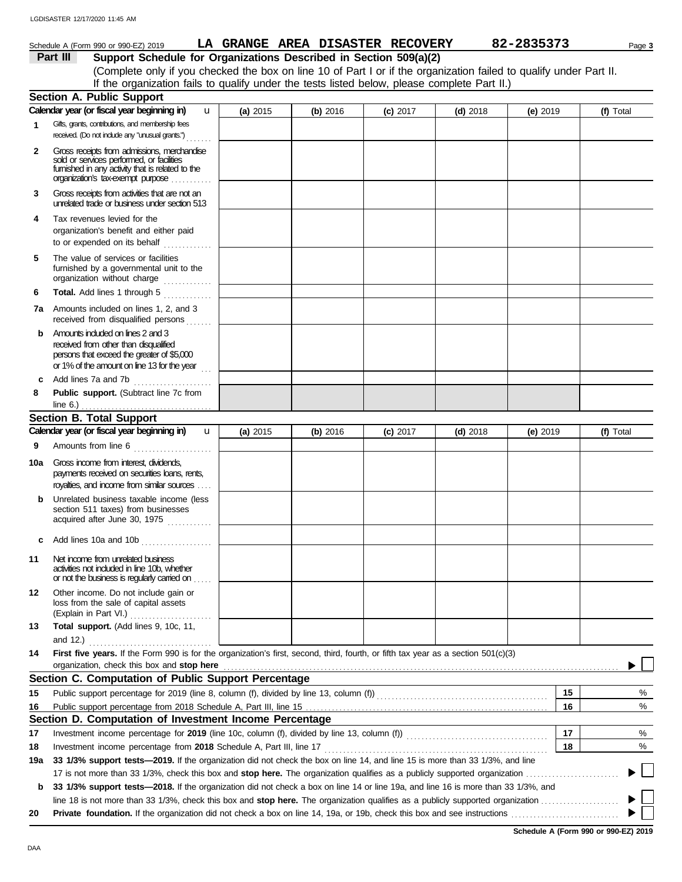|              | LGDISASTER 12/17/2020 11:45 AM                                                                                                                                                                      |          |                                  |          |            |            |                          |
|--------------|-----------------------------------------------------------------------------------------------------------------------------------------------------------------------------------------------------|----------|----------------------------------|----------|------------|------------|--------------------------|
|              | Schedule A (Form 990 or 990-EZ) 2019                                                                                                                                                                |          | LA GRANGE AREA DISASTER RECOVERY |          |            | 82-2835373 | Page 3                   |
|              | Part III<br>Support Schedule for Organizations Described in Section 509(a)(2)<br>(Complete only if you checked the box on line 10 of Part I or if the organization failed to qualify under Part II. |          |                                  |          |            |            |                          |
|              | If the organization fails to qualify under the tests listed below, please complete Part II.)                                                                                                        |          |                                  |          |            |            |                          |
|              | <b>Section A. Public Support</b>                                                                                                                                                                    |          |                                  |          |            |            |                          |
|              | Calendar year (or fiscal year beginning in)<br>u.                                                                                                                                                   | (a) 2015 | (b) 2016                         | (c) 2017 | $(d)$ 2018 | (e) 2019   | (f) Total                |
| 1            | Gifts, grants, contributions, and membership fees<br>received. (Do not include any "unusual grants.")                                                                                               |          |                                  |          |            |            |                          |
| $\mathbf{2}$ | Gross receipts from admissions, merchandise<br>sold or services performed, or facilities<br>fumished in any activity that is related to the<br>organization's tax-exempt purpose                    |          |                                  |          |            |            |                          |
| 3            | Gross receipts from activities that are not an<br>unrelated trade or business under section 513                                                                                                     |          |                                  |          |            |            |                          |
| 4            | Tax revenues levied for the<br>organization's benefit and either paid<br>to or expended on its behalf                                                                                               |          |                                  |          |            |            |                          |
| 5            | The value of services or facilities<br>furnished by a governmental unit to the<br>organization without charge                                                                                       |          |                                  |          |            |            |                          |
| 6            | Total. Add lines 1 through 5                                                                                                                                                                        |          |                                  |          |            |            |                          |
| 7a           | Amounts included on lines 1, 2, and 3<br>received from disqualified persons                                                                                                                         |          |                                  |          |            |            |                          |
| b            | Amounts induded on lines 2 and 3<br>received from other than disqualified<br>persons that exceed the greater of \$5,000<br>or 1% of the amount on line 13 for the year $\frac{1}{100}$              |          |                                  |          |            |            |                          |
| c            | Add lines 7a and 7b                                                                                                                                                                                 |          |                                  |          |            |            |                          |
| 8            | Public support. (Subtract line 7c from                                                                                                                                                              |          |                                  |          |            |            |                          |
|              | <b>Section B. Total Support</b>                                                                                                                                                                     |          |                                  |          |            |            |                          |
|              | Calendar year (or fiscal year beginning in)<br>u                                                                                                                                                    | (a) 2015 | (b) 2016                         | (c) 2017 | $(d)$ 2018 | $(e)$ 2019 | (f) Total                |
| 9            | Amounts from line 6                                                                                                                                                                                 |          |                                  |          |            |            |                          |
| 10a          | Gross income from interest, dividends,<br>payments received on securities loans, rents,<br>royalties, and income from similar sources                                                               |          |                                  |          |            |            |                          |
| b            | Unrelated business taxable income (less<br>section 511 taxes) from businesses<br>acquired after June 30, 1975                                                                                       |          |                                  |          |            |            |                          |
| c            |                                                                                                                                                                                                     |          |                                  |          |            |            |                          |
| 11           | Net income from unrelated business<br>activities not included in line 10b, whether<br>or not the business is regularly carried on $\ldots$                                                          |          |                                  |          |            |            |                          |
| 12           | Other income. Do not include gain or<br>loss from the sale of capital assets<br>(Explain in Part VI.)                                                                                               |          |                                  |          |            |            |                          |
| 13           | Total support. (Add lines 9, 10c, 11,                                                                                                                                                               |          |                                  |          |            |            |                          |
| 14           | First five years. If the Form 990 is for the organization's first, second, third, fourth, or fifth tax year as a section 501(c)(3)<br>organization, check this box and stop here                    |          |                                  |          |            |            |                          |
|              | Section C. Computation of Public Support Percentage                                                                                                                                                 |          |                                  |          |            |            |                          |
| 15           |                                                                                                                                                                                                     |          |                                  |          |            | 15         | %                        |
| 16           |                                                                                                                                                                                                     |          |                                  |          |            | 16         | $\%$                     |
|              | Section D. Computation of Investment Income Percentage                                                                                                                                              |          |                                  |          |            |            |                          |
| 17           |                                                                                                                                                                                                     |          |                                  |          |            | 17         | %                        |
| 18           | 33 1/3% support tests-2019. If the organization did not check the box on line 14, and line 15 is more than 33 1/3%, and line                                                                        |          |                                  |          |            | 18         | $\%$                     |
| 19a          |                                                                                                                                                                                                     |          |                                  |          |            |            | $\overline{\phantom{0}}$ |

**b 33 1/3% support tests—2018.** If the organization did not check a box on line 14 or line 19a, and line 16 is more than 33 1/3%, and line 18 is not more than 33 1/3%, check this box and **stop here.** The organization qualifies as a publicly supported organization . . . . . . . . . . . . . . . . . . . . . **20 Private foundation.** If the organization did not check a box on line 14, 19a, or 19b, check this box and see instructions . . . . . . . . . . . . . . . . . . . . . . . . . . . . .

17 is not more than 33 1/3%, check this box and **stop here.** The organization qualifies as a publicly supported organization . . . . . . . . . . . . . . . . . . . . . . . . .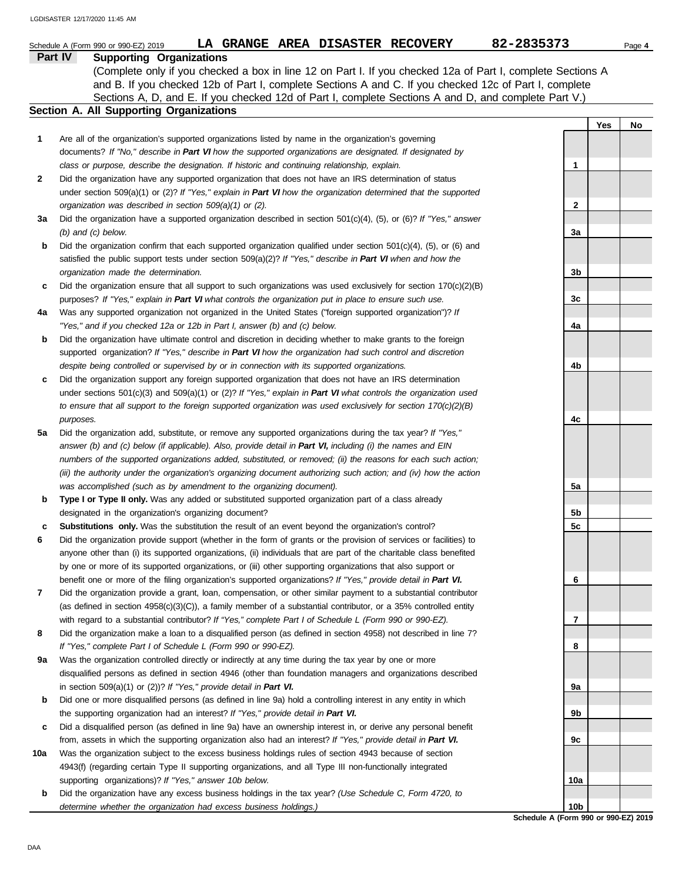|     | LA GRANGE AREA DISASTER RECOVERY<br>Schedule A (Form 990 or 990-EZ) 2019                                                                                                                                                           | 82-2835373      |     | Page 4 |
|-----|------------------------------------------------------------------------------------------------------------------------------------------------------------------------------------------------------------------------------------|-----------------|-----|--------|
|     | <b>Part IV</b><br><b>Supporting Organizations</b>                                                                                                                                                                                  |                 |     |        |
|     | (Complete only if you checked a box in line 12 on Part I. If you checked 12a of Part I, complete Sections A                                                                                                                        |                 |     |        |
|     | and B. If you checked 12b of Part I, complete Sections A and C. If you checked 12c of Part I, complete                                                                                                                             |                 |     |        |
|     | Sections A, D, and E. If you checked 12d of Part I, complete Sections A and D, and complete Part V.)<br>Section A. All Supporting Organizations                                                                                    |                 |     |        |
|     |                                                                                                                                                                                                                                    |                 |     |        |
| 1   | Are all of the organization's supported organizations listed by name in the organization's governing                                                                                                                               |                 | Yes | No     |
|     | documents? If "No," describe in Part VI how the supported organizations are designated. If designated by                                                                                                                           |                 |     |        |
|     | class or purpose, describe the designation. If historic and continuing relationship, explain.                                                                                                                                      | 1               |     |        |
| 2   | Did the organization have any supported organization that does not have an IRS determination of status                                                                                                                             |                 |     |        |
|     | under section 509(a)(1) or (2)? If "Yes," explain in Part VI how the organization determined that the supported                                                                                                                    |                 |     |        |
|     | organization was described in section 509(a)(1) or (2).                                                                                                                                                                            | 2               |     |        |
| За  | Did the organization have a supported organization described in section $501(c)(4)$ , (5), or (6)? If "Yes," answer                                                                                                                |                 |     |        |
|     | $(b)$ and $(c)$ below.                                                                                                                                                                                                             | 3a              |     |        |
| b   | Did the organization confirm that each supported organization qualified under section $501(c)(4)$ , (5), or (6) and                                                                                                                |                 |     |        |
|     | satisfied the public support tests under section $509(a)(2)$ ? If "Yes," describe in Part VI when and how the                                                                                                                      |                 |     |        |
|     | organization made the determination.                                                                                                                                                                                               | 3b              |     |        |
| c   | Did the organization ensure that all support to such organizations was used exclusively for section $170(c)(2)(B)$                                                                                                                 |                 |     |        |
|     | purposes? If "Yes," explain in Part VI what controls the organization put in place to ensure such use.                                                                                                                             | 3c              |     |        |
| 4a  | Was any supported organization not organized in the United States ("foreign supported organization")? If                                                                                                                           |                 |     |        |
|     | "Yes," and if you checked 12a or 12b in Part I, answer (b) and (c) below.                                                                                                                                                          | 4a              |     |        |
| b   | Did the organization have ultimate control and discretion in deciding whether to make grants to the foreign                                                                                                                        |                 |     |        |
|     | supported organization? If "Yes," describe in Part VI how the organization had such control and discretion                                                                                                                         |                 |     |        |
|     | despite being controlled or supervised by or in connection with its supported organizations.                                                                                                                                       | 4b              |     |        |
| c   | Did the organization support any foreign supported organization that does not have an IRS determination                                                                                                                            |                 |     |        |
|     | under sections $501(c)(3)$ and $509(a)(1)$ or (2)? If "Yes," explain in Part VI what controls the organization used                                                                                                                |                 |     |        |
|     | to ensure that all support to the foreign supported organization was used exclusively for section $170(c)(2)(B)$                                                                                                                   |                 |     |        |
|     | purposes.                                                                                                                                                                                                                          | 4c              |     |        |
| 5a  | Did the organization add, substitute, or remove any supported organizations during the tax year? If "Yes,"                                                                                                                         |                 |     |        |
|     | answer (b) and (c) below (if applicable). Also, provide detail in Part VI, including (i) the names and EIN                                                                                                                         |                 |     |        |
|     | numbers of the supported organizations added, substituted, or removed; (ii) the reasons for each such action;<br>(iii) the authority under the organization's organizing document authorizing such action; and (iv) how the action |                 |     |        |
|     | was accomplished (such as by amendment to the organizing document).                                                                                                                                                                | 5a              |     |        |
| b   | Type I or Type II only. Was any added or substituted supported organization part of a class already                                                                                                                                |                 |     |        |
|     | designated in the organization's organizing document?                                                                                                                                                                              | 5b              |     |        |
|     | <b>Substitutions only.</b> Was the substitution the result of an event beyond the organization's control?                                                                                                                          | 5c              |     |        |
| 6   | Did the organization provide support (whether in the form of grants or the provision of services or facilities) to                                                                                                                 |                 |     |        |
|     | anyone other than (i) its supported organizations, (ii) individuals that are part of the charitable class benefited                                                                                                                |                 |     |        |
|     | by one or more of its supported organizations, or (iii) other supporting organizations that also support or                                                                                                                        |                 |     |        |
|     | benefit one or more of the filing organization's supported organizations? If "Yes," provide detail in Part VI.                                                                                                                     | 6               |     |        |
| 7   | Did the organization provide a grant, loan, compensation, or other similar payment to a substantial contributor                                                                                                                    |                 |     |        |
|     | (as defined in section $4958(c)(3)(C)$ ), a family member of a substantial contributor, or a 35% controlled entity                                                                                                                 |                 |     |        |
|     | with regard to a substantial contributor? If "Yes," complete Part I of Schedule L (Form 990 or 990-EZ).                                                                                                                            | 7               |     |        |
| 8   | Did the organization make a loan to a disqualified person (as defined in section 4958) not described in line 7?                                                                                                                    |                 |     |        |
|     | If "Yes," complete Part I of Schedule L (Form 990 or 990-EZ).                                                                                                                                                                      | 8               |     |        |
| 9a  | Was the organization controlled directly or indirectly at any time during the tax year by one or more                                                                                                                              |                 |     |        |
|     | disqualified persons as defined in section 4946 (other than foundation managers and organizations described                                                                                                                        |                 |     |        |
|     | in section $509(a)(1)$ or $(2)$ ? If "Yes," provide detail in Part VI.                                                                                                                                                             | 9а              |     |        |
| b   | Did one or more disqualified persons (as defined in line 9a) hold a controlling interest in any entity in which                                                                                                                    |                 |     |        |
|     | the supporting organization had an interest? If "Yes," provide detail in Part VI.                                                                                                                                                  | 9b              |     |        |
| c   | Did a disqualified person (as defined in line 9a) have an ownership interest in, or derive any personal benefit                                                                                                                    |                 |     |        |
|     | from, assets in which the supporting organization also had an interest? If "Yes," provide detail in Part VI.                                                                                                                       | 9с              |     |        |
| 10a | Was the organization subject to the excess business holdings rules of section 4943 because of section                                                                                                                              |                 |     |        |
|     | 4943(f) (regarding certain Type II supporting organizations, and all Type III non-functionally integrated                                                                                                                          |                 |     |        |
|     | supporting organizations)? If "Yes," answer 10b below.                                                                                                                                                                             | 10a             |     |        |
| b   | Did the organization have any excess business holdings in the tax year? (Use Schedule C, Form 4720, to<br>determine whether the organization had excess business holdings.)                                                        | 10 <sub>b</sub> |     |        |
|     |                                                                                                                                                                                                                                    |                 |     |        |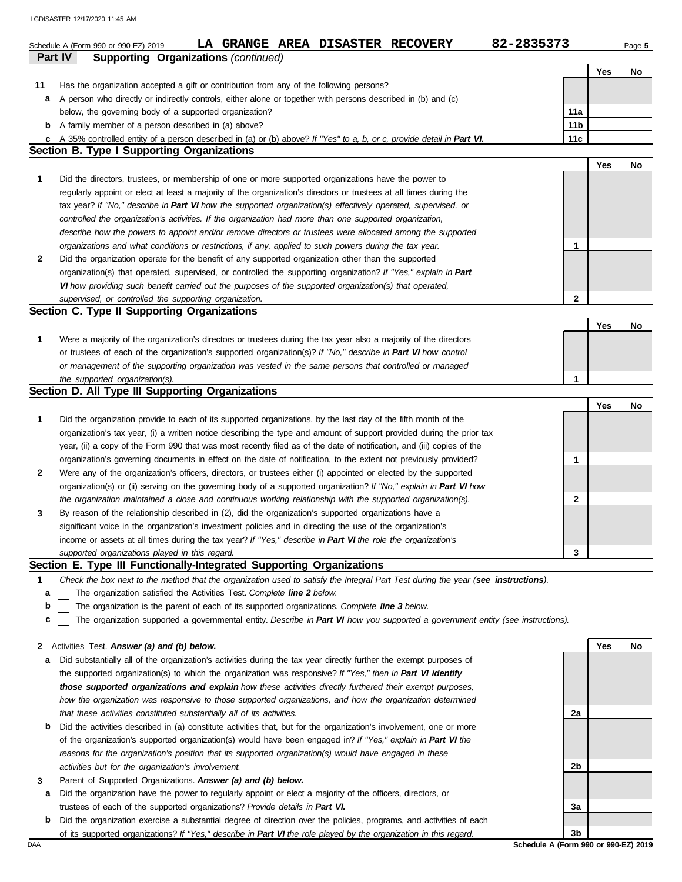|    | 82-2835373<br><b>GRANGE AREA DISASTER RECOVERY</b><br>LA<br>Schedule A (Form 990 or 990-EZ) 2019                                                                             |                 |     | Page 5 |
|----|------------------------------------------------------------------------------------------------------------------------------------------------------------------------------|-----------------|-----|--------|
|    | Part IV<br><b>Supporting Organizations (continued)</b>                                                                                                                       |                 |     |        |
|    |                                                                                                                                                                              |                 | Yes | No     |
| 11 | Has the organization accepted a gift or contribution from any of the following persons?                                                                                      |                 |     |        |
| а  | A person who directly or indirectly controls, either alone or together with persons described in (b) and (c)                                                                 |                 |     |        |
|    | below, the governing body of a supported organization?                                                                                                                       | 11a             |     |        |
| b  | A family member of a person described in (a) above?                                                                                                                          | 11 <sub>b</sub> |     |        |
|    | c A 35% controlled entity of a person described in (a) or (b) above? If "Yes" to a, b, or c, provide detail in Part VI.<br><b>Section B. Type I Supporting Organizations</b> | 11c             |     |        |
|    |                                                                                                                                                                              |                 | Yes | No     |
| 1  | Did the directors, trustees, or membership of one or more supported organizations have the power to                                                                          |                 |     |        |
|    | regularly appoint or elect at least a majority of the organization's directors or trustees at all times during the                                                           |                 |     |        |
|    |                                                                                                                                                                              |                 |     |        |
|    | tax year? If "No," describe in Part VI how the supported organization(s) effectively operated, supervised, or                                                                |                 |     |        |
|    | controlled the organization's activities. If the organization had more than one supported organization,                                                                      |                 |     |        |
|    | describe how the powers to appoint and/or remove directors or trustees were allocated among the supported                                                                    |                 |     |        |
|    | organizations and what conditions or restrictions, if any, applied to such powers during the tax year.                                                                       | 1               |     |        |
| 2  | Did the organization operate for the benefit of any supported organization other than the supported                                                                          |                 |     |        |
|    | organization(s) that operated, supervised, or controlled the supporting organization? If "Yes," explain in Part                                                              |                 |     |        |
|    | VI how providing such benefit carried out the purposes of the supported organization(s) that operated,                                                                       |                 |     |        |
|    | supervised, or controlled the supporting organization.                                                                                                                       | $\mathbf{2}$    |     |        |
|    | Section C. Type II Supporting Organizations                                                                                                                                  |                 |     |        |
|    |                                                                                                                                                                              |                 | Yes | No     |
| 1  | Were a majority of the organization's directors or trustees during the tax year also a majority of the directors                                                             |                 |     |        |
|    | or trustees of each of the organization's supported organization(s)? If "No," describe in Part VI how control                                                                |                 |     |        |
|    | or management of the supporting organization was vested in the same persons that controlled or managed                                                                       |                 |     |        |
|    | the supported organization(s).                                                                                                                                               | 1               |     |        |
|    | Section D. All Type III Supporting Organizations                                                                                                                             |                 |     |        |
|    |                                                                                                                                                                              |                 | Yes | No     |
| 1  | Did the organization provide to each of its supported organizations, by the last day of the fifth month of the                                                               |                 |     |        |
|    | organization's tax year, (i) a written notice describing the type and amount of support provided during the prior tax                                                        |                 |     |        |
|    | year, (ii) a copy of the Form 990 that was most recently filed as of the date of notification, and (iii) copies of the                                                       |                 |     |        |
|    | organization's governing documents in effect on the date of notification, to the extent not previously provided?                                                             | 1               |     |        |
| 2  | Were any of the organization's officers, directors, or trustees either (i) appointed or elected by the supported                                                             |                 |     |        |
|    | organization(s) or (ii) serving on the governing body of a supported organization? If "No," explain in Part VI how                                                           |                 |     |        |
|    | the organization maintained a close and continuous working relationship with the supported organization(s).                                                                  | 2               |     |        |
| 3  | By reason of the relationship described in (2), did the organization's supported organizations have a                                                                        |                 |     |        |
|    | significant voice in the organization's investment policies and in directing the use of the organization's                                                                   |                 |     |        |
|    | income or assets at all times during the tax year? If "Yes," describe in Part VI the role the organization's                                                                 |                 |     |        |
|    | supported organizations played in this regard.                                                                                                                               | 3               |     |        |
|    | Section E. Type III Functionally-Integrated Supporting Organizations                                                                                                         |                 |     |        |
| 1  | Check the box next to the method that the organization used to satisfy the Integral Part Test during the year (see instructions).                                            |                 |     |        |
| a  | The organization satisfied the Activities Test. Complete line 2 below.                                                                                                       |                 |     |        |
| b  | The organization is the parent of each of its supported organizations. Complete line 3 below.                                                                                |                 |     |        |
| c  | The organization supported a governmental entity. Describe in Part VI how you supported a government entity (see instructions).                                              |                 |     |        |
|    |                                                                                                                                                                              |                 |     |        |
| 2  | Activities Test. Answer (a) and (b) below.                                                                                                                                   |                 | Yes | No     |
| а  | Did substantially all of the organization's activities during the tax year directly further the exempt purposes of                                                           |                 |     |        |
|    | the supported organization(s) to which the organization was responsive? If "Yes," then in Part VI identify                                                                   |                 |     |        |
|    | those supported organizations and explain how these activities directly furthered their exempt purposes,                                                                     |                 |     |        |
|    | how the organization was responsive to those supported organizations, and how the organization determined                                                                    |                 |     |        |
|    | that these activities constituted substantially all of its activities.                                                                                                       | 2a              |     |        |
| b  | Did the activities described in (a) constitute activities that, but for the organization's involvement, one or more                                                          |                 |     |        |
|    | of the organization's supported organization(s) would have been engaged in? If "Yes," explain in Part VI the                                                                 |                 |     |        |
|    | reasons for the organization's position that its supported organization(s) would have engaged in these                                                                       |                 |     |        |
|    | activities but for the organization's involvement.                                                                                                                           | 2b              |     |        |
| 3  | Parent of Supported Organizations. Answer (a) and (b) below.                                                                                                                 |                 |     |        |
| a  | Did the organization have the power to regularly appoint or elect a majority of the officers, directors, or                                                                  |                 |     |        |

**b** Did the organization exercise a substantial degree of direction over the policies, programs, and activities of each trustees of each of the supported organizations? *Provide details in Part VI.* of its supported organizations? *If "Yes," describe in Part VI the role played by the organization in this regard.*

DAA **Schedule A (Form 990 or 990-EZ) 2019 3b**

**3a**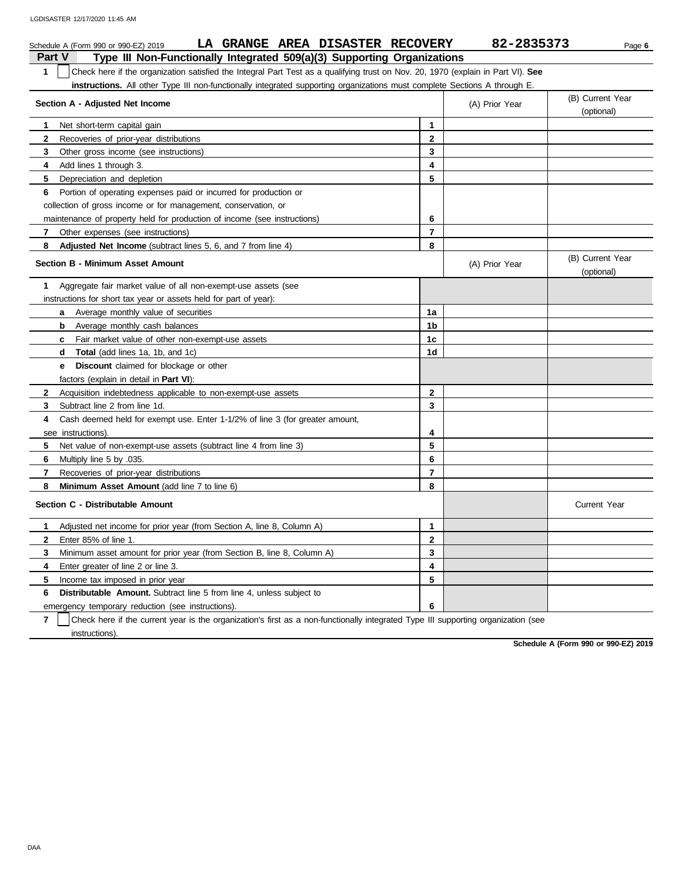| LA GRANGE AREA DISASTER RECOVERY<br>Schedule A (Form 990 or 990-EZ) 2019                                                                                     |                | 82-2835373     | Page 6                         |
|--------------------------------------------------------------------------------------------------------------------------------------------------------------|----------------|----------------|--------------------------------|
| <b>Part V</b><br>Type III Non-Functionally Integrated 509(a)(3) Supporting Organizations                                                                     |                |                |                                |
| Check here if the organization satisfied the Integral Part Test as a qualifying trust on Nov. 20, 1970 (explain in Part VI). See<br>1                        |                |                |                                |
| instructions. All other Type III non-functionally integrated supporting organizations must complete Sections A through E.<br>Section A - Adjusted Net Income |                | (A) Prior Year | (B) Current Year<br>(optional) |
| Net short-term capital gain<br>1                                                                                                                             | 1              |                |                                |
| $\mathbf{2}$<br>Recoveries of prior-year distributions                                                                                                       | $\mathbf{2}$   |                |                                |
| 3<br>Other gross income (see instructions)                                                                                                                   | 3              |                |                                |
| 4<br>Add lines 1 through 3.                                                                                                                                  | 4              |                |                                |
| Depreciation and depletion<br>5                                                                                                                              | 5              |                |                                |
| Portion of operating expenses paid or incurred for production or<br>6.                                                                                       |                |                |                                |
| collection of gross income or for management, conservation, or                                                                                               |                |                |                                |
| maintenance of property held for production of income (see instructions)                                                                                     | 6              |                |                                |
| Other expenses (see instructions)<br>$\mathbf{7}$                                                                                                            | $\overline{7}$ |                |                                |
| 8<br><b>Adjusted Net Income</b> (subtract lines 5, 6, and 7 from line 4)                                                                                     | 8              |                |                                |
| <b>Section B - Minimum Asset Amount</b>                                                                                                                      |                | (A) Prior Year | (B) Current Year<br>(optional) |
| 1.<br>Aggregate fair market value of all non-exempt-use assets (see                                                                                          |                |                |                                |
| instructions for short tax year or assets held for part of year):                                                                                            |                |                |                                |
| <b>a</b> Average monthly value of securities                                                                                                                 | 1a             |                |                                |
| <b>b</b> Average monthly cash balances                                                                                                                       | 1b             |                |                                |
| Fair market value of other non-exempt-use assets<br>C                                                                                                        | 1c             |                |                                |
| <b>Total</b> (add lines 1a, 1b, and 1c)<br>d                                                                                                                 | 1d             |                |                                |
| <b>Discount</b> claimed for blockage or other<br>е                                                                                                           |                |                |                                |
| factors (explain in detail in Part VI):                                                                                                                      |                |                |                                |
| 2<br>Acquisition indebtedness applicable to non-exempt-use assets                                                                                            | $\mathbf 2$    |                |                                |
| 3<br>Subtract line 2 from line 1d.                                                                                                                           | 3              |                |                                |
| Cash deemed held for exempt use. Enter 1-1/2% of line 3 (for greater amount,<br>4                                                                            |                |                |                                |
| see instructions).                                                                                                                                           | 4              |                |                                |
| 5<br>Net value of non-exempt-use assets (subtract line 4 from line 3)                                                                                        | 5              |                |                                |
| 6<br>.035. Multiply line 5 by                                                                                                                                | 6              |                |                                |
| 7<br>Recoveries of prior-year distributions                                                                                                                  | $\overline{7}$ |                |                                |
| 8<br>Minimum Asset Amount (add line 7 to line 6)                                                                                                             | 8              |                |                                |
| Section C - Distributable Amount                                                                                                                             |                |                | <b>Current Year</b>            |
| Adjusted net income for prior year (from Section A, line 8, Column A)<br>1                                                                                   | 1              |                |                                |
| $\mathbf{2}$<br>Enter 85% of line 1.                                                                                                                         | $\mathbf 2$    |                |                                |
| 3<br>Minimum asset amount for prior year (from Section B, line 8, Column A)                                                                                  | 3              |                |                                |
| Enter greater of line 2 or line 3.<br>4                                                                                                                      | 4              |                |                                |
| 5<br>Income tax imposed in prior year                                                                                                                        | 5              |                |                                |
| <b>Distributable Amount.</b> Subtract line 5 from line 4, unless subject to<br>6                                                                             |                |                |                                |
| emergency temporary reduction (see instructions).                                                                                                            | 6              |                |                                |

**7** | Check here if the current year is the organization's first as a non-functionally integrated Type III supporting organization (see instructions).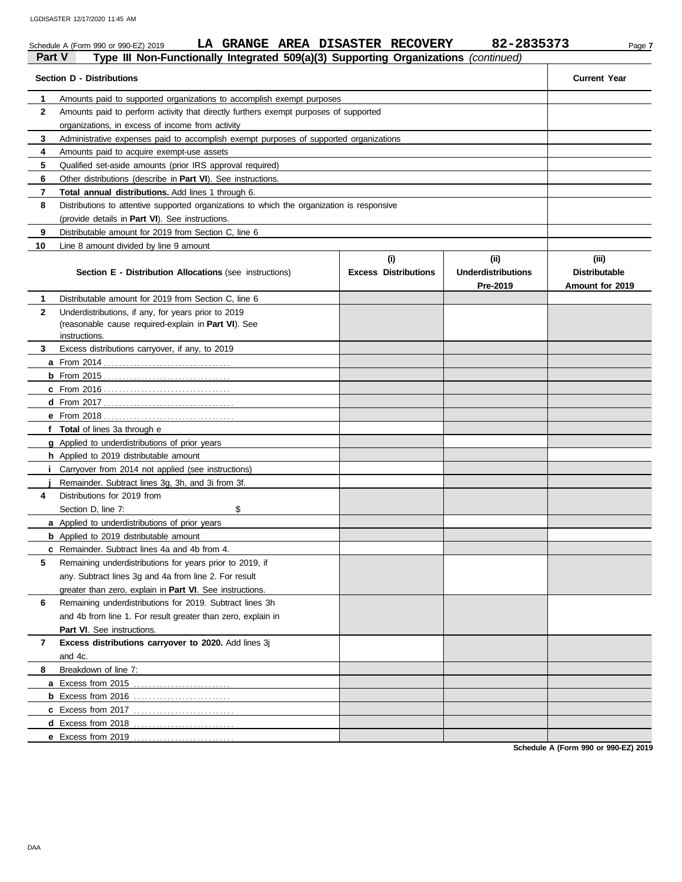|               | LA GRANGE AREA DISASTER RECOVERY<br>Schedule A (Form 990 or 990-EZ) 2019                        |                                    | 82-2835373                                   | Page 7                                           |
|---------------|-------------------------------------------------------------------------------------------------|------------------------------------|----------------------------------------------|--------------------------------------------------|
| <b>Part V</b> | Type III Non-Functionally Integrated 509(a)(3) Supporting Organizations (continued)             |                                    |                                              |                                                  |
|               | <b>Section D - Distributions</b>                                                                |                                    |                                              | <b>Current Year</b>                              |
| 1             | Amounts paid to supported organizations to accomplish exempt purposes                           |                                    |                                              |                                                  |
| $\mathbf{2}$  | Amounts paid to perform activity that directly furthers exempt purposes of supported            |                                    |                                              |                                                  |
|               | organizations, in excess of income from activity                                                |                                    |                                              |                                                  |
| 3             | Administrative expenses paid to accomplish exempt purposes of supported organizations           |                                    |                                              |                                                  |
| 4             | Amounts paid to acquire exempt-use assets                                                       |                                    |                                              |                                                  |
| 5             | Qualified set-aside amounts (prior IRS approval required)                                       |                                    |                                              |                                                  |
| 6             | Other distributions (describe in <b>Part VI</b> ). See instructions.                            |                                    |                                              |                                                  |
| 7             | <b>Total annual distributions.</b> Add lines 1 through 6.                                       |                                    |                                              |                                                  |
| 8             | Distributions to attentive supported organizations to which the organization is responsive      |                                    |                                              |                                                  |
|               | (provide details in <b>Part VI</b> ). See instructions.                                         |                                    |                                              |                                                  |
| 9             | Distributable amount for 2019 from Section C, line 6                                            |                                    |                                              |                                                  |
| 10            | Line 8 amount divided by line 9 amount                                                          |                                    |                                              |                                                  |
|               | Section E - Distribution Allocations (see instructions)                                         | (i)<br><b>Excess Distributions</b> | (i)<br><b>Underdistributions</b><br>Pre-2019 | (iii)<br><b>Distributable</b><br>Amount for 2019 |
| 1             | Distributable amount for 2019 from Section C, line 6                                            |                                    |                                              |                                                  |
| $\mathbf{2}$  | Underdistributions, if any, for years prior to 2019                                             |                                    |                                              |                                                  |
|               | (reasonable cause required-explain in Part VI). See                                             |                                    |                                              |                                                  |
|               | instructions.                                                                                   |                                    |                                              |                                                  |
| 3             | Excess distributions carryover, if any, to 2019                                                 |                                    |                                              |                                                  |
|               |                                                                                                 |                                    |                                              |                                                  |
|               |                                                                                                 |                                    |                                              |                                                  |
|               |                                                                                                 |                                    |                                              |                                                  |
|               |                                                                                                 |                                    |                                              |                                                  |
|               |                                                                                                 |                                    |                                              |                                                  |
|               | f Total of lines 3a through e                                                                   |                                    |                                              |                                                  |
|               | <b>g</b> Applied to underdistributions of prior years<br>h Applied to 2019 distributable amount |                                    |                                              |                                                  |
| Ť.            | Carryover from 2014 not applied (see instructions)                                              |                                    |                                              |                                                  |
|               | Remainder. Subtract lines 3g, 3h, and 3i from 3f.                                               |                                    |                                              |                                                  |
| 4             | Distributions for 2019 from                                                                     |                                    |                                              |                                                  |
|               | Section D, line 7:<br>\$                                                                        |                                    |                                              |                                                  |
|               | a Applied to underdistributions of prior years                                                  |                                    |                                              |                                                  |
|               | <b>b</b> Applied to 2019 distributable amount                                                   |                                    |                                              |                                                  |
|               | c Remainder. Subtract lines 4a and 4b from 4.                                                   |                                    |                                              |                                                  |
| 5             | Remaining underdistributions for years prior to 2019, if                                        |                                    |                                              |                                                  |
|               | any. Subtract lines 3g and 4a from line 2. For result                                           |                                    |                                              |                                                  |
|               | greater than zero, explain in Part VI. See instructions.                                        |                                    |                                              |                                                  |
| 6             | Remaining underdistributions for 2019. Subtract lines 3h                                        |                                    |                                              |                                                  |
|               | and 4b from line 1. For result greater than zero, explain in                                    |                                    |                                              |                                                  |
|               | Part VI. See instructions.                                                                      |                                    |                                              |                                                  |
| 7             | Excess distributions carryover to 2020. Add lines 3j                                            |                                    |                                              |                                                  |
|               | and 4c.                                                                                         |                                    |                                              |                                                  |
| 8             | Breakdown of line 7:                                                                            |                                    |                                              |                                                  |
|               | <b>a</b> Excess from 2015                                                                       |                                    |                                              |                                                  |
|               |                                                                                                 |                                    |                                              |                                                  |
|               | <b>c</b> Excess from 2017                                                                       |                                    |                                              |                                                  |
|               | <b>d</b> Excess from 2018                                                                       |                                    |                                              |                                                  |
|               | e Excess from 2019                                                                              |                                    |                                              |                                                  |

**Schedule A (Form 990 or 990-EZ) 2019**

**e** Excess from 2019 . . . . . . . . . . . . . . . . . . . . . . . . . . .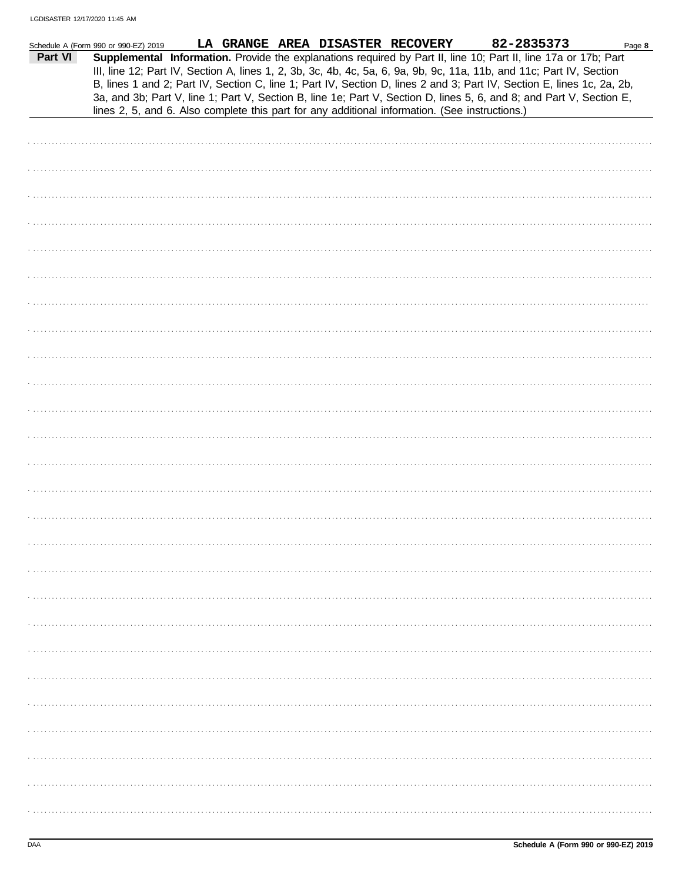|         | Schedule A (Form 990 or 990-EZ) 2019 |  | LA GRANGE AREA DISASTER RECOVERY                                                               | 82-2835373                                                                                                                                                                                                                                                                                                                                                                                                                                                                                | Page 8 |
|---------|--------------------------------------|--|------------------------------------------------------------------------------------------------|-------------------------------------------------------------------------------------------------------------------------------------------------------------------------------------------------------------------------------------------------------------------------------------------------------------------------------------------------------------------------------------------------------------------------------------------------------------------------------------------|--------|
| Part VI |                                      |  | lines 2, 5, and 6. Also complete this part for any additional information. (See instructions.) | Supplemental Information. Provide the explanations required by Part II, line 10; Part II, line 17a or 17b; Part<br>III, line 12; Part IV, Section A, lines 1, 2, 3b, 3c, 4b, 4c, 5a, 6, 9a, 9b, 9c, 11a, 11b, and 11c; Part IV, Section<br>B, lines 1 and 2; Part IV, Section C, line 1; Part IV, Section D, lines 2 and 3; Part IV, Section E, lines 1c, 2a, 2b,<br>3a, and 3b; Part V, line 1; Part V, Section B, line 1e; Part V, Section D, lines 5, 6, and 8; and Part V, Section E, |        |
|         |                                      |  |                                                                                                |                                                                                                                                                                                                                                                                                                                                                                                                                                                                                           |        |
|         |                                      |  |                                                                                                |                                                                                                                                                                                                                                                                                                                                                                                                                                                                                           |        |
|         |                                      |  |                                                                                                |                                                                                                                                                                                                                                                                                                                                                                                                                                                                                           |        |
|         |                                      |  |                                                                                                |                                                                                                                                                                                                                                                                                                                                                                                                                                                                                           |        |
|         |                                      |  |                                                                                                |                                                                                                                                                                                                                                                                                                                                                                                                                                                                                           |        |
|         |                                      |  |                                                                                                |                                                                                                                                                                                                                                                                                                                                                                                                                                                                                           |        |
|         |                                      |  |                                                                                                |                                                                                                                                                                                                                                                                                                                                                                                                                                                                                           |        |
|         |                                      |  |                                                                                                |                                                                                                                                                                                                                                                                                                                                                                                                                                                                                           |        |
|         |                                      |  |                                                                                                |                                                                                                                                                                                                                                                                                                                                                                                                                                                                                           |        |
|         |                                      |  |                                                                                                |                                                                                                                                                                                                                                                                                                                                                                                                                                                                                           |        |
|         |                                      |  |                                                                                                |                                                                                                                                                                                                                                                                                                                                                                                                                                                                                           |        |
|         |                                      |  |                                                                                                |                                                                                                                                                                                                                                                                                                                                                                                                                                                                                           |        |
|         |                                      |  |                                                                                                |                                                                                                                                                                                                                                                                                                                                                                                                                                                                                           |        |
|         |                                      |  |                                                                                                |                                                                                                                                                                                                                                                                                                                                                                                                                                                                                           |        |
|         |                                      |  |                                                                                                |                                                                                                                                                                                                                                                                                                                                                                                                                                                                                           |        |
|         |                                      |  |                                                                                                |                                                                                                                                                                                                                                                                                                                                                                                                                                                                                           |        |
|         |                                      |  |                                                                                                |                                                                                                                                                                                                                                                                                                                                                                                                                                                                                           |        |
|         |                                      |  |                                                                                                |                                                                                                                                                                                                                                                                                                                                                                                                                                                                                           |        |
|         |                                      |  |                                                                                                |                                                                                                                                                                                                                                                                                                                                                                                                                                                                                           |        |
|         |                                      |  |                                                                                                |                                                                                                                                                                                                                                                                                                                                                                                                                                                                                           |        |
|         |                                      |  |                                                                                                |                                                                                                                                                                                                                                                                                                                                                                                                                                                                                           |        |
|         |                                      |  |                                                                                                |                                                                                                                                                                                                                                                                                                                                                                                                                                                                                           |        |
|         |                                      |  |                                                                                                |                                                                                                                                                                                                                                                                                                                                                                                                                                                                                           |        |
|         |                                      |  |                                                                                                |                                                                                                                                                                                                                                                                                                                                                                                                                                                                                           |        |
|         |                                      |  |                                                                                                |                                                                                                                                                                                                                                                                                                                                                                                                                                                                                           |        |
|         |                                      |  |                                                                                                |                                                                                                                                                                                                                                                                                                                                                                                                                                                                                           |        |
|         |                                      |  |                                                                                                |                                                                                                                                                                                                                                                                                                                                                                                                                                                                                           |        |
|         |                                      |  |                                                                                                |                                                                                                                                                                                                                                                                                                                                                                                                                                                                                           |        |
|         |                                      |  |                                                                                                |                                                                                                                                                                                                                                                                                                                                                                                                                                                                                           |        |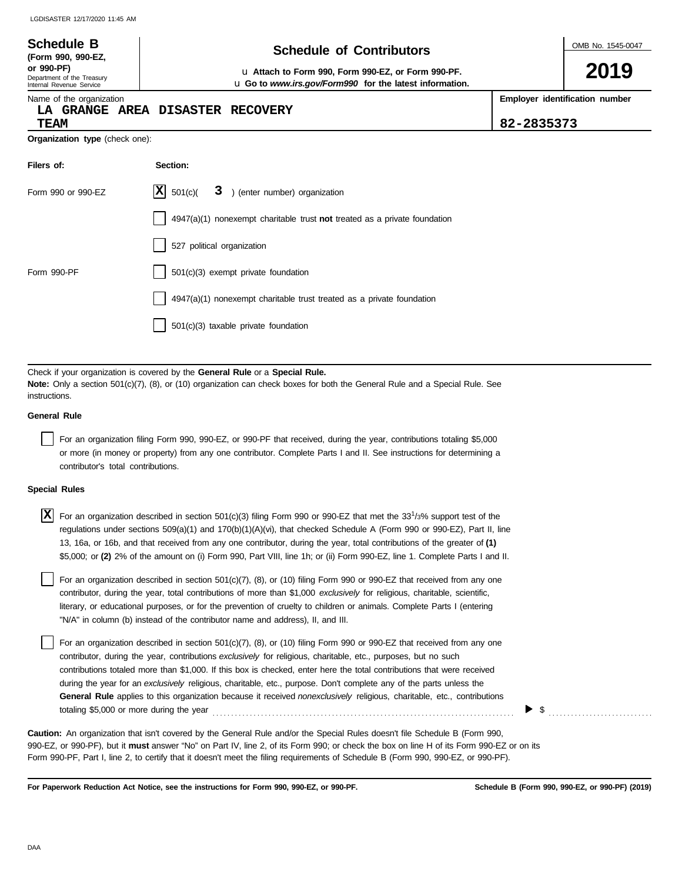### OMB No. 1545-0047 Department of the Treasury Internal Revenue Service Name of the organization **2019 Schedule of Contributors Schedule B (Form 990, 990-EZ, or 990-PF)** u **Attach to Form 990, Form 990-EZ, or Form 990-PF. Employer identification number Organization type** (check one): **Filers of: Section:** Form 990 or 990-EZ  $|\mathbf{X}|$  501(c)( 3) (enter number) organization 4947(a)(1) nonexempt charitable trust **not** treated as a private foundation 527 political organization Form 990-PF  $\vert$  501(c)(3) exempt private foundation 4947(a)(1) nonexempt charitable trust treated as a private foundation 501(c)(3) taxable private foundation u **Go to** *www.irs.gov/Form990* **for the latest information. LA GRANGE AREA DISASTER RECOVERY TEAM 82-2835373**  $|X|$  501(c)(

Check if your organization is covered by the **General Rule** or a **Special Rule. Note:** Only a section 501(c)(7), (8), or (10) organization can check boxes for both the General Rule and a Special Rule. See instructions.

### **General Rule**

For an organization filing Form 990, 990-EZ, or 990-PF that received, during the year, contributions totaling \$5,000 or more (in money or property) from any one contributor. Complete Parts I and II. See instructions for determining a contributor's total contributions.

#### **Special Rules**

| $X$ For an organization described in section 501(c)(3) filing Form 990 or 990-EZ that met the 331/3% support test of the    |
|-----------------------------------------------------------------------------------------------------------------------------|
| regulations under sections 509(a)(1) and 170(b)(1)(A)(vi), that checked Schedule A (Form 990 or 990-EZ), Part II, line      |
| 13, 16a, or 16b, and that received from any one contributor, during the year, total contributions of the greater of (1)     |
| \$5,000; or (2) 2% of the amount on (i) Form 990, Part VIII, line 1h; or (ii) Form 990-EZ, line 1. Complete Parts I and II. |

literary, or educational purposes, or for the prevention of cruelty to children or animals. Complete Parts I (entering For an organization described in section 501(c)(7), (8), or (10) filing Form 990 or 990-EZ that received from any one contributor, during the year, total contributions of more than \$1,000 *exclusively* for religious, charitable, scientific, "N/A" in column (b) instead of the contributor name and address), II, and III.

For an organization described in section 501(c)(7), (8), or (10) filing Form 990 or 990-EZ that received from any one contributor, during the year, contributions *exclusively* for religious, charitable, etc., purposes, but no such contributions totaled more than \$1,000. If this box is checked, enter here the total contributions that were received during the year for an *exclusively* religious, charitable, etc., purpose. Don't complete any of the parts unless the **General Rule** applies to this organization because it received *nonexclusively* religious, charitable, etc., contributions totaling \$5,000 or more during the year . . . . . . . . . . . . . . . . . . . . . . . . . . . . . . . . . . . . . . . . . . . . . . . . . . . . . . . . . . . . . . . . . . . . . . . . . . . . . . . . .

990-EZ, or 990-PF), but it **must** answer "No" on Part IV, line 2, of its Form 990; or check the box on line H of its Form 990-EZ or on its Form 990-PF, Part I, line 2, to certify that it doesn't meet the filing requirements of Schedule B (Form 990, 990-EZ, or 990-PF). **Caution:** An organization that isn't covered by the General Rule and/or the Special Rules doesn't file Schedule B (Form 990,

**For Paperwork Reduction Act Notice, see the instructions for Form 990, 990-EZ, or 990-PF.**

\$ . . . . . . . . . . . . . . . . . . . . . . . . . . . .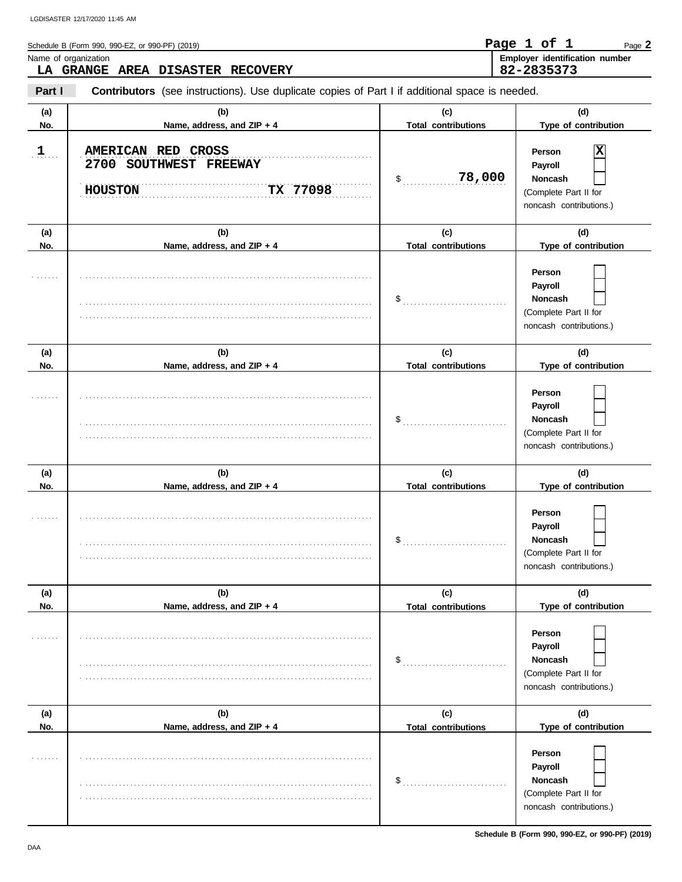| Schedule B (Form 990, 990-EZ, or 990-PF) (2019) | Page 1 of 1    |  | Page 2                                |
|-------------------------------------------------|----------------|--|---------------------------------------|
| Name of organization                            |                |  | <b>Employer identification number</b> |
| LA GRANGE AREA DISASTER RECOVERY                | $82 - 2835373$ |  |                                       |

**Part I Contributors** (see instructions). Use duplicate copies of Part I if additional space is needed.

| (a)<br>No.                  | (b)<br>Name, address, and ZIP + 4                                          | (c)<br><b>Total contributions</b>                                | (d)<br>Type of contribution                                                           |
|-----------------------------|----------------------------------------------------------------------------|------------------------------------------------------------------|---------------------------------------------------------------------------------------|
| 1                           | AMERICAN RED CROSS<br>2700 SOUTHWEST FREEWAY<br>TX 77098<br><b>HOUSTON</b> | 78,000<br>$\sim$                                                 | x<br>Person<br>Payroll<br>Noncash<br>(Complete Part II for<br>noncash contributions.) |
| (a)<br>No.                  | (b)<br>Name, address, and ZIP + 4                                          | (c)<br><b>Total contributions</b>                                | (d)<br>Type of contribution                                                           |
|                             |                                                                            |                                                                  | Person<br>Payroll<br>Noncash<br>(Complete Part II for<br>noncash contributions.)      |
| (a)                         | (b)                                                                        | (c)                                                              | (d)                                                                                   |
| No.                         | Name, address, and ZIP + 4                                                 | <b>Total contributions</b>                                       | Type of contribution                                                                  |
|                             |                                                                            | $\$\$                                                            | Person<br>Payroll<br>Noncash<br>(Complete Part II for<br>noncash contributions.)      |
| (a)                         | (b)                                                                        | (c)                                                              | (d)                                                                                   |
| No.                         | Name, address, and ZIP + 4                                                 | <b>Total contributions</b>                                       | Type of contribution                                                                  |
|                             |                                                                            | $\$\ldots\ldots\ldots\ldots\ldots\ldots\ldots\ldots\ldots\ldots$ | Person<br>Payroll<br>Noncash<br>(Complete Part II for<br>noncash contributions.)      |
| (a)                         | (b)                                                                        | (c)                                                              | (d)                                                                                   |
| No.                         | Name, address, and ZIP + 4                                                 | <b>Total contributions</b>                                       | Type of contribution                                                                  |
| .                           |                                                                            | $\$\ldots$                                                       | Person<br>Payroll<br>Noncash<br>(Complete Part II for<br>noncash contributions.)      |
| (a)                         | (b)                                                                        | (c)                                                              | (d)                                                                                   |
| No.                         | Name, address, and ZIP + 4                                                 | <b>Total contributions</b>                                       | Type of contribution                                                                  |
| $\sim$ $\sim$ $\sim$ $\sim$ |                                                                            | $\mathsf{\$}$                                                    | Person<br>Payroll<br>Noncash<br>(Complete Part II for<br>noncash contributions.)      |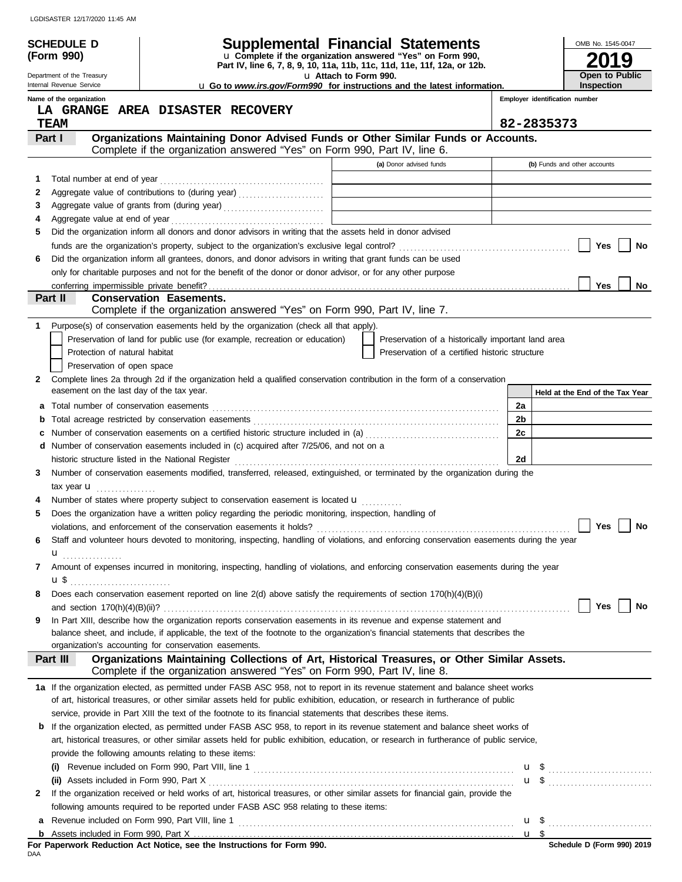|    |                                                        |                                                                                                                                                                                                                                                                      |                       |                                                                            |    | OMB No. 1545-0047               |
|----|--------------------------------------------------------|----------------------------------------------------------------------------------------------------------------------------------------------------------------------------------------------------------------------------------------------------------------------|-----------------------|----------------------------------------------------------------------------|----|---------------------------------|
|    | Schedule d<br>(Form 990)                               | <b>Supplemental Financial Statements</b><br>Lu Complete if the organization answered "Yes" on Form 990,                                                                                                                                                              |                       |                                                                            |    |                                 |
|    |                                                        | Part IV, line 6, 7, 8, 9, 10, 11a, 11b, 11c, 11d, 11e, 11f, 12a, or 12b.                                                                                                                                                                                             |                       |                                                                            |    | <u>g</u>                        |
|    | Department of the Treasury<br>Internal Revenue Service | L Go to www.irs.gov/Form990 for instructions and the latest information.                                                                                                                                                                                             | U Attach to Form 990. |                                                                            |    | Open to Public<br>Inspection    |
|    | Name of the organization                               |                                                                                                                                                                                                                                                                      |                       |                                                                            |    | Employer identification number  |
|    |                                                        | LA GRANGE AREA DISASTER RECOVERY                                                                                                                                                                                                                                     |                       |                                                                            |    |                                 |
|    | <b>TEAM</b>                                            |                                                                                                                                                                                                                                                                      |                       |                                                                            |    | 82-2835373                      |
|    | Part I                                                 | Organizations Maintaining Donor Advised Funds or Other Similar Funds or Accounts.                                                                                                                                                                                    |                       |                                                                            |    |                                 |
|    |                                                        | Complete if the organization answered "Yes" on Form 990, Part IV, line 6.                                                                                                                                                                                            |                       |                                                                            |    |                                 |
|    |                                                        |                                                                                                                                                                                                                                                                      |                       | (a) Donor advised funds                                                    |    | (b) Funds and other accounts    |
| 1. |                                                        |                                                                                                                                                                                                                                                                      |                       |                                                                            |    |                                 |
| 2  |                                                        | Aggregate value of contributions to (during year)                                                                                                                                                                                                                    |                       | the control of the control of the control of the control of the control of |    |                                 |
| 3  |                                                        |                                                                                                                                                                                                                                                                      |                       | the control of the control of the control of the control of the control of |    |                                 |
| 4  |                                                        |                                                                                                                                                                                                                                                                      |                       |                                                                            |    |                                 |
| 5  |                                                        | Did the organization inform all donors and donor advisors in writing that the assets held in donor advised                                                                                                                                                           |                       |                                                                            |    |                                 |
|    |                                                        |                                                                                                                                                                                                                                                                      |                       |                                                                            |    | Yes<br>No                       |
| 6  |                                                        | Did the organization inform all grantees, donors, and donor advisors in writing that grant funds can be used                                                                                                                                                         |                       |                                                                            |    |                                 |
|    |                                                        | only for charitable purposes and not for the benefit of the donor or donor advisor, or for any other purpose                                                                                                                                                         |                       |                                                                            |    |                                 |
|    | conferring impermissible private benefit?              |                                                                                                                                                                                                                                                                      |                       |                                                                            |    | <b>Yes</b><br>No                |
|    | Part II                                                | <b>Conservation Easements.</b><br>Complete if the organization answered "Yes" on Form 990, Part IV, line 7.                                                                                                                                                          |                       |                                                                            |    |                                 |
| 1. |                                                        | Purpose(s) of conservation easements held by the organization (check all that apply).                                                                                                                                                                                |                       |                                                                            |    |                                 |
|    |                                                        | Preservation of land for public use (for example, recreation or education)                                                                                                                                                                                           |                       | Preservation of a historically important land area                         |    |                                 |
|    | Protection of natural habitat                          |                                                                                                                                                                                                                                                                      |                       | Preservation of a certified historic structure                             |    |                                 |
|    | Preservation of open space                             |                                                                                                                                                                                                                                                                      |                       |                                                                            |    |                                 |
| 2  |                                                        | Complete lines 2a through 2d if the organization held a qualified conservation contribution in the form of a conservation                                                                                                                                            |                       |                                                                            |    |                                 |
|    | easement on the last day of the tax year.              |                                                                                                                                                                                                                                                                      |                       |                                                                            |    | Held at the End of the Tax Year |
| а  |                                                        |                                                                                                                                                                                                                                                                      |                       |                                                                            | 2a |                                 |
| b  |                                                        |                                                                                                                                                                                                                                                                      |                       |                                                                            | 2b |                                 |
| c  |                                                        | Number of conservation easements on a certified historic structure included in (a) mature conservation conservation                                                                                                                                                  |                       |                                                                            | 2c |                                 |
|    |                                                        | d Number of conservation easements included in (c) acquired after 7/25/06, and not on a                                                                                                                                                                              |                       |                                                                            |    |                                 |
|    |                                                        |                                                                                                                                                                                                                                                                      |                       |                                                                            | 2d |                                 |
| 3  |                                                        | Number of conservation easements modified, transferred, released, extinguished, or terminated by the organization during the                                                                                                                                         |                       |                                                                            |    |                                 |
|    | tax year $\blacksquare$                                |                                                                                                                                                                                                                                                                      |                       |                                                                            |    |                                 |
|    |                                                        | Number of states where property subject to conservation easement is located <b>u</b>                                                                                                                                                                                 |                       |                                                                            |    |                                 |
| 5  |                                                        | Does the organization have a written policy regarding the periodic monitoring, inspection, handling of                                                                                                                                                               |                       |                                                                            |    |                                 |
|    |                                                        |                                                                                                                                                                                                                                                                      |                       |                                                                            |    | Yes<br>No                       |
| 6  |                                                        | Staff and volunteer hours devoted to monitoring, inspecting, handling of violations, and enforcing conservation easements during the year                                                                                                                            |                       |                                                                            |    |                                 |
|    | $\mathbf{u}$                                           |                                                                                                                                                                                                                                                                      |                       |                                                                            |    |                                 |
| 7  |                                                        | Amount of expenses incurred in monitoring, inspecting, handling of violations, and enforcing conservation easements during the year                                                                                                                                  |                       |                                                                            |    |                                 |
|    | <b>u</b> \$                                            |                                                                                                                                                                                                                                                                      |                       |                                                                            |    |                                 |
| 8  |                                                        | Does each conservation easement reported on line 2(d) above satisfy the requirements of section 170(h)(4)(B)(i)                                                                                                                                                      |                       |                                                                            |    |                                 |
|    |                                                        |                                                                                                                                                                                                                                                                      |                       |                                                                            |    | Yes<br>No                       |
| 9  |                                                        | In Part XIII, describe how the organization reports conservation easements in its revenue and expense statement and                                                                                                                                                  |                       |                                                                            |    |                                 |
|    |                                                        | balance sheet, and include, if applicable, the text of the footnote to the organization's financial statements that describes the<br>organization's accounting for conservation easements.                                                                           |                       |                                                                            |    |                                 |
|    |                                                        | Organizations Maintaining Collections of Art, Historical Treasures, or Other Similar Assets.                                                                                                                                                                         |                       |                                                                            |    |                                 |
|    | Part III                                               | Complete if the organization answered "Yes" on Form 990, Part IV, line 8.                                                                                                                                                                                            |                       |                                                                            |    |                                 |
|    |                                                        |                                                                                                                                                                                                                                                                      |                       |                                                                            |    |                                 |
|    |                                                        | 1a If the organization elected, as permitted under FASB ASC 958, not to report in its revenue statement and balance sheet works<br>of art, historical treasures, or other similar assets held for public exhibition, education, or research in furtherance of public |                       |                                                                            |    |                                 |
|    |                                                        | service, provide in Part XIII the text of the footnote to its financial statements that describes these items.                                                                                                                                                       |                       |                                                                            |    |                                 |
| b  |                                                        | If the organization elected, as permitted under FASB ASC 958, to report in its revenue statement and balance sheet works of                                                                                                                                          |                       |                                                                            |    |                                 |
|    |                                                        | art, historical treasures, or other similar assets held for public exhibition, education, or research in furtherance of public service,                                                                                                                              |                       |                                                                            |    |                                 |
|    |                                                        | provide the following amounts relating to these items:                                                                                                                                                                                                               |                       |                                                                            |    |                                 |
|    |                                                        |                                                                                                                                                                                                                                                                      |                       |                                                                            |    |                                 |
|    |                                                        |                                                                                                                                                                                                                                                                      |                       |                                                                            |    | <b>u</b> \$                     |
| 2  |                                                        | If the organization received or held works of art, historical treasures, or other similar assets for financial gain, provide the                                                                                                                                     |                       |                                                                            |    |                                 |
|    |                                                        | following amounts required to be reported under FASB ASC 958 relating to these items:                                                                                                                                                                                |                       |                                                                            |    |                                 |
| а  |                                                        |                                                                                                                                                                                                                                                                      |                       |                                                                            |    |                                 |
|    |                                                        |                                                                                                                                                                                                                                                                      |                       |                                                                            |    |                                 |

|     |  |  |  | For Paperwork Reduction Act Notice, see the Instructions for Form 990. |  |  |
|-----|--|--|--|------------------------------------------------------------------------|--|--|
| DAA |  |  |  |                                                                        |  |  |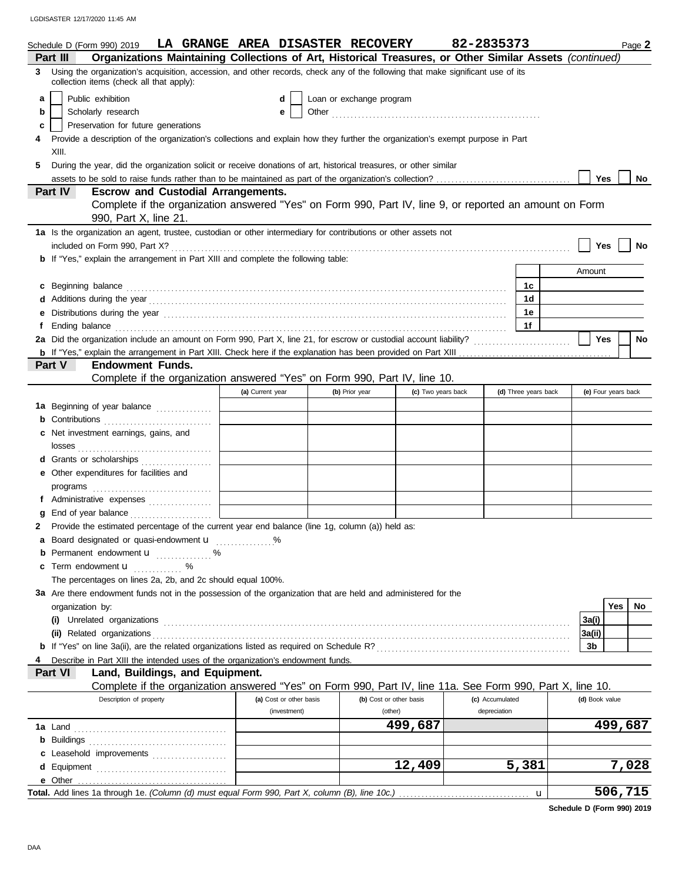|        | Schedule D (Form 990) 2019<br>Organizations Maintaining Collections of Art, Historical Treasures, or Other Similar Assets (continued)<br>Part III                                                                                                                                                        | LA GRANGE AREA DISASTER RECOVERY |                          |                         |                    | 82-2835373      |                      |        |                | Page 2              |
|--------|----------------------------------------------------------------------------------------------------------------------------------------------------------------------------------------------------------------------------------------------------------------------------------------------------------|----------------------------------|--------------------------|-------------------------|--------------------|-----------------|----------------------|--------|----------------|---------------------|
| 3      | Using the organization's acquisition, accession, and other records, check any of the following that make significant use of its                                                                                                                                                                          |                                  |                          |                         |                    |                 |                      |        |                |                     |
|        | collection items (check all that apply):                                                                                                                                                                                                                                                                 |                                  |                          |                         |                    |                 |                      |        |                |                     |
| a      | Public exhibition<br>Scholarly research                                                                                                                                                                                                                                                                  | d                                | Loan or exchange program |                         |                    |                 |                      |        |                |                     |
| b      | Preservation for future generations                                                                                                                                                                                                                                                                      | е                                |                          |                         |                    |                 |                      |        |                |                     |
| c      |                                                                                                                                                                                                                                                                                                          |                                  |                          |                         |                    |                 |                      |        |                |                     |
| 4      | Provide a description of the organization's collections and explain how they further the organization's exempt purpose in Part<br>XIII.                                                                                                                                                                  |                                  |                          |                         |                    |                 |                      |        |                |                     |
| 5.     | During the year, did the organization solicit or receive donations of art, historical treasures, or other similar                                                                                                                                                                                        |                                  |                          |                         |                    |                 |                      |        |                |                     |
|        |                                                                                                                                                                                                                                                                                                          |                                  |                          |                         |                    |                 |                      |        | Yes            | No                  |
|        | Part IV<br><b>Escrow and Custodial Arrangements.</b>                                                                                                                                                                                                                                                     |                                  |                          |                         |                    |                 |                      |        |                |                     |
|        | Complete if the organization answered "Yes" on Form 990, Part IV, line 9, or reported an amount on Form                                                                                                                                                                                                  |                                  |                          |                         |                    |                 |                      |        |                |                     |
|        | 990, Part X, line 21.                                                                                                                                                                                                                                                                                    |                                  |                          |                         |                    |                 |                      |        |                |                     |
|        | 1a Is the organization an agent, trustee, custodian or other intermediary for contributions or other assets not                                                                                                                                                                                          |                                  |                          |                         |                    |                 |                      |        |                |                     |
|        |                                                                                                                                                                                                                                                                                                          |                                  |                          |                         |                    |                 |                      |        | Yes            | No                  |
|        | <b>b</b> If "Yes," explain the arrangement in Part XIII and complete the following table:                                                                                                                                                                                                                |                                  |                          |                         |                    |                 |                      |        |                |                     |
|        |                                                                                                                                                                                                                                                                                                          |                                  |                          |                         |                    |                 |                      | Amount |                |                     |
| c      | Beginning balance encourance and contact the contract of the contract of the contract of the contract of the contract of the contract of the contract of the contract of the contract of the contract of the contract of the c                                                                           |                                  |                          |                         |                    |                 | 1c                   |        |                |                     |
| d      | Additions during the year material contact the year material contact the year material contact the year material contact the year material contact the year material contact the year material contact the year and year and y                                                                           |                                  |                          |                         |                    |                 | 1d                   |        |                |                     |
| е      |                                                                                                                                                                                                                                                                                                          |                                  |                          |                         |                    |                 | 1e                   |        |                |                     |
| f      | Ending balance <b>construction and the construction of the construction</b> of the construction of the construction of the construction of the construction of the construction of the construction of the construction of the cons                                                                      |                                  |                          |                         |                    |                 | 1f                   |        |                |                     |
|        |                                                                                                                                                                                                                                                                                                          |                                  |                          |                         |                    |                 |                      |        | Yes            | <b>No</b>           |
|        |                                                                                                                                                                                                                                                                                                          |                                  |                          |                         |                    |                 |                      |        |                |                     |
|        | <b>Endowment Funds.</b><br>Part V<br>Complete if the organization answered "Yes" on Form 990, Part IV, line 10.                                                                                                                                                                                          |                                  |                          |                         |                    |                 |                      |        |                |                     |
|        |                                                                                                                                                                                                                                                                                                          | (a) Current year                 | (b) Prior year           |                         | (c) Two years back |                 | (d) Three years back |        |                | (e) Four years back |
|        |                                                                                                                                                                                                                                                                                                          |                                  |                          |                         |                    |                 |                      |        |                |                     |
|        | 1a Beginning of year balance                                                                                                                                                                                                                                                                             |                                  |                          |                         |                    |                 |                      |        |                |                     |
|        | <b>b</b> Contributions <b>contributions</b>                                                                                                                                                                                                                                                              |                                  |                          |                         |                    |                 |                      |        |                |                     |
| c      | Net investment earnings, gains, and                                                                                                                                                                                                                                                                      |                                  |                          |                         |                    |                 |                      |        |                |                     |
|        |                                                                                                                                                                                                                                                                                                          |                                  |                          |                         |                    |                 |                      |        |                |                     |
|        | d Grants or scholarships                                                                                                                                                                                                                                                                                 |                                  |                          |                         |                    |                 |                      |        |                |                     |
|        | e Other expenditures for facilities and                                                                                                                                                                                                                                                                  |                                  |                          |                         |                    |                 |                      |        |                |                     |
|        | $\mathsf{programs}$ [[1] $\mathsf{m}$ [1] $\mathsf{m}$ [1] $\mathsf{m}$ [1] $\mathsf{m}$ [1] $\mathsf{m}$ [1] $\mathsf{m}$ [1] $\mathsf{m}$ [1] $\mathsf{m}$ [1] $\mathsf{m}$ [1] $\mathsf{m}$ [1] $\mathsf{m}$ [1] $\mathsf{m}$ [1] $\mathsf{m}$ [1] $\mathsf{m}$ [1] $\mathsf{m}$ [1] $\mathsf{m}$ [1] |                                  |                          |                         |                    |                 |                      |        |                |                     |
|        | f Administrative expenses                                                                                                                                                                                                                                                                                |                                  |                          |                         |                    |                 |                      |        |                |                     |
| g<br>2 | Provide the estimated percentage of the current year end balance (line 1g, column (a)) held as:                                                                                                                                                                                                          |                                  |                          |                         |                    |                 |                      |        |                |                     |
|        | a Board designated or quasi-endowment <b>u</b> %                                                                                                                                                                                                                                                         |                                  |                          |                         |                    |                 |                      |        |                |                     |
|        | Permanent endowment <b>u</b> %                                                                                                                                                                                                                                                                           |                                  |                          |                         |                    |                 |                      |        |                |                     |
| c      | Term endowment <b>u</b>                                                                                                                                                                                                                                                                                  |                                  |                          |                         |                    |                 |                      |        |                |                     |
|        | The percentages on lines 2a, 2b, and 2c should equal 100%.                                                                                                                                                                                                                                               |                                  |                          |                         |                    |                 |                      |        |                |                     |
|        | 3a Are there endowment funds not in the possession of the organization that are held and administered for the                                                                                                                                                                                            |                                  |                          |                         |                    |                 |                      |        |                |                     |
|        | organization by:                                                                                                                                                                                                                                                                                         |                                  |                          |                         |                    |                 |                      |        |                | Yes<br>No           |
|        |                                                                                                                                                                                                                                                                                                          |                                  |                          |                         |                    |                 |                      | 3a(i)  |                |                     |
|        |                                                                                                                                                                                                                                                                                                          |                                  |                          |                         |                    |                 |                      | 3a(ii) |                |                     |
|        |                                                                                                                                                                                                                                                                                                          |                                  |                          |                         |                    |                 |                      | 3b     |                |                     |
|        | Describe in Part XIII the intended uses of the organization's endowment funds.                                                                                                                                                                                                                           |                                  |                          |                         |                    |                 |                      |        |                |                     |
|        | Land, Buildings, and Equipment.<br><b>Part VI</b>                                                                                                                                                                                                                                                        |                                  |                          |                         |                    |                 |                      |        |                |                     |
|        | Complete if the organization answered "Yes" on Form 990, Part IV, line 11a. See Form 990, Part X, line 10.                                                                                                                                                                                               |                                  |                          |                         |                    |                 |                      |        |                |                     |
|        | Description of property                                                                                                                                                                                                                                                                                  | (a) Cost or other basis          |                          | (b) Cost or other basis |                    | (c) Accumulated |                      |        | (d) Book value |                     |
|        |                                                                                                                                                                                                                                                                                                          | (investment)                     |                          | (other)                 |                    | depreciation    |                      |        |                |                     |
|        |                                                                                                                                                                                                                                                                                                          |                                  |                          |                         | 499,687            |                 |                      |        |                | 499,687             |
|        |                                                                                                                                                                                                                                                                                                          |                                  |                          |                         |                    |                 |                      |        |                |                     |
| c      | Leasehold improvements                                                                                                                                                                                                                                                                                   |                                  |                          |                         |                    |                 |                      |        |                |                     |
| d      |                                                                                                                                                                                                                                                                                                          |                                  |                          |                         | 12,409             |                 | 5,381                |        |                | 7,028               |
|        | e Other                                                                                                                                                                                                                                                                                                  |                                  |                          |                         |                    |                 |                      |        |                |                     |
|        |                                                                                                                                                                                                                                                                                                          |                                  |                          |                         |                    |                 | u                    |        |                | 506,715             |

**Schedule D (Form 990) 2019**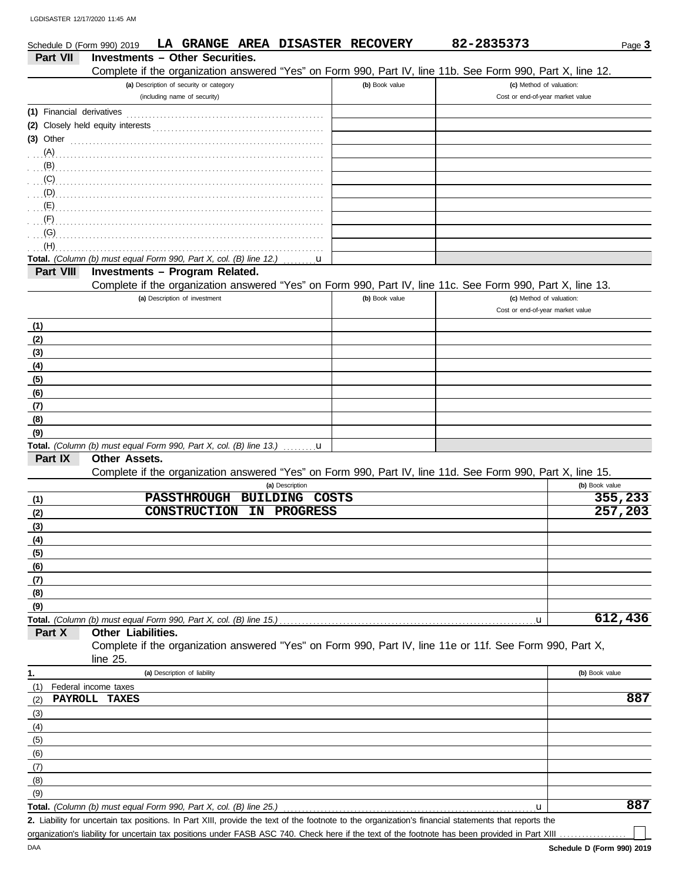| Schedule D (Form 990) 2019 |                                                                                                                                                                                                                                                                                                                                                                                                                                                                                                                          |                                         |                          | LA GRANGE AREA DISASTER RECOVERY | 82-2835373                                                                                                 |                                  | Page 3         |
|----------------------------|--------------------------------------------------------------------------------------------------------------------------------------------------------------------------------------------------------------------------------------------------------------------------------------------------------------------------------------------------------------------------------------------------------------------------------------------------------------------------------------------------------------------------|-----------------------------------------|--------------------------|----------------------------------|------------------------------------------------------------------------------------------------------------|----------------------------------|----------------|
| Part VII                   | <b>Investments - Other Securities.</b>                                                                                                                                                                                                                                                                                                                                                                                                                                                                                   |                                         |                          |                                  |                                                                                                            |                                  |                |
|                            |                                                                                                                                                                                                                                                                                                                                                                                                                                                                                                                          |                                         |                          |                                  | Complete if the organization answered "Yes" on Form 990, Part IV, line 11b. See Form 990, Part X, line 12. |                                  |                |
|                            |                                                                                                                                                                                                                                                                                                                                                                                                                                                                                                                          | (a) Description of security or category |                          | (b) Book value                   |                                                                                                            | (c) Method of valuation:         |                |
|                            |                                                                                                                                                                                                                                                                                                                                                                                                                                                                                                                          | (including name of security)            |                          |                                  |                                                                                                            | Cost or end-of-year market value |                |
|                            |                                                                                                                                                                                                                                                                                                                                                                                                                                                                                                                          |                                         |                          |                                  |                                                                                                            |                                  |                |
|                            |                                                                                                                                                                                                                                                                                                                                                                                                                                                                                                                          |                                         |                          |                                  |                                                                                                            |                                  |                |
| $(3)$ Other                |                                                                                                                                                                                                                                                                                                                                                                                                                                                                                                                          |                                         |                          |                                  |                                                                                                            |                                  |                |
|                            |                                                                                                                                                                                                                                                                                                                                                                                                                                                                                                                          |                                         |                          |                                  |                                                                                                            |                                  |                |
|                            |                                                                                                                                                                                                                                                                                                                                                                                                                                                                                                                          |                                         |                          |                                  |                                                                                                            |                                  |                |
|                            | $\overline{S}$ (C) $\overline{S}$ . The contract of the contract of the contract of the contract of the contract of the contract of the contract of the contract of the contract of the contract of the contract of the contract of the c                                                                                                                                                                                                                                                                                |                                         |                          |                                  |                                                                                                            |                                  |                |
|                            |                                                                                                                                                                                                                                                                                                                                                                                                                                                                                                                          |                                         |                          |                                  |                                                                                                            |                                  |                |
|                            | $\begin{minipage}[c]{0.9\linewidth} \begin{tabular}{l} \hline \textbf{(E)} \end{tabular} \end{minipage} \begin{minipage}[c]{0.9\linewidth} \begin{tabular}{l} \hline \textbf{(E)} \end{tabular} \end{minipage} \end{minipage} \begin{minipage}[c]{0.9\linewidth} \begin{tabular}{l} \hline \textbf{(E)} \end{tabular} \end{minipage} \end{minipage} \begin{minipage}[c]{0.9\linewidth} \begin{tabular}{l} \hline \textbf{(E)} \end{tabular} \end{minipage} \end{minipage} \begin{minipage}[c]{0.9\linewidth} \begin{tab$ |                                         |                          |                                  |                                                                                                            |                                  |                |
|                            |                                                                                                                                                                                                                                                                                                                                                                                                                                                                                                                          |                                         |                          |                                  |                                                                                                            |                                  |                |
| (G)                        |                                                                                                                                                                                                                                                                                                                                                                                                                                                                                                                          |                                         |                          |                                  |                                                                                                            |                                  |                |
| (H)                        |                                                                                                                                                                                                                                                                                                                                                                                                                                                                                                                          |                                         |                          |                                  |                                                                                                            |                                  |                |
|                            | Total. (Column (b) must equal Form 990, Part X, col. (B) line 12.)                                                                                                                                                                                                                                                                                                                                                                                                                                                       |                                         | u                        |                                  |                                                                                                            |                                  |                |
| Part VIII                  | Investments - Program Related.                                                                                                                                                                                                                                                                                                                                                                                                                                                                                           |                                         |                          |                                  |                                                                                                            |                                  |                |
|                            |                                                                                                                                                                                                                                                                                                                                                                                                                                                                                                                          |                                         |                          |                                  | Complete if the organization answered "Yes" on Form 990, Part IV, line 11c. See Form 990, Part X, line 13. |                                  |                |
|                            |                                                                                                                                                                                                                                                                                                                                                                                                                                                                                                                          | (a) Description of investment           |                          | (b) Book value                   |                                                                                                            | (c) Method of valuation:         |                |
|                            |                                                                                                                                                                                                                                                                                                                                                                                                                                                                                                                          |                                         |                          |                                  |                                                                                                            | Cost or end-of-year market value |                |
| (1)                        |                                                                                                                                                                                                                                                                                                                                                                                                                                                                                                                          |                                         |                          |                                  |                                                                                                            |                                  |                |
| (2)                        |                                                                                                                                                                                                                                                                                                                                                                                                                                                                                                                          |                                         |                          |                                  |                                                                                                            |                                  |                |
| (3)                        |                                                                                                                                                                                                                                                                                                                                                                                                                                                                                                                          |                                         |                          |                                  |                                                                                                            |                                  |                |
| (4)                        |                                                                                                                                                                                                                                                                                                                                                                                                                                                                                                                          |                                         |                          |                                  |                                                                                                            |                                  |                |
| (5)                        |                                                                                                                                                                                                                                                                                                                                                                                                                                                                                                                          |                                         |                          |                                  |                                                                                                            |                                  |                |
| (6)                        |                                                                                                                                                                                                                                                                                                                                                                                                                                                                                                                          |                                         |                          |                                  |                                                                                                            |                                  |                |
| (7)                        |                                                                                                                                                                                                                                                                                                                                                                                                                                                                                                                          |                                         |                          |                                  |                                                                                                            |                                  |                |
| (8)                        |                                                                                                                                                                                                                                                                                                                                                                                                                                                                                                                          |                                         |                          |                                  |                                                                                                            |                                  |                |
| (9)                        |                                                                                                                                                                                                                                                                                                                                                                                                                                                                                                                          |                                         |                          |                                  |                                                                                                            |                                  |                |
| Part IX                    | Total. (Column (b) must equal Form 990, Part X, col. (B) line 13.)<br>Other Assets.                                                                                                                                                                                                                                                                                                                                                                                                                                      |                                         |                          |                                  |                                                                                                            |                                  |                |
|                            |                                                                                                                                                                                                                                                                                                                                                                                                                                                                                                                          |                                         |                          |                                  | Complete if the organization answered "Yes" on Form 990, Part IV, line 11d. See Form 990, Part X, line 15. |                                  |                |
|                            |                                                                                                                                                                                                                                                                                                                                                                                                                                                                                                                          |                                         | (a) Description          |                                  |                                                                                                            |                                  | (b) Book value |
|                            |                                                                                                                                                                                                                                                                                                                                                                                                                                                                                                                          | <b>PASSTHROUGH</b>                      | BUILDING<br><b>COSTS</b> |                                  |                                                                                                            |                                  | 355,233        |
| (1)                        |                                                                                                                                                                                                                                                                                                                                                                                                                                                                                                                          | <b>CONSTRUCTION</b>                     | <b>IN PROGRESS</b>       |                                  |                                                                                                            |                                  | 257,203        |
| (2)                        |                                                                                                                                                                                                                                                                                                                                                                                                                                                                                                                          |                                         |                          |                                  |                                                                                                            |                                  |                |
| (3)                        |                                                                                                                                                                                                                                                                                                                                                                                                                                                                                                                          |                                         |                          |                                  |                                                                                                            |                                  |                |
| (4)<br>(5)                 |                                                                                                                                                                                                                                                                                                                                                                                                                                                                                                                          |                                         |                          |                                  |                                                                                                            |                                  |                |
| (6)                        |                                                                                                                                                                                                                                                                                                                                                                                                                                                                                                                          |                                         |                          |                                  |                                                                                                            |                                  |                |
| (7)                        |                                                                                                                                                                                                                                                                                                                                                                                                                                                                                                                          |                                         |                          |                                  |                                                                                                            |                                  |                |
| (8)                        |                                                                                                                                                                                                                                                                                                                                                                                                                                                                                                                          |                                         |                          |                                  |                                                                                                            |                                  |                |
| (9)                        |                                                                                                                                                                                                                                                                                                                                                                                                                                                                                                                          |                                         |                          |                                  |                                                                                                            |                                  |                |
|                            | Total. (Column (b) must equal Form 990, Part X, col. (B) line 15.)                                                                                                                                                                                                                                                                                                                                                                                                                                                       |                                         |                          |                                  |                                                                                                            | u                                | 612,436        |
| Part X                     | Other Liabilities.                                                                                                                                                                                                                                                                                                                                                                                                                                                                                                       |                                         |                          |                                  |                                                                                                            |                                  |                |
|                            |                                                                                                                                                                                                                                                                                                                                                                                                                                                                                                                          |                                         |                          |                                  | Complete if the organization answered "Yes" on Form 990, Part IV, line 11e or 11f. See Form 990, Part X,   |                                  |                |
|                            | line 25.                                                                                                                                                                                                                                                                                                                                                                                                                                                                                                                 |                                         |                          |                                  |                                                                                                            |                                  |                |
| 1.                         |                                                                                                                                                                                                                                                                                                                                                                                                                                                                                                                          | (a) Description of liability            |                          |                                  |                                                                                                            |                                  | (b) Book value |
| (1)                        | Federal income taxes                                                                                                                                                                                                                                                                                                                                                                                                                                                                                                     |                                         |                          |                                  |                                                                                                            |                                  |                |
| (2)                        | PAYROLL TAXES                                                                                                                                                                                                                                                                                                                                                                                                                                                                                                            |                                         |                          |                                  |                                                                                                            |                                  | 887            |
| (3)                        |                                                                                                                                                                                                                                                                                                                                                                                                                                                                                                                          |                                         |                          |                                  |                                                                                                            |                                  |                |
| (4)                        |                                                                                                                                                                                                                                                                                                                                                                                                                                                                                                                          |                                         |                          |                                  |                                                                                                            |                                  |                |
| (5)                        |                                                                                                                                                                                                                                                                                                                                                                                                                                                                                                                          |                                         |                          |                                  |                                                                                                            |                                  |                |
| (6)                        |                                                                                                                                                                                                                                                                                                                                                                                                                                                                                                                          |                                         |                          |                                  |                                                                                                            |                                  |                |
| (7)                        |                                                                                                                                                                                                                                                                                                                                                                                                                                                                                                                          |                                         |                          |                                  |                                                                                                            |                                  |                |
| (8)                        |                                                                                                                                                                                                                                                                                                                                                                                                                                                                                                                          |                                         |                          |                                  |                                                                                                            |                                  |                |
| (9)                        |                                                                                                                                                                                                                                                                                                                                                                                                                                                                                                                          |                                         |                          |                                  |                                                                                                            |                                  |                |
|                            | Total. (Column (b) must equal Form 990, Part X, col. (B) line 25.)                                                                                                                                                                                                                                                                                                                                                                                                                                                       |                                         |                          |                                  |                                                                                                            | u                                | 887            |

Liability for uncertain tax positions. In Part XIII, provide the text of the footnote to the organization's financial statements that reports the **2.**

| (a) Description of investment | (b) Book value | (c) Method of valuation:         |
|-------------------------------|----------------|----------------------------------|
|                               |                | Cost or end-of-year market value |
| (1)                           |                |                                  |
| (2)                           |                |                                  |
| (3)                           |                |                                  |
| (4)                           |                |                                  |
| (5)                           |                |                                  |
| (6)                           |                |                                  |
| (7)                           |                |                                  |
| (8)                           |                |                                  |
| (9)                           |                |                                  |

organization's liability for uncertain tax positions under FASB ASC 740. Check here if the text of the footnote has been provided in Part XIII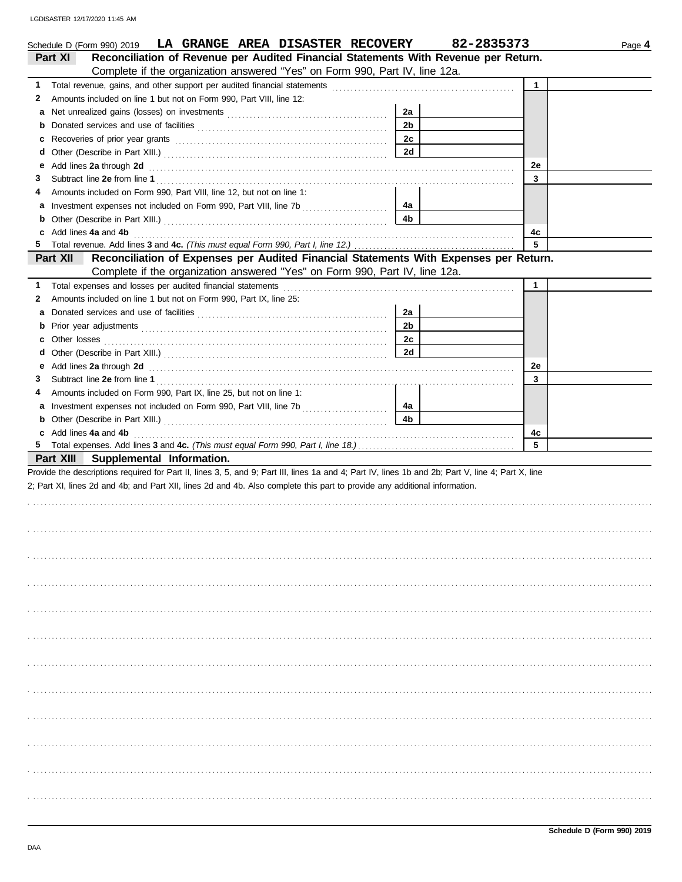| Schedule D (Form 990) 2019 LA GRANGE AREA DISASTER RECOVERY                                                                                                                                                                             |                      | 82-2835373   | Page 4 |
|-----------------------------------------------------------------------------------------------------------------------------------------------------------------------------------------------------------------------------------------|----------------------|--------------|--------|
| Reconciliation of Revenue per Audited Financial Statements With Revenue per Return.<br>Part XI                                                                                                                                          |                      |              |        |
| Complete if the organization answered "Yes" on Form 990, Part IV, line 12a.                                                                                                                                                             |                      |              |        |
| 1.                                                                                                                                                                                                                                      |                      | $\mathbf{1}$ |        |
| Amounts included on line 1 but not on Form 990, Part VIII, line 12:<br>2                                                                                                                                                                |                      |              |        |
| а                                                                                                                                                                                                                                       | 2a                   |              |        |
| b                                                                                                                                                                                                                                       | 2 <sub>b</sub>       |              |        |
| c                                                                                                                                                                                                                                       | 2c                   |              |        |
| d                                                                                                                                                                                                                                       | 2d                   |              |        |
| Add lines 2a through 2d <b>contained a contained a contained a contained a contained a contained a contained a contained a</b><br>е                                                                                                     |                      | 2e           |        |
| З                                                                                                                                                                                                                                       |                      | 3            |        |
| Amounts included on Form 990, Part VIII, line 12, but not on line 1:<br>4                                                                                                                                                               |                      |              |        |
| а                                                                                                                                                                                                                                       | 4a                   |              |        |
| b                                                                                                                                                                                                                                       | 4b                   |              |        |
| Add lines 4a and 4b<br>c                                                                                                                                                                                                                |                      | 4c           |        |
| 5                                                                                                                                                                                                                                       |                      | 5            |        |
| Reconciliation of Expenses per Audited Financial Statements With Expenses per Return.<br>Part XII                                                                                                                                       |                      |              |        |
| Complete if the organization answered "Yes" on Form 990, Part IV, line 12a.                                                                                                                                                             |                      |              |        |
| 1.                                                                                                                                                                                                                                      |                      | $\mathbf{1}$ |        |
| Amounts included on line 1 but not on Form 990, Part IX, line 25:<br>2                                                                                                                                                                  |                      |              |        |
| а                                                                                                                                                                                                                                       | 2a                   |              |        |
| b                                                                                                                                                                                                                                       | 2 <sub>b</sub>       |              |        |
| c                                                                                                                                                                                                                                       | 2c                   |              |        |
| d                                                                                                                                                                                                                                       | 2d                   |              |        |
| Add lines 2a through 2d <b>contained a contained a contained a contained a contained a contained a contained a</b> contained a contact a contact a contact a contact a contact a contact a contact a contact a contact a contact a<br>е |                      | 2e           |        |
| З                                                                                                                                                                                                                                       |                      | 3            |        |
| Amounts included on Form 990, Part IX, line 25, but not on line 1:<br>4                                                                                                                                                                 |                      |              |        |
| a                                                                                                                                                                                                                                       | 4a<br>4 <sub>b</sub> |              |        |
| b<br>Add lines 4a and 4b<br>c                                                                                                                                                                                                           |                      | 4c           |        |
|                                                                                                                                                                                                                                         |                      | 5            |        |
| Part XIII Supplemental Information.                                                                                                                                                                                                     |                      |              |        |
| Provide the descriptions required for Part II, lines 3, 5, and 9; Part III, lines 1a and 4; Part IV, lines 1b and 2b; Part V, line 4; Part X, line                                                                                      |                      |              |        |
| 2; Part XI, lines 2d and 4b; and Part XII, lines 2d and 4b. Also complete this part to provide any additional information.                                                                                                              |                      |              |        |
|                                                                                                                                                                                                                                         |                      |              |        |
|                                                                                                                                                                                                                                         |                      |              |        |
|                                                                                                                                                                                                                                         |                      |              |        |
|                                                                                                                                                                                                                                         |                      |              |        |
|                                                                                                                                                                                                                                         |                      |              |        |
|                                                                                                                                                                                                                                         |                      |              |        |
|                                                                                                                                                                                                                                         |                      |              |        |
|                                                                                                                                                                                                                                         |                      |              |        |
|                                                                                                                                                                                                                                         |                      |              |        |
|                                                                                                                                                                                                                                         |                      |              |        |
|                                                                                                                                                                                                                                         |                      |              |        |
|                                                                                                                                                                                                                                         |                      |              |        |
|                                                                                                                                                                                                                                         |                      |              |        |
|                                                                                                                                                                                                                                         |                      |              |        |
|                                                                                                                                                                                                                                         |                      |              |        |
|                                                                                                                                                                                                                                         |                      |              |        |
|                                                                                                                                                                                                                                         |                      |              |        |
|                                                                                                                                                                                                                                         |                      |              |        |
|                                                                                                                                                                                                                                         |                      |              |        |
|                                                                                                                                                                                                                                         |                      |              |        |
|                                                                                                                                                                                                                                         |                      |              |        |
|                                                                                                                                                                                                                                         |                      |              |        |
|                                                                                                                                                                                                                                         |                      |              |        |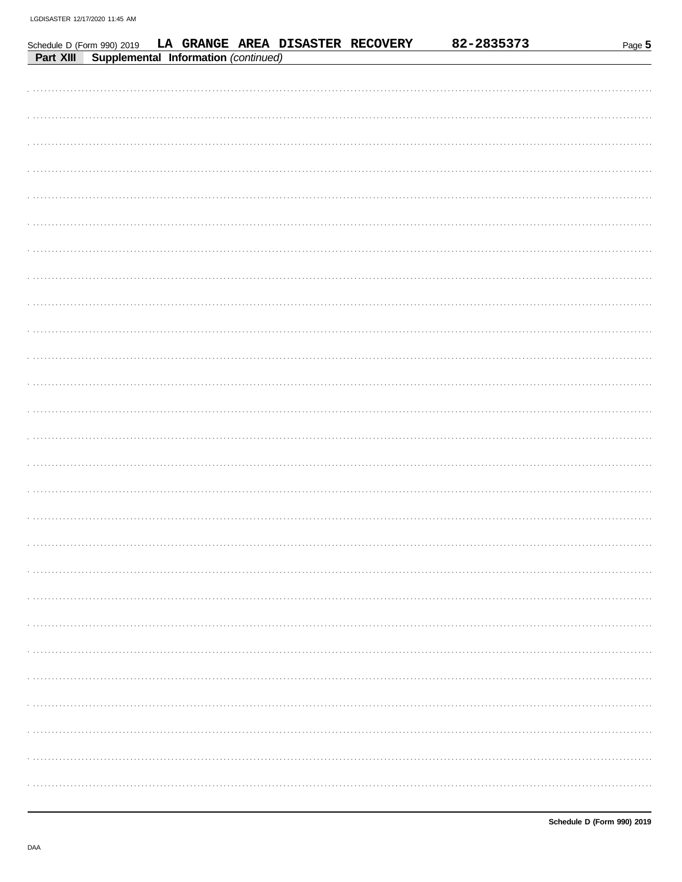|           | Schedule D (Form 990) 2019 |                                      |  | LA GRANGE AREA DISASTER RECOVERY | 82-2835373 | Page 5 |
|-----------|----------------------------|--------------------------------------|--|----------------------------------|------------|--------|
| Part XIII |                            | Supplemental Information (continued) |  |                                  |            |        |
|           |                            |                                      |  |                                  |            |        |
|           |                            |                                      |  |                                  |            |        |
|           |                            |                                      |  |                                  |            |        |
|           |                            |                                      |  |                                  |            |        |
|           |                            |                                      |  |                                  |            |        |
|           |                            |                                      |  |                                  |            |        |
|           |                            |                                      |  |                                  |            |        |
|           |                            |                                      |  |                                  |            |        |
|           |                            |                                      |  |                                  |            |        |
|           |                            |                                      |  |                                  |            |        |
|           |                            |                                      |  |                                  |            |        |
|           |                            |                                      |  |                                  |            |        |
|           |                            |                                      |  |                                  |            |        |
|           |                            |                                      |  |                                  |            |        |
|           |                            |                                      |  |                                  |            |        |
|           |                            |                                      |  |                                  |            |        |
|           |                            |                                      |  |                                  |            |        |
|           |                            |                                      |  |                                  |            |        |
|           |                            |                                      |  |                                  |            |        |
|           |                            |                                      |  |                                  |            |        |
|           |                            |                                      |  |                                  |            |        |
|           |                            |                                      |  |                                  |            |        |
|           |                            |                                      |  |                                  |            |        |
|           |                            |                                      |  |                                  |            |        |
|           |                            |                                      |  |                                  |            |        |
|           |                            |                                      |  |                                  |            |        |
|           |                            |                                      |  |                                  |            |        |
|           |                            |                                      |  |                                  |            |        |
|           |                            |                                      |  |                                  |            |        |
|           |                            |                                      |  |                                  |            |        |
|           |                            |                                      |  |                                  |            |        |
|           |                            |                                      |  |                                  |            |        |
|           |                            |                                      |  |                                  |            |        |
|           |                            |                                      |  |                                  |            |        |
|           |                            |                                      |  |                                  |            |        |
|           |                            |                                      |  |                                  |            |        |
|           |                            |                                      |  |                                  |            |        |
|           |                            |                                      |  |                                  |            |        |
|           |                            |                                      |  |                                  |            |        |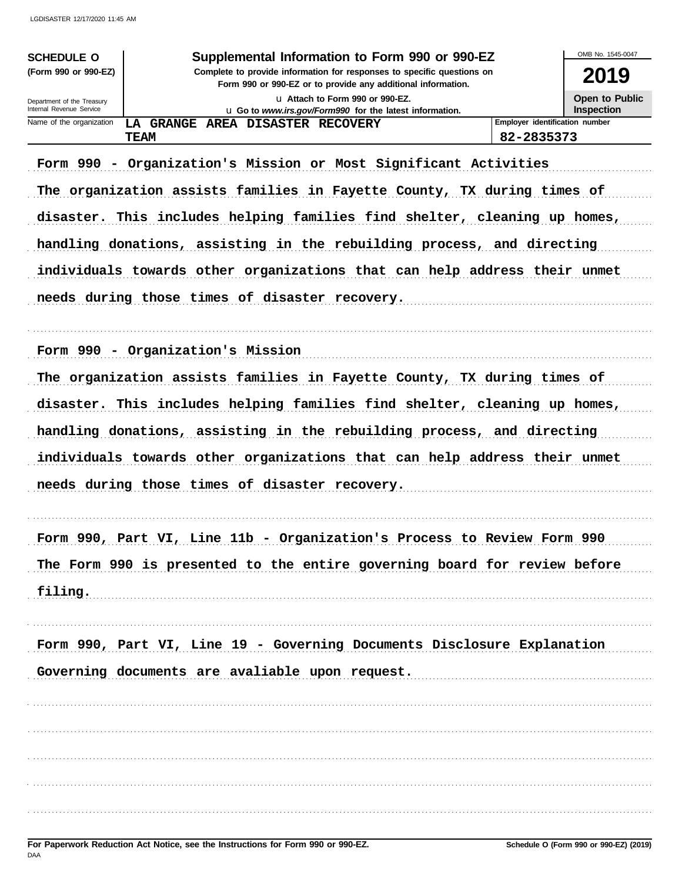| <b>SCHEDULE O</b><br>(Form 990 or 990-EZ)                                 | Supplemental Information to Form 990 or 990-EZ<br>Complete to provide information for responses to specific questions on                                                                           | OMB No. 1545-0047<br>2019      |  |  |  |  |
|---------------------------------------------------------------------------|----------------------------------------------------------------------------------------------------------------------------------------------------------------------------------------------------|--------------------------------|--|--|--|--|
| Department of the Treasury<br>Internal Revenue Service                    | Form 990 or 990-EZ or to provide any additional information.<br>Open to Public<br>La Attach to Form 990 or 990-EZ.<br><b>Inspection</b><br>L Go to www.irs.gov/Form990 for the latest information. |                                |  |  |  |  |
| Name of the organization                                                  | LA GRANGE AREA DISASTER RECOVERY                                                                                                                                                                   | Employer identification number |  |  |  |  |
| <b>TEAM</b>                                                               |                                                                                                                                                                                                    | 82-2835373                     |  |  |  |  |
|                                                                           | Form 990 - Organization's Mission or Most Significant Activities                                                                                                                                   |                                |  |  |  |  |
|                                                                           | The organization assists families in Fayette County, TX during times of                                                                                                                            |                                |  |  |  |  |
|                                                                           | disaster. This includes helping families find shelter, cleaning up homes,                                                                                                                          |                                |  |  |  |  |
|                                                                           | handling donations, assisting in the rebuilding process, and directing                                                                                                                             |                                |  |  |  |  |
|                                                                           | individuals towards other organizations that can help address their unmet                                                                                                                          |                                |  |  |  |  |
|                                                                           | needs during those times of disaster recovery.                                                                                                                                                     |                                |  |  |  |  |
|                                                                           |                                                                                                                                                                                                    |                                |  |  |  |  |
|                                                                           | Form 990 - Organization's Mission                                                                                                                                                                  |                                |  |  |  |  |
|                                                                           | The organization assists families in Fayette County, TX during times of                                                                                                                            |                                |  |  |  |  |
|                                                                           | disaster. This includes helping families find shelter, cleaning up homes,                                                                                                                          |                                |  |  |  |  |
|                                                                           | handling donations, assisting in the rebuilding process, and directing                                                                                                                             |                                |  |  |  |  |
|                                                                           | individuals towards other organizations that can help address their unmet                                                                                                                          |                                |  |  |  |  |
|                                                                           | needs during those times of disaster recovery.                                                                                                                                                     |                                |  |  |  |  |
|                                                                           |                                                                                                                                                                                                    |                                |  |  |  |  |
|                                                                           | Form 990, Part VI, Line 11b - Organization's Process to Review Form 990                                                                                                                            |                                |  |  |  |  |
| The Form 990 is presented to the entire governing board for review before |                                                                                                                                                                                                    |                                |  |  |  |  |
| filing.                                                                   |                                                                                                                                                                                                    |                                |  |  |  |  |
|                                                                           |                                                                                                                                                                                                    |                                |  |  |  |  |
|                                                                           | Form 990, Part VI, Line 19 - Governing Documents Disclosure Explanation                                                                                                                            |                                |  |  |  |  |
|                                                                           | Governing documents are avaliable upon request.                                                                                                                                                    |                                |  |  |  |  |
|                                                                           |                                                                                                                                                                                                    |                                |  |  |  |  |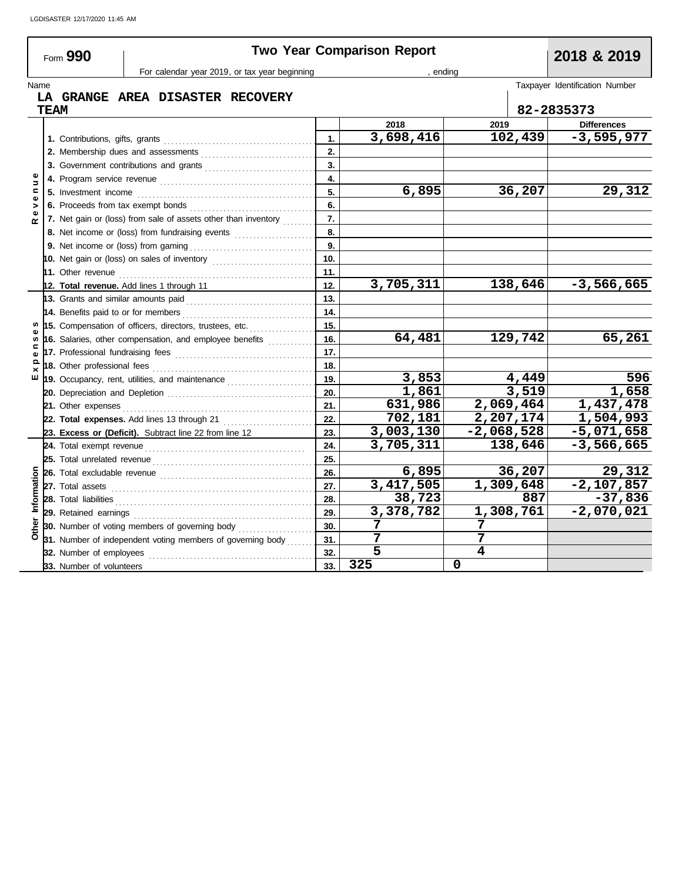## Form **990 Two Year Comparison Report 2018 & 2019**

For calendar year 2019, or tax year beginning , ending , ending

### Name Taxpayer Identification Number<br>
The GRANGE AREA DISASTER RECOVERY The Second Contract of the COVERY The Second Contract of the COVERY The Second Contract of the COVERY The Second Contract of the COVERY The Second Cont **LA GRANGE AREA DISASTER RECOVERY**

| <b>TEAM</b>              |  |                                                                                                                                                                                                                                      |     |             |                           | 82-2835373 |                    |  |
|--------------------------|--|--------------------------------------------------------------------------------------------------------------------------------------------------------------------------------------------------------------------------------------|-----|-------------|---------------------------|------------|--------------------|--|
|                          |  |                                                                                                                                                                                                                                      |     | 2018        | 2019                      |            | <b>Differences</b> |  |
|                          |  |                                                                                                                                                                                                                                      |     | 3,698,416   | 102,439                   |            | $-3,595,977$       |  |
|                          |  |                                                                                                                                                                                                                                      | 2.  |             |                           |            |                    |  |
|                          |  |                                                                                                                                                                                                                                      | 3.  |             |                           |            |                    |  |
| Φ<br>$\Rightarrow$       |  |                                                                                                                                                                                                                                      | 4.  |             |                           |            |                    |  |
| $\mathbf{C}$<br>$\omega$ |  |                                                                                                                                                                                                                                      |     | 6,895       |                           | 36,207     | 29,312             |  |
| >                        |  |                                                                                                                                                                                                                                      | 6.  |             |                           |            |                    |  |
| œ                        |  | 7. Net gain or (loss) from sale of assets other than inventory                                                                                                                                                                       | 7.  |             |                           |            |                    |  |
|                          |  | 8. Net income or (loss) from fundraising events                                                                                                                                                                                      | 8.  |             |                           |            |                    |  |
|                          |  |                                                                                                                                                                                                                                      | 9.  |             |                           |            |                    |  |
|                          |  | 10. Net gain or (loss) on sales of inventory                                                                                                                                                                                         | 10. |             |                           |            |                    |  |
|                          |  |                                                                                                                                                                                                                                      | 11. |             |                           |            |                    |  |
|                          |  | 12. Total revenue. Add lines 1 through 11                                                                                                                                                                                            | 12. | 3,705,311   | 138,646                   |            | $-3,566,665$       |  |
|                          |  |                                                                                                                                                                                                                                      | 13. |             |                           |            |                    |  |
|                          |  |                                                                                                                                                                                                                                      | 14. |             |                           |            |                    |  |
| s                        |  | 15. Compensation of officers, directors, trustees, etc.                                                                                                                                                                              | 15. |             |                           |            |                    |  |
| s<br>$\mathbf{C}$<br>ω   |  | 16. Salaries, other compensation, and employee benefits                                                                                                                                                                              | 16. | 64,481      | 129,742                   |            | 65,261             |  |
|                          |  |                                                                                                                                                                                                                                      | 17. |             |                           |            |                    |  |
| $\Omega$<br>$\times$     |  |                                                                                                                                                                                                                                      | 18. |             |                           |            |                    |  |
| ш                        |  | 19. Occupancy, rent, utilities, and maintenance <i>[[[[[[[[[[[[[[[[[[[[[[]]]]</i> ]]                                                                                                                                                 | 19. | 3,853       |                           | 4,449      | 596                |  |
|                          |  |                                                                                                                                                                                                                                      | 20. | 1,861       |                           | 3,519      | 1,658              |  |
|                          |  |                                                                                                                                                                                                                                      | 21. | 631,986     | 2,069,464                 |            | 1,437,478          |  |
|                          |  |                                                                                                                                                                                                                                      | 22. | 702,181     | 2,207,174                 |            | 1,504,993          |  |
|                          |  | 23. Excess or (Deficit). Subtract line 22 from line 12                                                                                                                                                                               | 23. | 3,003,130   | $-2,068,528$              |            | $-5,071,658$       |  |
|                          |  |                                                                                                                                                                                                                                      | 24. | 3,705,311   | 138,646                   |            | $-3,566,665$       |  |
|                          |  |                                                                                                                                                                                                                                      | 25. |             |                           |            |                    |  |
| Information              |  |                                                                                                                                                                                                                                      | 26. | 6,895       |                           | 36,207     | 29,312             |  |
|                          |  |                                                                                                                                                                                                                                      | 27. | 3, 417, 505 | $\overline{1}$ , 309, 648 |            | $-2,107,857$       |  |
|                          |  | 28. Total liabilities <b>constant in the constant of the constant in the constant in the constant in the constant in the constant in the constant in the constant in the constant in the constant in the constant in the constan</b> | 28. | 38,723      |                           | 887        | $-37,836$          |  |
|                          |  |                                                                                                                                                                                                                                      | 29. | 3,378,782   | 1,308,761                 |            | $-2,070,021$       |  |
| Other                    |  | 30. Number of voting members of governing body <i>minimizing</i>                                                                                                                                                                     | 30. | 7           | 7                         |            |                    |  |
|                          |  | 31. Number of independent voting members of governing body                                                                                                                                                                           | 31. | 7           |                           |            |                    |  |
|                          |  | 32. Number of employees                                                                                                                                                                                                              | 32. | 5           | 4                         |            |                    |  |
|                          |  | 33. Number of volunteers                                                                                                                                                                                                             | 33. | 325         | 0                         |            |                    |  |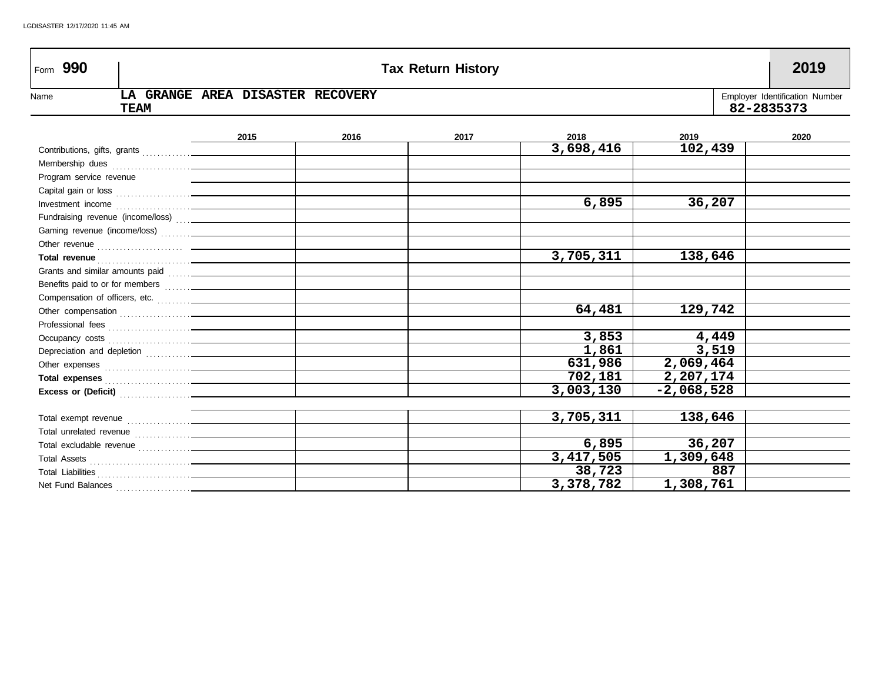| Form 990                |                                                                                                                                                                                                                                     |                                  |      | <b>Tax Return History</b> |           |              | 2019                                         |
|-------------------------|-------------------------------------------------------------------------------------------------------------------------------------------------------------------------------------------------------------------------------------|----------------------------------|------|---------------------------|-----------|--------------|----------------------------------------------|
| Name                    | <b>TEAM</b>                                                                                                                                                                                                                         | LA GRANGE AREA DISASTER RECOVERY |      |                           |           |              | Employer Identification Number<br>82-2835373 |
|                         |                                                                                                                                                                                                                                     | 2015                             | 2016 | 2017                      | 2018      | 2019         | 2020                                         |
|                         |                                                                                                                                                                                                                                     |                                  |      |                           | 3,698,416 | 102,439      |                                              |
|                         |                                                                                                                                                                                                                                     |                                  |      |                           |           |              |                                              |
| Program service revenue |                                                                                                                                                                                                                                     |                                  |      |                           |           |              |                                              |
|                         |                                                                                                                                                                                                                                     |                                  |      |                           |           |              |                                              |
|                         |                                                                                                                                                                                                                                     |                                  |      |                           | 6,895     | 36,207       |                                              |
|                         | Fundraising revenue (income/loss)  _____________                                                                                                                                                                                    |                                  |      |                           |           |              |                                              |
|                         |                                                                                                                                                                                                                                     |                                  |      |                           |           |              |                                              |
|                         |                                                                                                                                                                                                                                     |                                  |      |                           |           |              |                                              |
|                         |                                                                                                                                                                                                                                     |                                  |      |                           | 3,705,311 | 138,646      |                                              |
|                         | Grants and similar amounts paid [11, 11] [10] Crants and similar amounts paid                                                                                                                                                       |                                  |      |                           |           |              |                                              |
|                         |                                                                                                                                                                                                                                     |                                  |      |                           |           |              |                                              |
|                         |                                                                                                                                                                                                                                     |                                  |      |                           |           |              |                                              |
|                         |                                                                                                                                                                                                                                     |                                  |      |                           | 64,481    | 129,742      |                                              |
|                         |                                                                                                                                                                                                                                     |                                  |      |                           |           |              |                                              |
|                         |                                                                                                                                                                                                                                     |                                  |      |                           | 3,853     | 4,449        |                                              |
|                         |                                                                                                                                                                                                                                     |                                  |      |                           | 1,861     | 3,519        |                                              |
|                         |                                                                                                                                                                                                                                     |                                  |      |                           | 631,986   | 2,069,464    |                                              |
|                         | Total expenses <b>contained</b> and the contained and the contact of the contact of the contact of the contact of the contact of the contact of the contact of the contact of the contact of the contact of the contact of the cont |                                  |      |                           | 702,181   | 2,207,174    |                                              |
|                         | Excess or (Deficit) <b>Construction</b>                                                                                                                                                                                             |                                  |      |                           | 3,003,130 | $-2,068,528$ |                                              |
|                         |                                                                                                                                                                                                                                     |                                  |      |                           |           |              |                                              |
|                         |                                                                                                                                                                                                                                     |                                  |      |                           | 3,705,311 | 138,646      |                                              |
|                         |                                                                                                                                                                                                                                     |                                  |      |                           |           |              |                                              |
|                         |                                                                                                                                                                                                                                     |                                  |      |                           | 6,895     | 36,207       |                                              |
|                         |                                                                                                                                                                                                                                     |                                  |      |                           | 3,417,505 | 1,309,648    |                                              |
|                         |                                                                                                                                                                                                                                     |                                  |      |                           | 38,723    | 887          |                                              |
| Net Fund Balances       |                                                                                                                                                                                                                                     |                                  |      |                           | 3,378,782 | 1,308,761    |                                              |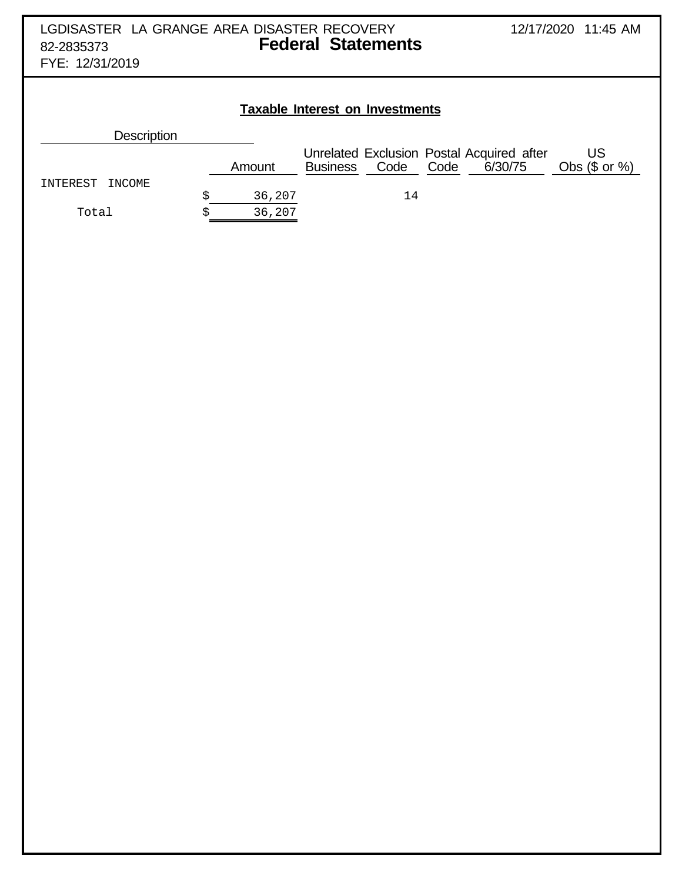| <b>Description</b> |        |                 |      |      |                                                      |                        |
|--------------------|--------|-----------------|------|------|------------------------------------------------------|------------------------|
|                    | Amount | <b>Business</b> | Code | Code | Unrelated Exclusion Postal Acquired after<br>6/30/75 | US<br>Obs $(\$$ or $%$ |
| INTEREST<br>INCOME |        |                 |      |      |                                                      |                        |
|                    | 36,207 |                 | 14   |      |                                                      |                        |
| Total              | 36,207 |                 |      |      |                                                      |                        |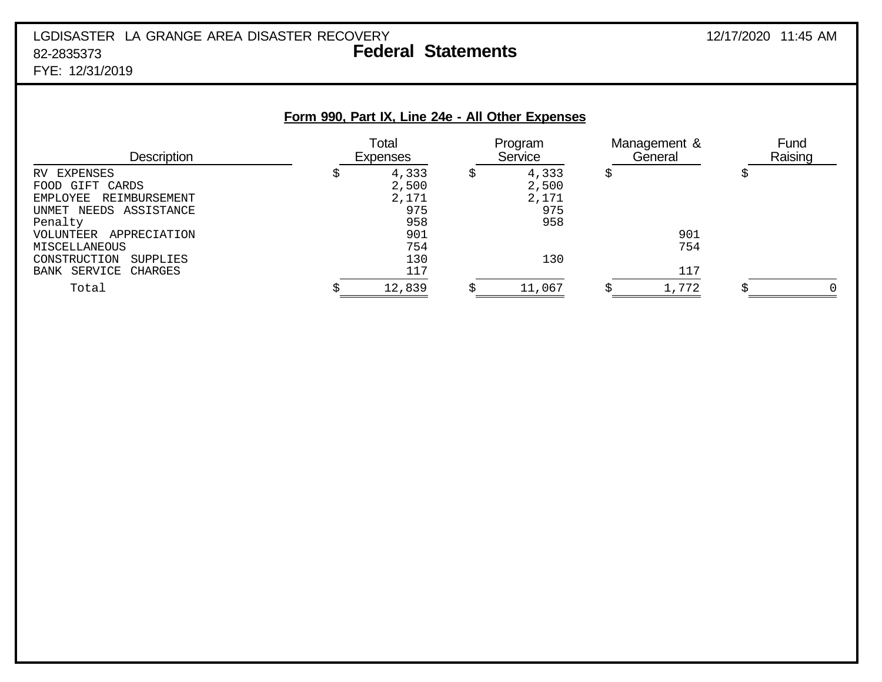# LGDISASTER LA GRANGE AREA DISASTER RECOVERY 12/17/2020 11:45 AM 82-2835373 **Federal Statements**

FYE: 12/31/2019

|                                                                                                                                                                                                       | Form 990, Part IX, Line 24e - All Other Expenses                 |   |                                              |                         |                 |
|-------------------------------------------------------------------------------------------------------------------------------------------------------------------------------------------------------|------------------------------------------------------------------|---|----------------------------------------------|-------------------------|-----------------|
| <b>Description</b>                                                                                                                                                                                    | Total<br><b>Expenses</b>                                         |   | Program<br>Service                           | Management &<br>General | Fund<br>Raising |
| EXPENSES<br><b>RV</b><br>GIFT CARDS<br><b>FOOD</b><br>REIMBURSEMENT<br>EMPLOYEE<br>UNMET NEEDS ASSISTANCE<br>Penalty<br>APPRECIATION<br>VOLUNTEER<br>MISCELLANEOUS<br>CONSTRUCTION<br><b>SUPPLIES</b> | \$<br>4,333<br>2,500<br>2,171<br>975<br>958<br>901<br>754<br>130 | S | 4,333<br>2,500<br>2,171<br>975<br>958<br>130 | \$<br>901<br>754        | \$              |
| BANK SERVICE<br>CHARGES<br>Total                                                                                                                                                                      | 117<br>12,839                                                    |   | 11,067                                       | 117<br>1,772            | $\Omega$        |